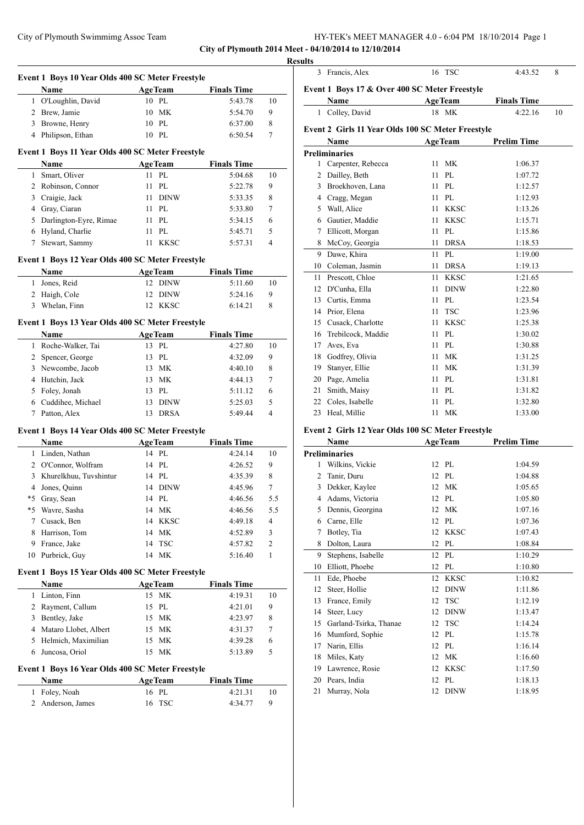**City of Plymouth 2014 Meet - 04/10/2014 to 12/10/2014**

|                | Event 1 Boys 10 Year Olds 400 SC Meter Freestyle         |                         |                               |                         |
|----------------|----------------------------------------------------------|-------------------------|-------------------------------|-------------------------|
|                | Name                                                     | <b>AgeTeam</b>          | <b>Finals Time</b>            |                         |
|                | 1 O'Loughlin, David                                      | 10 PL                   | 5:43.78                       | 10                      |
|                | 2 Brew, Jamie                                            | 10 MK                   | 5:54.70                       | 9                       |
| $\overline{3}$ | Browne, Henry                                            | 10 PL                   | 6:37.00                       | 8                       |
|                | 4 Philipson, Ethan                                       | 10 PL                   | 6:50.54                       | 7                       |
|                | Event 1 Boys 11 Year Olds 400 SC Meter Freestyle         |                         |                               |                         |
|                | Name                                                     | <b>AgeTeam</b>          | <b>Finals Time</b>            |                         |
| $\mathbf{1}$   | Smart, Oliver                                            | 11 PL                   | 5:04.68                       | 10                      |
|                | 2 Robinson, Connor                                       | 11 PL                   | 5:22.78                       | 9                       |
| 3              | Craigie, Jack                                            | 11 DINW                 | 5:33.35                       | 8                       |
|                | 4 Gray, Ciaran                                           | 11 PL                   | 5:33.80                       | 7                       |
|                | 5 Darlington-Eyre, Rimae                                 | 11 PL                   | 5:34.15                       | 6                       |
|                | 6 Hyland, Charlie                                        | 11 PL                   | 5:45.71                       | 5                       |
|                | 7 Stewart, Sammy                                         | 11 KKSC                 | 5:57.31                       | $\overline{4}$          |
|                |                                                          |                         |                               |                         |
|                | Event 1 Boys 12 Year Olds 400 SC Meter Freestyle         |                         |                               |                         |
|                | Name                                                     | <b>AgeTeam</b>          | <b>Finals Time</b>            |                         |
|                | 1 Jones, Reid                                            | 12 DINW                 | 5:11.60                       | 10                      |
| $\overline{2}$ | Haigh, Cole                                              | 12 DINW                 | 5:24.16                       | 9                       |
| 3              | Whelan, Finn                                             | 12 KKSC                 | 6:14.21                       | 8                       |
|                | Event 1 Boys 13 Year Olds 400 SC Meter Freestyle         |                         |                               |                         |
|                | Name                                                     | <b>AgeTeam</b>          | <b>Finals Time</b>            |                         |
| $\mathbf{1}$   | Roche-Walker, Tai                                        | 13 PL                   | 4:27.80                       | 10                      |
|                | 2 Spencer, George                                        | 13 PL                   | 4:32.09                       | 9                       |
|                | 3 Newcombe, Jacob                                        | 13 MK                   | 4:40.10                       | 8                       |
|                | 4 Hutchin, Jack                                          | 13 MK                   | 4:44.13                       | 7                       |
|                | 5 Foley, Jonah                                           | 13 PL                   | 5:11.12                       | 6                       |
|                | 6 Cuddihee, Michael                                      | 13 DINW                 | 5:25.03                       | 5                       |
| 7              | Patton, Alex                                             | 13 DRSA                 | 5:49.44                       | $\overline{4}$          |
|                | Event 1 Boys 14 Year Olds 400 SC Meter Freestyle         |                         |                               |                         |
|                | Name                                                     | <b>AgeTeam</b>          | <b>Finals Time</b>            |                         |
|                | 1 Linden, Nathan                                         | 14 PL                   | 4:24.14                       | 10                      |
|                | 2 O'Connor, Wolfram                                      | 14 PL                   | 4:26.52                       | 9                       |
| 3              | Khurelkhuu, Tuvshintur                                   | 14 PL                   | 4:35.39                       | 8                       |
|                |                                                          |                         |                               |                         |
|                | 4 Jones, Quinn                                           | 14 DINW                 | 4:45.96                       | 7                       |
| *5             | Gray, Sean                                               | 14 PL                   | 4:46.56                       | 5.5                     |
|                | *5 Wavre, Sasha                                          | МK<br>14                | 4:46.56                       | 5.5                     |
| 7              | Cusack, Ben                                              | 14 KKSC                 | 4:49.18                       | $\overline{\mathbf{4}}$ |
| 8              | Harrison, Tom                                            | 14 MK                   | 4:52.89                       | 3                       |
|                | 9 France, Jake                                           | 14 TSC                  | 4:57.82                       | 2                       |
| 10             | Purbrick, Guy                                            | 14 MK                   | 5:16.40                       | 1                       |
|                |                                                          |                         |                               |                         |
|                | Event 1 Boys 15 Year Olds 400 SC Meter Freestyle<br>Name | AgeTeam                 | <b>Finals Time</b>            |                         |
| 1              | Linton, Finn                                             | 15 MK                   | 4:19.31                       | 10                      |
| $\overline{2}$ | Rayment, Callum                                          | 15 PL                   | 4:21.01                       | 9                       |
| 3              | Bentley, Jake                                            | 15 MK                   | 4:23.97                       | 8                       |
|                |                                                          | 15 MK                   | 4:31.37                       | 7                       |
|                | 4 Mataro Llobet, Albert                                  | 15 MK                   |                               | 6                       |
| 6              | 5 Helmich, Maximilian<br>Juncosa, Oriol                  | 15 MK                   | 4:39.28<br>5:13.89            | 5                       |
|                |                                                          |                         |                               |                         |
|                | Event 1 Boys 16 Year Olds 400 SC Meter Freestyle         |                         |                               |                         |
| 1              | Name<br>Foley, Noah                                      | <b>AgeTeam</b><br>16 PL | <b>Finals Time</b><br>4:21.31 | 10                      |

| 3  | Francis, Alex                                     |    | 16 TSC         | 4:43.52            | 8  |
|----|---------------------------------------------------|----|----------------|--------------------|----|
|    | Event 1 Boys 17 & Over 400 SC Meter Freestyle     |    |                |                    |    |
|    | Name                                              |    | <b>AgeTeam</b> | <b>Finals Time</b> |    |
|    | 1 Colley, David                                   |    | 18 MK          | 4:22.16            | 10 |
|    | Event 2 Girls 11 Year Olds 100 SC Meter Freestyle |    |                |                    |    |
|    | <b>Name</b>                                       |    | <b>AgeTeam</b> | <b>Prelim Time</b> |    |
|    | <b>Preliminaries</b>                              |    |                |                    |    |
| 1  | Carpenter, Rebecca                                | 11 | <b>MK</b>      | 1:06.37            |    |
| 2  | Dailley, Beth                                     | 11 | PL             | 1:07.72            |    |
| 3  | Broekhoven, Lana                                  | 11 | PL             | 1:12.57            |    |
|    | 4 Cragg, Megan                                    | 11 | PL             | 1:12.93            |    |
| 5  | Wall, Alice                                       | 11 | <b>KKSC</b>    | 1:13.26            |    |
| 6  | Gautier, Maddie                                   | 11 | <b>KKSC</b>    | 1:15.71            |    |
| 7  | Ellicott, Morgan                                  | 11 | PL             | 1:15.86            |    |
| 8  | McCoy, Georgia                                    | 11 | <b>DRSA</b>    | 1:18.53            |    |
| 9  | Dawe, Khira                                       | 11 | PL             | 1:19.00            |    |
| 10 | Coleman, Jasmin                                   | 11 | <b>DRSA</b>    | 1:19.13            |    |
| 11 | Prescott, Chloe                                   | 11 | <b>KKSC</b>    | 1:21.65            |    |
| 12 | D'Cunha, Ella                                     | 11 | <b>DINW</b>    | 1:22.80            |    |
| 13 | Curtis, Emma                                      | 11 | PL             | 1:23.54            |    |
| 14 | Prior, Elena                                      | 11 | <b>TSC</b>     | 1:23.96            |    |
| 15 | Cusack, Charlotte                                 | 11 | <b>KKSC</b>    | 1:25.38            |    |
| 16 | Trebilcock, Maddie                                | 11 | PL             | 1:30.02            |    |
| 17 | Aves, Eva                                         | 11 | PL             | 1:30.88            |    |
| 18 | Godfrey, Olivia                                   | 11 | MK             | 1:31.25            |    |
| 19 | Stanyer, Ellie                                    | 11 | <b>MK</b>      | 1:31.39            |    |
| 20 | Page, Amelia                                      | 11 | PL             | 1:31.81            |    |
| 21 | Smith, Maisy                                      | 11 | PL             | 1:31.82            |    |
| 22 | Coles, Isabelle                                   | 11 | PL             | 1:32.80            |    |
| 23 | Heal, Millie                                      | 11 | MK             | 1:33.00            |    |
|    | Event 2 Girls 12 Year Olds 100 SC Meter Freestyle |    |                |                    |    |

#### **Event 2 Girls 12 Year Olds 100 SC Meter Freestyle**

|    | Name                   |    | <b>AgeTeam</b> | <b>Prelim Time</b> |
|----|------------------------|----|----------------|--------------------|
|    | <b>Preliminaries</b>   |    |                |                    |
| 1  | Wilkins, Vickie        |    | 12 PL          | 1:04.59            |
| 2  | Tanir, Duru            | 12 | PI.            | 1:04.88            |
| 3  | Dekker, Kaylee         | 12 | <b>MK</b>      | 1:05.65            |
| 4  | Adams, Victoria        | 12 | PL             | 1:05.80            |
| 5  | Dennis, Georgina       | 12 | <b>MK</b>      | 1:07.16            |
| 6  | Carne, Elle            | 12 | PI.            | 1:07.36            |
| 7  | Botley, Tia            | 12 | <b>KKSC</b>    | 1:07.43            |
| 8  | Dolton, Laura          | 12 | PL             | 1:08.84            |
| 9  | Stephens, Isabelle     | 12 | PL             | 1:10.29            |
| 10 | Elliott, Phoebe        | 12 | PL             | 1:10.80            |
| 11 | Ede, Phoebe            | 12 | <b>KKSC</b>    | 1:10.82            |
| 12 | Steer, Hollie          | 12 | <b>DINW</b>    | 1:11.86            |
| 13 | France, Emily          | 12 | <b>TSC</b>     | 1:12.19            |
| 14 | Steer, Lucy            | 12 | <b>DINW</b>    | 1:13.47            |
| 15 | Garland-Tsirka, Thanae | 12 | <b>TSC</b>     | 1:14.24            |
| 16 | Mumford, Sophie        | 12 | PL.            | 1:15.78            |
| 17 | Narin, Ellis           | 12 | PL             | 1:16.14            |
| 18 | Miles, Katy            | 12 | <b>MK</b>      | 1:16.60            |
| 19 | Lawrence, Rosie        | 12 | <b>KKSC</b>    | 1:17.50            |
| 20 | Pears, India           | 12 | PL             | 1:18.13            |
| 21 | Murray, Nola           | 12 | <b>DINW</b>    | 1:18.95            |
|    |                        |    |                |                    |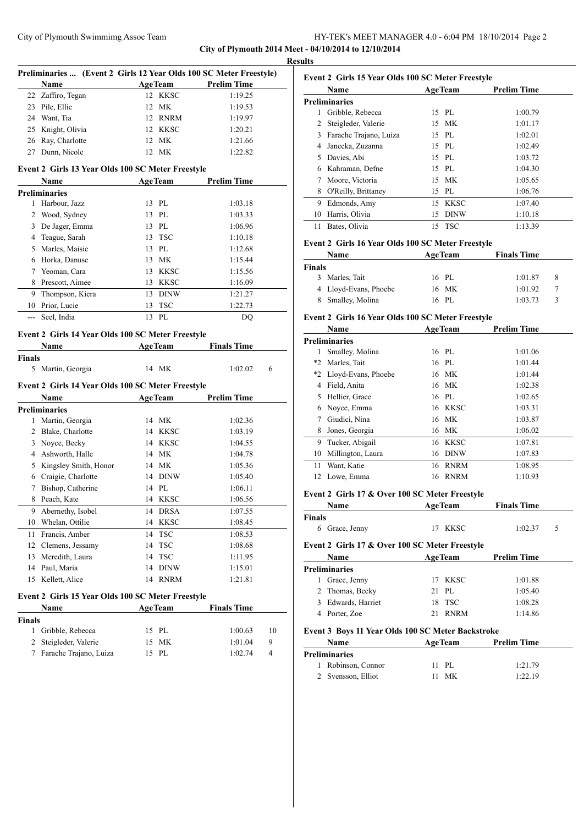**City of Plymouth 2014 Meet - 04/10/2014 to 12/10/2014**

| <b>Prelim Time</b><br>1:19.25<br>1:19.53<br>1:19.97<br>1:20.21<br>1:21.66<br>1:22.82<br><b>Prelim Time</b><br>1:03.18<br>1:03.33<br>1:06.96<br>1:10.18<br>1:12.68<br>1:15.44<br>1:15.56<br>1:16.09<br>1:21.27<br>1:22.73<br>DQ<br><b>Finals Time</b> |
|------------------------------------------------------------------------------------------------------------------------------------------------------------------------------------------------------------------------------------------------------|
|                                                                                                                                                                                                                                                      |
|                                                                                                                                                                                                                                                      |
|                                                                                                                                                                                                                                                      |
|                                                                                                                                                                                                                                                      |
|                                                                                                                                                                                                                                                      |
|                                                                                                                                                                                                                                                      |
|                                                                                                                                                                                                                                                      |
|                                                                                                                                                                                                                                                      |
|                                                                                                                                                                                                                                                      |
|                                                                                                                                                                                                                                                      |
|                                                                                                                                                                                                                                                      |
|                                                                                                                                                                                                                                                      |
|                                                                                                                                                                                                                                                      |
|                                                                                                                                                                                                                                                      |
|                                                                                                                                                                                                                                                      |
|                                                                                                                                                                                                                                                      |
|                                                                                                                                                                                                                                                      |
|                                                                                                                                                                                                                                                      |
|                                                                                                                                                                                                                                                      |
|                                                                                                                                                                                                                                                      |
|                                                                                                                                                                                                                                                      |
|                                                                                                                                                                                                                                                      |
|                                                                                                                                                                                                                                                      |
|                                                                                                                                                                                                                                                      |
| 1:02.02<br>6                                                                                                                                                                                                                                         |
|                                                                                                                                                                                                                                                      |
| <b>Prelim Time</b>                                                                                                                                                                                                                                   |
|                                                                                                                                                                                                                                                      |
| 1:02.36                                                                                                                                                                                                                                              |
| 1:03.19                                                                                                                                                                                                                                              |
| 1:04.55                                                                                                                                                                                                                                              |
| 1:04.78                                                                                                                                                                                                                                              |
| 1:05.36                                                                                                                                                                                                                                              |
| 1:05.40                                                                                                                                                                                                                                              |
| 1:06.11                                                                                                                                                                                                                                              |
| 1:06.56                                                                                                                                                                                                                                              |
| 1:07.55                                                                                                                                                                                                                                              |
| 1:08.45                                                                                                                                                                                                                                              |
| 1:08.53                                                                                                                                                                                                                                              |
| 1:08.68                                                                                                                                                                                                                                              |
| 1:11.95                                                                                                                                                                                                                                              |
| 1:15.01                                                                                                                                                                                                                                              |
| 1:21.81                                                                                                                                                                                                                                              |
|                                                                                                                                                                                                                                                      |
| <b>Finals Time</b>                                                                                                                                                                                                                                   |
|                                                                                                                                                                                                                                                      |
| 1:00.63<br>10                                                                                                                                                                                                                                        |
| 9<br>1:01.04                                                                                                                                                                                                                                         |
| 1:02.74<br>4                                                                                                                                                                                                                                         |
|                                                                                                                                                                                                                                                      |

|    | Name                   |    | <b>AgeTeam</b> | <b>Prelim Time</b> |
|----|------------------------|----|----------------|--------------------|
|    | <b>Preliminaries</b>   |    |                |                    |
|    | Gribble, Rebecca       |    | 15 PL          | 1:00.79            |
| 2  | Steigleder, Valerie    |    | 15 MK          | 1:01.17            |
| 3  | Farache Trajano, Luiza |    | 15 PL          | 1:02.01            |
| 4  | Janecka, Zuzanna       |    | 15 PL          | 1:02.49            |
| 5. | Davies, Abi            |    | 15 PL          | 1:03.72            |
| 6  | Kahraman, Defne        |    | 15 PL          | 1:04.30            |
|    | Moore, Victoria        |    | 15 MK          | 1:05.65            |
| 8  | O'Reilly, Brittaney    | 15 | PL             | 1:06.76            |
| 9  | Edmonds, Amy           | 15 | KKSC           | 1:07.40            |
| 10 | Harris, Olivia         | 15 | <b>DINW</b>    | 1:10.18            |
| 11 | Bates, Olivia          | 15 | TSC            | 1:13.39            |

#### **Event 2 Girls 16 Year Olds 100 SC Meter Freestyle**

| Name                  | <b>AgeTeam</b> | <b>Finals Time</b> |  |
|-----------------------|----------------|--------------------|--|
| <b>Finals</b>         |                |                    |  |
| 3 Marles, Tait        | 16 PL          | 1:01.87            |  |
| 4 Lloyd-Evans, Phoebe | 16 MK          | 1:01.92            |  |
| 8 Smalley, Molina     | 16 PL          | 1:03.73            |  |

#### **Event 2 Girls 16 Year Olds 100 SC Meter Freestyle**

|    | Name                   |    | <b>AgeTeam</b> | <b>Prelim Time</b> |
|----|------------------------|----|----------------|--------------------|
|    | <b>Preliminaries</b>   |    |                |                    |
| 1  | Smalley, Molina        |    | 16 PL          | 1:01.06            |
| *2 | Marles, Tait           |    | 16 PL          | 1:01.44            |
|    | *2 Lloyd-Evans, Phoebe |    | 16 MK          | 1:01.44            |
| 4  | Field, Anita           |    | 16 MK          | 1:02.38            |
| 5  | Hellier, Grace         |    | 16 PL          | 1:02.65            |
| 6  | Noyce, Emma            |    | 16 KKSC        | 1:03.31            |
|    | Giudici, Nina          |    | 16 MK          | 1:03.87            |
| 8  | Jones, Georgia         | 16 | МK             | 1:06.02            |
| 9  | Tucker, Abigail        |    | 16 KKSC        | 1:07.81            |
| 10 | Millington, Laura      | 16 | <b>DINW</b>    | 1:07.83            |
| 11 | Want, Katie            | 16 | <b>RNRM</b>    | 1:08.95            |
| 12 | Lowe, Emma             | 16 | <b>RNRM</b>    | 1:10.93            |

## **Event 2 Girls 17 & Over 100 SC Meter Freestyle**

| <b>Name</b>    | <b>AgeTeam</b> | <b>Finals Time</b> |    |
|----------------|----------------|--------------------|----|
| Finals         |                |                    |    |
| 6 Grace, Jenny | 17 KKSC        | 1:02.37            | .5 |
|                |                |                    |    |

## **Event 2 Girls 17 & Over 100 SC Meter Freestyle**

|              | Name                 | <b>AgeTeam</b> | <b>Prelim Time</b> |  |
|--------------|----------------------|----------------|--------------------|--|
|              | <b>Preliminaries</b> |                |                    |  |
| $\mathbf{L}$ | Grace, Jenny         | 17 KKSC        | 1:01.88            |  |
|              | 2 Thomas, Becky      | $21$ PL        | 1:05.40            |  |
|              | 3 Edwards, Harriet   | 18 TSC         | 1:08.28            |  |
|              | Porter, Zoe          | <b>RNRM</b>    | 1:14.86            |  |

## **Event 3 Boys 11 Year Olds 100 SC Meter Backstroke**

| Name               | <b>AgeTeam</b> |          | <b>Prelim Time</b> |         |
|--------------------|----------------|----------|--------------------|---------|
| Preliminaries      |                |          |                    |         |
| 1 Robinson, Connor |                | $11$ PL. |                    | 1:21.79 |
| 2 Svensson, Elliot | Ħ              | MK       |                    | 1:22.19 |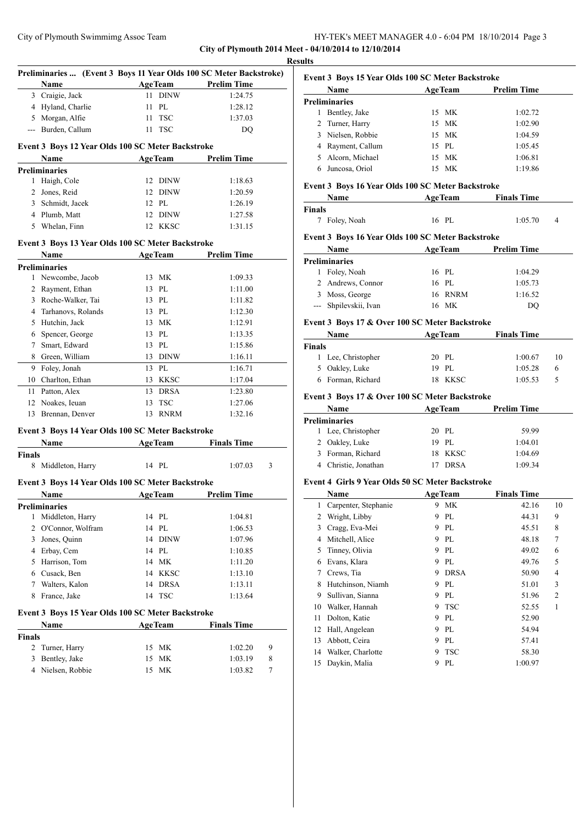## City of Plymouth Swimmimg Assoc Team HY-TEK's MEET MANAGER 4.0 - 6:04 PM 18/10/2014 Page 3 **City of Plymouth 2014 Meet - 04/10/2014 to 12/10/2014**

**Result** 

|                    | Preliminaries  (Event 3 Boys 11 Year Olds 100 SC Meter Backstroke) |    |                |                    |   |
|--------------------|--------------------------------------------------------------------|----|----------------|--------------------|---|
|                    | Name                                                               |    | <b>AgeTeam</b> | <b>Prelim Time</b> |   |
|                    | 3 Craigie, Jack                                                    |    | 11 DINW        | 1:24.75            |   |
|                    | 4 Hyland, Charlie                                                  | 11 | PL             | 1:28.12            |   |
|                    | 5 Morgan, Alfie                                                    | 11 | <b>TSC</b>     | 1:37.03            |   |
|                    | --- Burden, Callum                                                 |    | 11 TSC         | DQ                 |   |
|                    |                                                                    |    |                |                    |   |
|                    | Event 3 Boys 12 Year Olds 100 SC Meter Backstroke<br>Name          |    | <b>AgeTeam</b> | <b>Prelim Time</b> |   |
|                    | <b>Preliminaries</b>                                               |    |                |                    |   |
| 1                  | Haigh, Cole                                                        |    | 12 DINW        | 1:18.63            |   |
|                    | 2 Jones, Reid                                                      |    | 12 DINW        | 1:20.59            |   |
|                    | 3 Schmidt, Jacek                                                   |    | 12 PL          | 1:26.19            |   |
|                    | 4 Plumb, Matt                                                      |    | 12 DINW        | 1:27.58            |   |
|                    | 5 Whelan, Finn                                                     |    | 12 KKSC        | 1:31.15            |   |
|                    |                                                                    |    |                |                    |   |
|                    | Event 3 Boys 13 Year Olds 100 SC Meter Backstroke<br>Name          |    | <b>AgeTeam</b> | <b>Prelim Time</b> |   |
|                    | <b>Preliminaries</b>                                               |    |                |                    |   |
|                    | 1 Newcombe, Jacob                                                  |    | 13 MK          | 1:09.33            |   |
|                    | 2 Rayment, Ethan                                                   | 13 | PL             | 1:11.00            |   |
|                    | 3 Roche-Walker, Tai                                                |    | 13 PL          | 1:11.82            |   |
|                    | 4 Tarhanovs, Rolands                                               |    | 13 PL          | 1:12.30            |   |
|                    | 5 Hutchin, Jack                                                    |    | 13 MK          | 1:12.91            |   |
|                    | 6 Spencer, George                                                  |    | 13 PL          | 1:13.35            |   |
|                    | 7 Smart, Edward                                                    |    | 13 PL          | 1:15.86            |   |
|                    | 8 Green, William                                                   |    | 13 DINW        | 1:16.11            |   |
|                    | 9 Foley, Jonah                                                     |    | 13 PL          | 1:16.71            |   |
|                    | 10 Charlton, Ethan                                                 |    | 13 KKSC        | 1:17.04            |   |
| 11                 | Patton, Alex                                                       |    | 13 DRSA        | 1:23.80            |   |
|                    | 12 Noakes, Ieuan                                                   |    | 13 TSC         | 1:27.06            |   |
| 13                 | Brennan, Denver                                                    |    | 13 RNRM        | 1:32.16            |   |
|                    |                                                                    |    |                |                    |   |
|                    | Event 3 Boys 14 Year Olds 100 SC Meter Backstroke<br>Name          |    |                | <b>Finals Time</b> |   |
| <b>Finals</b>      |                                                                    |    | <b>AgeTeam</b> |                    |   |
|                    | 8 Middleton, Harry                                                 |    | 14 PL          | 1:07.03            | 3 |
|                    |                                                                    |    |                |                    |   |
|                    | Event 3 Boys 14 Year Olds 100 SC Meter Backstroke                  |    |                |                    |   |
|                    | Name                                                               |    | <b>AgeTeam</b> | <b>Prelim Time</b> |   |
|                    | <b>Preliminaries</b>                                               |    |                |                    |   |
| 1                  | Middleton, Harry                                                   |    | 14 PL          | 1:04.81            |   |
|                    | 2 O'Connor, Wolfram                                                | 14 | PL             | 1:06.53            |   |
| 3                  | Jones, Quinn                                                       | 14 | <b>DINW</b>    | 1:07.96            |   |
|                    | 4 Erbay, Cem                                                       |    | 14 PL          | 1:10.85            |   |
|                    | 5 Harrison, Tom                                                    |    | 14 MK          | 1:11.20            |   |
|                    | 6 Cusack, Ben                                                      |    | 14 KKSC        | 1:13.10            |   |
|                    | 7 Walters, Kalon                                                   |    | 14 DRSA        | 1:13.11            |   |
| 8                  | France, Jake                                                       |    | 14 TSC         | 1:13.64            |   |
|                    | Event 3 Boys 15 Year Olds 100 SC Meter Backstroke                  |    |                |                    |   |
|                    | Name                                                               |    | <b>AgeTeam</b> | <b>Finals Time</b> |   |
| <b>Finals</b><br>2 |                                                                    |    |                |                    |   |
|                    | Turner, Harry                                                      | 15 | МK             | 1:02.20            | 9 |
| 3                  | Bentley, Jake                                                      | 15 | МK             | 1:03.19            | 8 |
| 4                  | Nielsen, Robbie                                                    | 15 | <b>MK</b>      | 1:03.82            | 7 |

| ults          |                                                           |                                       |                    |                |
|---------------|-----------------------------------------------------------|---------------------------------------|--------------------|----------------|
|               | Event 3 Boys 15 Year Olds 100 SC Meter Backstroke<br>Name | <b>AgeTeam</b>                        | <b>Prelim Time</b> |                |
|               | <b>Preliminaries</b>                                      |                                       |                    |                |
|               | 1 Bentley, Jake                                           | 15 MK                                 | 1:02.72            |                |
|               | 2 Turner, Harry                                           | 15 MK                                 | 1:02.90            |                |
|               | 3 Nielsen, Robbie                                         | 15 MK                                 | 1:04.59            |                |
|               | 4 Rayment, Callum                                         | 15 PL                                 | 1:05.45            |                |
|               | 5 Alcorn, Michael                                         | 15 MK                                 | 1:06.81            |                |
|               | 6 Juncosa, Oriol                                          | 15 MK                                 | 1:19.86            |                |
|               | Event 3 Boys 16 Year Olds 100 SC Meter Backstroke         |                                       |                    |                |
|               | Name                                                      | <b>ExamPedia Age Team</b> Finals Time |                    |                |
| <b>Finals</b> |                                                           |                                       |                    |                |
|               | 7 Foley, Noah                                             | 16 PL                                 | 1:05.70            | $\overline{4}$ |
|               | Event 3 Boys 16 Year Olds 100 SC Meter Backstroke         |                                       |                    |                |
|               | <b>Name</b>                                               | <b>AgeTeam</b>                        | <b>Prelim Time</b> |                |
|               | <b>Preliminaries</b>                                      |                                       |                    |                |
|               | 1 Foley, Noah                                             | 16 PL                                 | 1:04.29            |                |
|               | 2 Andrews, Connor                                         | 16 PL                                 | 1:05.73            |                |
|               | 3 Moss, George                                            | 16 RNRM                               | 1:16.52            |                |
|               | --- Shpilevskii, Ivan                                     | 16 MK                                 | DQ                 |                |
|               | Event 3 Boys 17 & Over 100 SC Meter Backstroke            |                                       |                    |                |
|               | Name                                                      | <b>AgeTeam</b>                        | <b>Finals Time</b> |                |
| <b>Finals</b> |                                                           |                                       |                    |                |
|               | 1 Lee, Christopher                                        | 20 PL                                 | 1:00.67            | 10             |
|               | 5 Oakley, Luke                                            | 19 PL                                 | 1:05.28            | 6              |
|               | 6 Forman, Richard                                         | 18 KKSC                               | 1:05.53            | 5              |
|               | Event 3 Boys 17 & Over 100 SC Meter Backstroke            |                                       |                    |                |
|               | Name                                                      | <b>AgeTeam</b>                        | <b>Prelim Time</b> |                |
|               | <b>Preliminaries</b>                                      |                                       |                    |                |
|               | 1 Lee, Christopher                                        | 20 PL                                 | 59.99              |                |
|               | 2 Oakley, Luke                                            | 19 PL                                 | 1:04.01            |                |
|               | 3 Forman, Richard                                         | 18 KKSC                               | 1:04.69            |                |
|               | 4 Christie, Jonathan                                      | 17 DRSA                               | 1:09.34            |                |
|               | Event 4 Girls 9 Year Olds 50 SC Meter Backstroke          |                                       |                    |                |
|               | Name                                                      | <b>AgeTeam</b>                        | <b>Finals Time</b> |                |
|               | 1 Carpenter, Stephanie                                    | 9 MK                                  | 42.16              | 10             |
|               | $2$ Wright Libby                                          | $Q$ DT                                | $AA$ 21            | $\Omega$       |

| Wright, Libby     | 9              | PL          | 44.31   | 9              |
|-------------------|----------------|-------------|---------|----------------|
|                   |                |             |         |                |
|                   | 9              | PL          | 45.51   | 8              |
| Mitchell, Alice   | 9              | PL          | 48.18   | 7              |
| Tinney, Olivia    | 9              | PL          | 49.02   | 6              |
| Evans, Klara      | 9              | PL          | 49.76   | 5              |
| Crews, Tia        | 9              | <b>DRSA</b> | 50.90   | 4              |
| Hutchinson, Niamh | 9              | PL          | 51.01   | 3              |
| Sullivan, Sianna  | 9              | PL          | 51.96   | $\overline{2}$ |
| Walker, Hannah    | 9              | <b>TSC</b>  | 52.55   | 1              |
| Dolton, Katie     | 9              | PI.         | 52.90   |                |
| Hall, Angelean    | 9              | PL          | 54.94   |                |
| Abbott, Ceira     | 9              | PL          | 57.41   |                |
| Walker, Charlotte | 9              | <b>TSC</b>  | 58.30   |                |
| Daykin, Malia     | 9              | PL          | 1:00.97 |                |
|                   | Cragg, Eva-Mei |             |         |                |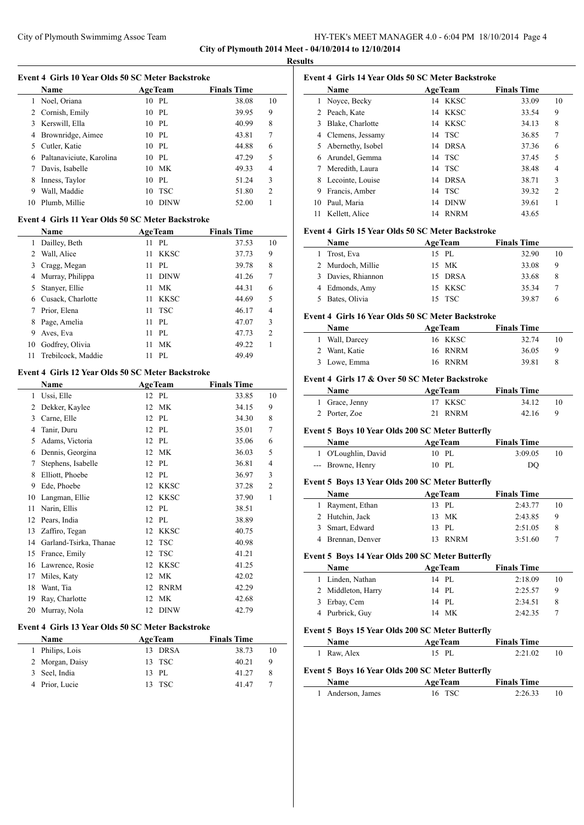#### HY-TEK's MEET MANAGER 4.0 - 6:04 PM 18/10/2014 Page 4 **City of Plymouth 2014 Meet - 04/10/2014 to 12/10/2014**

**Results**

|                |                                                   |    |                | City of Plymouth 2014 N |                |
|----------------|---------------------------------------------------|----|----------------|-------------------------|----------------|
|                | Event 4 Girls 10 Year Olds 50 SC Meter Backstroke |    |                |                         |                |
|                | <b>Name</b>                                       |    | <b>AgeTeam</b> | <b>Finals Time</b>      |                |
|                | 1 Noel, Oriana                                    |    | 10 PL          | 38.08                   | 10             |
|                | 2 Cornish, Emily                                  |    | $10P$ L        | 39.95                   | 9              |
|                | 3 Kerswill, Ella                                  |    | 10 PL          | 40.99                   | 8              |
|                | 4 Brownridge, Aimee                               |    | 10 PL          | 43.81                   | 7              |
|                | 5 Cutler, Katie                                   |    | 10 PL          | 44.88                   | 6              |
|                | 6 Paltanaviciute, Karolina                        |    | $10$ PL        | 47.29                   | 5              |
|                | 7 Davis, Isabelle                                 |    | 10 MK          | 49.33                   | 4              |
|                | 8 Inness, Taylor                                  |    | 10 PL          | 51.24                   | 3              |
|                | 9 Wall, Maddie                                    | 10 | <b>TSC</b>     | 51.80                   | $\overline{c}$ |
|                | 10 Plumb, Millie                                  |    | 10 DINW        | 52.00                   | 1              |
|                | Event 4 Girls 11 Year Olds 50 SC Meter Backstroke |    |                |                         |                |
|                | Name                                              |    | <b>AgeTeam</b> | <b>Finals Time</b>      |                |
| $\mathbf{1}$   | Dailley, Beth                                     | 11 | PL             | 37.53                   | 10             |
|                | 2 Wall, Alice                                     | 11 | <b>KKSC</b>    | 37.73                   | 9              |
|                | 3 Cragg, Megan                                    | 11 | PI.            | 39.78                   | 8              |
|                | 4 Murray, Philippa                                | 11 | <b>DINW</b>    | 41.26                   | 7              |
|                | 5 Stanyer, Ellie                                  | 11 | <b>MK</b>      | 44.31                   | 6              |
|                | 6 Cusack, Charlotte                               | 11 | <b>KKSC</b>    | 44.69                   | 5              |
|                | 7 Prior, Elena                                    | 11 | <b>TSC</b>     | 46.17                   | 4              |
|                | 8 Page, Amelia                                    | 11 | PL             | 47.07                   | 3              |
|                | 9 Aves, Eva                                       | 11 | PL             | 47.73                   | $\overline{c}$ |
|                | 10 Godfrey, Olivia                                | 11 | <b>MK</b>      | 49.22                   | 1              |
| 11             | Trebilcock, Maddie                                | 11 | PL             | 49.49                   |                |
|                | Event 4 Girls 12 Year Olds 50 SC Meter Backstroke |    |                |                         |                |
|                | Name                                              |    | <b>AgeTeam</b> | <b>Finals Time</b>      |                |
|                | 1 Ussi, Elle                                      |    | 12 PL          | 33.85                   | 10             |
|                | 2 Dekker, Kaylee                                  | 12 | МK             | 34.15                   | 9              |
|                | 3 Carne, Elle                                     |    | 12 PL          | 34.30                   | 8              |
| $\overline{4}$ | Tanir, Duru                                       |    | 12 PL          | 35.01                   | 7              |
|                | 5 Adams, Victoria                                 |    | 12 PL          | 35.06                   | 6              |
|                | 6 Dennis, Georgina                                |    | 12 MK          | 36.03                   | 5              |
|                | 7 Stephens, Isabelle                              |    | 12 PL          | 36.81                   | 4              |
|                | 8 Elliott, Phoebe                                 |    | 12 PL          | 36.97                   | 3              |
|                | 9 Ede, Phoebe                                     | 12 | KKSC           | 37.28                   | $\overline{c}$ |
|                | 10 Langman, Ellie                                 | 12 | KKSC           | 37.90                   | 1              |
| 11             | Narin, Ellis                                      | 12 | PL             | 38.51                   |                |
| 12             | Pears, India                                      | 12 | PL             |                         |                |

| 12 Pears, India                                                                                                                                                                                                                                                                                       | 12 PL   | 38.89 |
|-------------------------------------------------------------------------------------------------------------------------------------------------------------------------------------------------------------------------------------------------------------------------------------------------------|---------|-------|
| 13 Zaffiro, Tegan                                                                                                                                                                                                                                                                                     | 12 KKSC | 40.75 |
| 14 Garland-Tsirka, Thanae                                                                                                                                                                                                                                                                             | 12 TSC  | 40.98 |
| 15 France, Emily                                                                                                                                                                                                                                                                                      | 12 TSC  | 41.21 |
| 16 Lawrence, Rosie                                                                                                                                                                                                                                                                                    | 12 KKSC | 41.25 |
| 17 Miles, Katy                                                                                                                                                                                                                                                                                        | 12 MK   | 42.02 |
| 18 Want, Tia                                                                                                                                                                                                                                                                                          | 12 RNRM | 42.29 |
| 19 Ray, Charlotte                                                                                                                                                                                                                                                                                     | 12 MK   | 42.68 |
| 20 Murray, Nola                                                                                                                                                                                                                                                                                       | 12 DINW | 42.79 |
| $\mathbf{A}$ $\mathbf{C}$ and $\mathbf{A}$ $\mathbf{V}$ and $\mathbf{A}$ $\mathbf{A}$ and $\mathbf{A}$ and $\mathbf{A}$ and $\mathbf{A}$ and $\mathbf{A}$ and $\mathbf{A}$ and $\mathbf{A}$ and $\mathbf{A}$ and $\mathbf{A}$ and $\mathbf{A}$ and $\mathbf{A}$ and $\mathbf{A}$ and $\mathbf{A}$ and |         |       |

## **Event 4 Girls 13 Year Olds 50 SC Meter Backstroke**

 $\overline{\phantom{a}}$ 

| <b>Name</b>     | <b>AgeTeam</b> | <b>Finals Time</b> |    |
|-----------------|----------------|--------------------|----|
| 1 Philips, Lois | 13 DRSA        | 38.73              | 10 |
| 2 Morgan, Daisy | 13 TSC         | 40.21              | 9  |
| 3 Seel, India   | 13 PL          | 41.27              |    |
| 4 Prior, Lucie  | 13 TSC         | 4147               |    |

|    | Event 4 Girls 14 Year Olds 50 SC Meter Backstroke |                |                |                    |                |
|----|---------------------------------------------------|----------------|----------------|--------------------|----------------|
|    | Name                                              | <b>AgeTeam</b> |                | <b>Finals Time</b> |                |
| 1  | Noyce, Becky                                      |                | 14 KKSC        | 33.09              | 10             |
|    | 2 Peach, Kate                                     |                | 14 KKSC        | 33.54              | 9              |
|    | 3 Blake, Charlotte                                |                | 14 KKSC        | 34.13              | 8              |
|    | 4 Clemens, Jessamy                                |                | 14 TSC         | 36.85              | 7              |
|    | 5 Abernethy, Isobel                               |                | 14 DRSA        | 37.36              | 6              |
|    | 6 Arundel, Gemma                                  |                | 14 TSC         | 37.45              | 5              |
|    | 7 Meredith, Laura                                 |                | 14 TSC         | 38.48              | 4              |
|    | 8 Lecointe, Louise                                |                | 14 DRSA        | 38.71              | 3              |
|    | 9 Francis, Amber                                  |                | 14 TSC         | 39.32              | $\overline{c}$ |
|    | 10 Paul, Maria                                    |                | 14 DINW        | 39.61              | 1              |
| 11 | Kellett, Alice                                    |                | 14 RNRM        | 43.65              |                |
|    | Event 4 Girls 15 Year Olds 50 SC Meter Backstroke |                |                |                    |                |
|    | Name                                              | <b>AgeTeam</b> |                | <b>Finals Time</b> |                |
| 1  | Trost, Eva                                        | 15 PL          |                | 32.90              | 10             |
|    | 2 Murdoch, Millie                                 | 15             | МK             | 33.08              | 9              |
|    | 3 Davies, Rhiannon                                |                | 15 DRSA        | 33.68              | 8              |
|    | 4 Edmonds, Amy                                    |                | 15 KKSC        | 35.34              | 7              |
|    | 5 Bates, Olivia                                   |                | 15 TSC         | 39.87              | 6              |
|    | Event 4 Girls 16 Year Olds 50 SC Meter Backstroke |                |                |                    |                |
|    | Name                                              | <b>AgeTeam</b> |                | <b>Finals Time</b> |                |
|    | 1 Wall, Darcey                                    |                | 16 KKSC        | 32.74              | 10             |
|    | 2 Want, Katie                                     |                | 16 RNRM        | 36.05              | 9              |
|    | 3 Lowe, Emma                                      |                | 16 RNRM        | 39.81              | 8              |
|    | Event 4 Girls 17 & Over 50 SC Meter Backstroke    |                |                |                    |                |
|    | Name                                              |                | <b>AgeTeam</b> | <b>Finals Time</b> |                |
|    | 1 Grace, Jenny                                    | 17             | KKSC           | 34.12              | 10             |
| 2  | Porter, Zoe                                       | 21             | <b>RNRM</b>    | 42.16              | 9              |
|    | Event 5 Boys 10 Year Olds 200 SC Meter Butterfly  |                |                |                    |                |
|    | Name                                              | <b>AgeTeam</b> |                | <b>Finals Time</b> |                |
| 1  | O'Loughlin, David                                 | 10 PL          |                | 3:09.05            | 10             |
|    | --- Browne, Henry                                 | 10 PL          |                | DO                 |                |
|    | Event 5 Boys 13 Year Olds 200 SC Meter Butterfly  |                |                |                    |                |
|    | Name                                              | <b>AgeTeam</b> |                | <b>Finals Time</b> |                |
| 1  | Rayment, Ethan                                    | 13 PL          |                | 2:43.77            | 10             |
| 2  | Hutchin, Jack                                     | 13             | MK             | 2:43.85            | 9              |
| 3  | Smart, Edward                                     | 13             | PL             | 2:51.05            | 8              |
| 4  | Brennan, Denver                                   | 13             | <b>RNRM</b>    | 3:51.60            | 7              |
|    | Event 5 Boys 14 Year Olds 200 SC Meter Butterfly  |                |                |                    |                |
|    | Name                                              | <b>AgeTeam</b> |                | <b>Finals Time</b> |                |
| 1  | Linden, Nathan                                    | 14 PL          |                | 2:18.09            | 10             |
| 2  | Middleton, Harry                                  | 14             | PL             | 2:25.57            | 9              |
|    |                                                   |                |                |                    |                |

# **Event 5 Boys 15 Year Olds 200 SC Meter Butterfly**

| Name                                             | <b>AgeTeam</b> | <b>Finals Time</b> |    |
|--------------------------------------------------|----------------|--------------------|----|
| 1 Raw, Alex                                      | 15 PL          | 2:21.02            | 10 |
| Event 5 Boys 16 Year Olds 200 SC Meter Butterfly |                |                    |    |
|                                                  |                |                    |    |

 Erbay, Cem 14 PL 2:34.51 8 Purbrick, Guy 14 MK 2:42.35 7

# 1 Anderson, James 16 TSC 2:26.33 10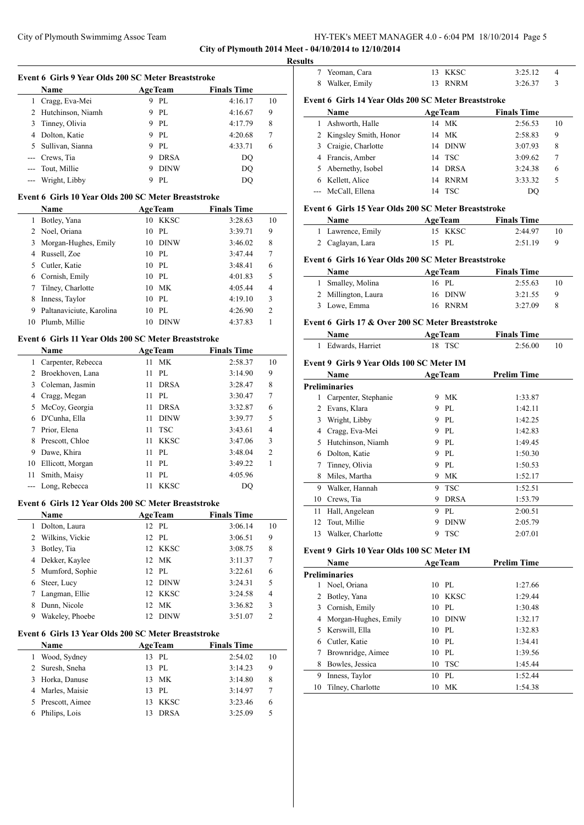**City of Plymouth 2014 Meet - 04/10/2014 to 12/10/2014**

**Results**

|     |                                                      |                   | City of Plymouth 2014 Meet - |                          |
|-----|------------------------------------------------------|-------------------|------------------------------|--------------------------|
|     |                                                      |                   |                              | <b>Result</b>            |
|     | Event 6 Girls 9 Year Olds 200 SC Meter Breaststroke  |                   |                              |                          |
|     | Name                                                 | <b>AgeTeam</b>    | <b>Finals Time</b>           |                          |
|     | 1 Cragg, Eva-Mei                                     | 9 PL              | 4:16.17                      | E<br>10                  |
|     | 2 Hutchinson, Niamh                                  | 9 PL              | 4:16.67                      | 9                        |
| 3   | Tinney, Olivia                                       | 9 PL              | 4:17.79                      | 8                        |
|     | 4 Dolton, Katie                                      | 9 PL              | 4:20.68                      | 7                        |
| 5   | Sullivan, Sianna                                     | 9 PL              | 4:33.71                      | 6                        |
| --- | Crews, Tia                                           | 9 DRSA            | DQ                           |                          |
| --- | Tout, Millie                                         | 9 DINW            | <b>DQ</b>                    |                          |
| --- | Wright, Libby                                        | 9 PL              | <b>DQ</b>                    |                          |
|     | Event 6 Girls 10 Year Olds 200 SC Meter Breaststroke |                   |                              |                          |
|     | Name                                                 | <b>AgeTeam</b>    | <b>Finals Time</b>           | E                        |
| 1   | Botley, Yana                                         | 10 KKSC           | 3:28.63                      | 10                       |
|     | 2 Noel, Oriana                                       | 10 PL             | 3:39.71                      | 9                        |
| 3   | Morgan-Hughes, Emily                                 | 10 DINW           | 3:46.02                      | 8                        |
|     | 4 Russell, Zoe                                       | 10 PL             | 3:47.44                      | 7<br>E                   |
| 5   | Cutler, Katie                                        | 10 PL             | 3:48.41                      | 6                        |
|     | 6 Cornish, Emily                                     | 10 PL             | 4:01.83                      | 5                        |
| 7   | Tilney, Charlotte                                    | 10 MK             | 4:05.44                      | 4                        |
| 8   | Inness, Taylor                                       | 10 PL             | 4:19.10                      | 3                        |
| 9   | Paltanaviciute, Karolina                             | 10 PL             | 4:26.90                      | $\overline{c}$           |
|     | 10 Plumb, Millie                                     | 10 DINW           | 4:37.83                      | 1<br>E                   |
|     | Event 6 Girls 11 Year Olds 200 SC Meter Breaststroke |                   |                              |                          |
|     | Name                                                 | <b>AgeTeam</b>    | <b>Finals Time</b>           |                          |
|     | 1 Carpenter, Rebecca                                 | 11<br><b>MK</b>   | 2:58.37                      | 10<br>E                  |
|     | 2 Broekhoven, Lana                                   | 11<br>PL          | 3:14.90                      | 9                        |
|     | 3 Coleman, Jasmin                                    | 11<br><b>DRSA</b> | 3:28.47                      | 8<br>P                   |
|     | 4 Cragg, Megan                                       | 11<br>PL          | 3:30.47                      | 7                        |
|     | 5 McCoy, Georgia                                     | 11<br><b>DRSA</b> | 3:32.87                      | 6                        |
|     | 6 D'Cunha, Ella                                      | 11<br><b>DINW</b> | 3:39.77                      | 5                        |
| 7   | Prior, Elena                                         | 11<br><b>TSC</b>  | 3:43.61                      | $\overline{\mathcal{L}}$ |
| 8   | Prescott, Chloe                                      | 11<br><b>KKSC</b> | 3:47.06                      | 3                        |
| 9   | Dawe, Khira                                          | PL<br>11          | 3:48.04                      | $\overline{c}$           |
| 10  | Ellicott, Morgan                                     | PL<br>11          | 3:49.22                      | 1                        |

## **Event 6 Girls 12 Year Olds 200 SC Meter Breaststroke**

 Smith, Maisy 11 PL 4:05.96 --- Long, Rebecca 11 KKSC DQ

|   | <b>Name</b>       | <b>AgeTeam</b> |             | <b>Finals Time</b> |                |
|---|-------------------|----------------|-------------|--------------------|----------------|
|   | Dolton, Laura     |                | 12 PL       | 3:06.14            | 10             |
|   | 2 Wilkins, Vickie |                | 12 PL       | 3:06.51            | 9              |
| 3 | Botley, Tia       |                | 12 KKSC     | 3:08.75            | 8              |
|   | 4 Dekker, Kaylee  |                | 12 MK       | 3:11.37            | 7              |
|   | 5 Mumford, Sophie |                | 12 PL       | 3:22.61            | 6              |
|   | 6 Steer, Lucy     |                | 12 DINW     | 3:24.31            | 5              |
|   | 7 Langman, Ellie  |                | 12 KKSC     | 3:24.58            | $\overline{4}$ |
| 8 | Dunn, Nicole      |                | 12 MK       | 3:36.82            | 3              |
| 9 | Wakeley, Phoebe   |                | <b>DINW</b> | 3:51.07            | $\mathfrak{D}$ |

## **Event 6 Girls 13 Year Olds 200 SC Meter Breaststroke**

|   | <b>Name</b>       |     | <b>AgeTeam</b> | <b>Finals Time</b> |    |
|---|-------------------|-----|----------------|--------------------|----|
|   | Wood, Sydney      |     | $13$ PL        | 2:54.02            | 10 |
|   | 2 Suresh, Sneha   |     | $13$ PL        | 3:14.23            | 9  |
| 3 | Horka, Danuse     |     | 13 MK          | 3:14.80            | 8  |
|   | 4 Marles, Maisie  | 13. | PL             | 3:14.97            |    |
|   | 5 Prescott, Aimee | 13. | KKSC           | 3:23.46            | 6  |
|   | Philips, Lois     |     | <b>DRSA</b>    | 3:25.09            | 5  |

| Yeoman, Cara<br>8 Walker, Emily<br>Event 6 Girls 14 Year Olds 200 SC Meter Breaststroke<br>Name<br>Ashworth, Halle<br>2 Kingsley Smith, Honor<br>3 Craigie, Charlotte<br>4 Francis, Amber<br>5 Abernethy, Isobel<br>6 Kellett, Alice<br>McCall, Ellena<br>Event 6 Girls 15 Year Olds 200 SC Meter Breaststroke<br>Name<br>1 Lawrence, Emily<br>2 Caglayan, Lara | 14                                                                                                                                                                                                                           | 13 KKSC<br>13 RNRM<br><b>AgeTeam</b><br>14 MK<br>МK<br>14 DINW<br>14 TSC<br>14 DRSA<br>14 RNRM<br>14 TSC | 3:25.12<br>3:26.37<br><b>Finals Time</b><br>2:56.53<br>2:58.83<br>3:07.93<br>3:09.62<br>3:24.38<br>3:33.32<br>DQ                                                                                                                                                                                                                  | 4<br>3<br>10<br>9<br>8<br>7<br>6<br>5                                                                                                                                                 |
|-----------------------------------------------------------------------------------------------------------------------------------------------------------------------------------------------------------------------------------------------------------------------------------------------------------------------------------------------------------------|------------------------------------------------------------------------------------------------------------------------------------------------------------------------------------------------------------------------------|----------------------------------------------------------------------------------------------------------|-----------------------------------------------------------------------------------------------------------------------------------------------------------------------------------------------------------------------------------------------------------------------------------------------------------------------------------|---------------------------------------------------------------------------------------------------------------------------------------------------------------------------------------|
|                                                                                                                                                                                                                                                                                                                                                                 |                                                                                                                                                                                                                              |                                                                                                          |                                                                                                                                                                                                                                                                                                                                   |                                                                                                                                                                                       |
|                                                                                                                                                                                                                                                                                                                                                                 |                                                                                                                                                                                                                              |                                                                                                          |                                                                                                                                                                                                                                                                                                                                   |                                                                                                                                                                                       |
|                                                                                                                                                                                                                                                                                                                                                                 |                                                                                                                                                                                                                              |                                                                                                          |                                                                                                                                                                                                                                                                                                                                   |                                                                                                                                                                                       |
|                                                                                                                                                                                                                                                                                                                                                                 |                                                                                                                                                                                                                              |                                                                                                          |                                                                                                                                                                                                                                                                                                                                   |                                                                                                                                                                                       |
|                                                                                                                                                                                                                                                                                                                                                                 |                                                                                                                                                                                                                              |                                                                                                          |                                                                                                                                                                                                                                                                                                                                   |                                                                                                                                                                                       |
|                                                                                                                                                                                                                                                                                                                                                                 |                                                                                                                                                                                                                              |                                                                                                          |                                                                                                                                                                                                                                                                                                                                   |                                                                                                                                                                                       |
|                                                                                                                                                                                                                                                                                                                                                                 |                                                                                                                                                                                                                              |                                                                                                          |                                                                                                                                                                                                                                                                                                                                   |                                                                                                                                                                                       |
|                                                                                                                                                                                                                                                                                                                                                                 |                                                                                                                                                                                                                              |                                                                                                          |                                                                                                                                                                                                                                                                                                                                   |                                                                                                                                                                                       |
|                                                                                                                                                                                                                                                                                                                                                                 |                                                                                                                                                                                                                              |                                                                                                          |                                                                                                                                                                                                                                                                                                                                   |                                                                                                                                                                                       |
|                                                                                                                                                                                                                                                                                                                                                                 |                                                                                                                                                                                                                              |                                                                                                          |                                                                                                                                                                                                                                                                                                                                   |                                                                                                                                                                                       |
|                                                                                                                                                                                                                                                                                                                                                                 |                                                                                                                                                                                                                              |                                                                                                          |                                                                                                                                                                                                                                                                                                                                   |                                                                                                                                                                                       |
|                                                                                                                                                                                                                                                                                                                                                                 |                                                                                                                                                                                                                              |                                                                                                          |                                                                                                                                                                                                                                                                                                                                   |                                                                                                                                                                                       |
|                                                                                                                                                                                                                                                                                                                                                                 |                                                                                                                                                                                                                              |                                                                                                          |                                                                                                                                                                                                                                                                                                                                   |                                                                                                                                                                                       |
|                                                                                                                                                                                                                                                                                                                                                                 |                                                                                                                                                                                                                              | <b>AgeTeam</b>                                                                                           | <b>Finals Time</b>                                                                                                                                                                                                                                                                                                                |                                                                                                                                                                                       |
|                                                                                                                                                                                                                                                                                                                                                                 |                                                                                                                                                                                                                              | 15 KKSC                                                                                                  | 2:44.97                                                                                                                                                                                                                                                                                                                           | 10                                                                                                                                                                                    |
|                                                                                                                                                                                                                                                                                                                                                                 |                                                                                                                                                                                                                              | 15 PL                                                                                                    | 2:51.19                                                                                                                                                                                                                                                                                                                           | 9                                                                                                                                                                                     |
| Event 6 Girls 16 Year Olds 200 SC Meter Breaststroke                                                                                                                                                                                                                                                                                                            |                                                                                                                                                                                                                              |                                                                                                          |                                                                                                                                                                                                                                                                                                                                   |                                                                                                                                                                                       |
| Name                                                                                                                                                                                                                                                                                                                                                            |                                                                                                                                                                                                                              | <b>AgeTeam</b>                                                                                           | <b>Finals Time</b>                                                                                                                                                                                                                                                                                                                |                                                                                                                                                                                       |
| Smalley, Molina                                                                                                                                                                                                                                                                                                                                                 |                                                                                                                                                                                                                              | 16 PL                                                                                                    | 2:55.63                                                                                                                                                                                                                                                                                                                           | 10                                                                                                                                                                                    |
| 2 Millington, Laura                                                                                                                                                                                                                                                                                                                                             |                                                                                                                                                                                                                              |                                                                                                          | 3:21.55                                                                                                                                                                                                                                                                                                                           | 9                                                                                                                                                                                     |
| 3 Lowe, Emma                                                                                                                                                                                                                                                                                                                                                    |                                                                                                                                                                                                                              |                                                                                                          | 3:27.09                                                                                                                                                                                                                                                                                                                           | 8                                                                                                                                                                                     |
|                                                                                                                                                                                                                                                                                                                                                                 |                                                                                                                                                                                                                              |                                                                                                          |                                                                                                                                                                                                                                                                                                                                   |                                                                                                                                                                                       |
| Name                                                                                                                                                                                                                                                                                                                                                            |                                                                                                                                                                                                                              |                                                                                                          | <b>Finals Time</b>                                                                                                                                                                                                                                                                                                                |                                                                                                                                                                                       |
| 1 Edwards, Harriet                                                                                                                                                                                                                                                                                                                                              | 18                                                                                                                                                                                                                           | <b>TSC</b>                                                                                               | 2:56.00                                                                                                                                                                                                                                                                                                                           | 10                                                                                                                                                                                    |
|                                                                                                                                                                                                                                                                                                                                                                 |                                                                                                                                                                                                                              |                                                                                                          |                                                                                                                                                                                                                                                                                                                                   |                                                                                                                                                                                       |
|                                                                                                                                                                                                                                                                                                                                                                 |                                                                                                                                                                                                                              |                                                                                                          |                                                                                                                                                                                                                                                                                                                                   |                                                                                                                                                                                       |
|                                                                                                                                                                                                                                                                                                                                                                 |                                                                                                                                                                                                                              |                                                                                                          |                                                                                                                                                                                                                                                                                                                                   |                                                                                                                                                                                       |
|                                                                                                                                                                                                                                                                                                                                                                 |                                                                                                                                                                                                                              |                                                                                                          |                                                                                                                                                                                                                                                                                                                                   |                                                                                                                                                                                       |
|                                                                                                                                                                                                                                                                                                                                                                 |                                                                                                                                                                                                                              |                                                                                                          |                                                                                                                                                                                                                                                                                                                                   |                                                                                                                                                                                       |
|                                                                                                                                                                                                                                                                                                                                                                 |                                                                                                                                                                                                                              |                                                                                                          |                                                                                                                                                                                                                                                                                                                                   |                                                                                                                                                                                       |
|                                                                                                                                                                                                                                                                                                                                                                 |                                                                                                                                                                                                                              |                                                                                                          |                                                                                                                                                                                                                                                                                                                                   |                                                                                                                                                                                       |
|                                                                                                                                                                                                                                                                                                                                                                 |                                                                                                                                                                                                                              |                                                                                                          |                                                                                                                                                                                                                                                                                                                                   |                                                                                                                                                                                       |
|                                                                                                                                                                                                                                                                                                                                                                 |                                                                                                                                                                                                                              |                                                                                                          |                                                                                                                                                                                                                                                                                                                                   |                                                                                                                                                                                       |
|                                                                                                                                                                                                                                                                                                                                                                 |                                                                                                                                                                                                                              |                                                                                                          |                                                                                                                                                                                                                                                                                                                                   |                                                                                                                                                                                       |
|                                                                                                                                                                                                                                                                                                                                                                 |                                                                                                                                                                                                                              |                                                                                                          |                                                                                                                                                                                                                                                                                                                                   |                                                                                                                                                                                       |
|                                                                                                                                                                                                                                                                                                                                                                 |                                                                                                                                                                                                                              |                                                                                                          |                                                                                                                                                                                                                                                                                                                                   |                                                                                                                                                                                       |
|                                                                                                                                                                                                                                                                                                                                                                 |                                                                                                                                                                                                                              |                                                                                                          |                                                                                                                                                                                                                                                                                                                                   |                                                                                                                                                                                       |
|                                                                                                                                                                                                                                                                                                                                                                 |                                                                                                                                                                                                                              |                                                                                                          |                                                                                                                                                                                                                                                                                                                                   |                                                                                                                                                                                       |
| Hall, Angelean                                                                                                                                                                                                                                                                                                                                                  | 9                                                                                                                                                                                                                            | PL                                                                                                       | 2:00.51                                                                                                                                                                                                                                                                                                                           |                                                                                                                                                                                       |
| Tout, Millie                                                                                                                                                                                                                                                                                                                                                    | 9                                                                                                                                                                                                                            | <b>DINW</b>                                                                                              | 2:05.79                                                                                                                                                                                                                                                                                                                           |                                                                                                                                                                                       |
| Walker, Charlotte                                                                                                                                                                                                                                                                                                                                               | 9                                                                                                                                                                                                                            | TSC                                                                                                      | 2:07.01                                                                                                                                                                                                                                                                                                                           |                                                                                                                                                                                       |
|                                                                                                                                                                                                                                                                                                                                                                 |                                                                                                                                                                                                                              |                                                                                                          |                                                                                                                                                                                                                                                                                                                                   |                                                                                                                                                                                       |
| Name                                                                                                                                                                                                                                                                                                                                                            |                                                                                                                                                                                                                              |                                                                                                          | <b>Prelim Time</b>                                                                                                                                                                                                                                                                                                                |                                                                                                                                                                                       |
| <b>Preliminaries</b>                                                                                                                                                                                                                                                                                                                                            |                                                                                                                                                                                                                              |                                                                                                          |                                                                                                                                                                                                                                                                                                                                   |                                                                                                                                                                                       |
| Noel, Oriana                                                                                                                                                                                                                                                                                                                                                    |                                                                                                                                                                                                                              |                                                                                                          | 1:27.66                                                                                                                                                                                                                                                                                                                           |                                                                                                                                                                                       |
| Botley, Yana                                                                                                                                                                                                                                                                                                                                                    |                                                                                                                                                                                                                              |                                                                                                          | 1:29.44                                                                                                                                                                                                                                                                                                                           |                                                                                                                                                                                       |
| Cornish, Emily                                                                                                                                                                                                                                                                                                                                                  |                                                                                                                                                                                                                              | PL                                                                                                       | 1:30.48                                                                                                                                                                                                                                                                                                                           |                                                                                                                                                                                       |
| Morgan-Hughes, Emily                                                                                                                                                                                                                                                                                                                                            |                                                                                                                                                                                                                              |                                                                                                          | 1:32.17                                                                                                                                                                                                                                                                                                                           |                                                                                                                                                                                       |
| Kerswill, Ella                                                                                                                                                                                                                                                                                                                                                  |                                                                                                                                                                                                                              |                                                                                                          | 1:32.83                                                                                                                                                                                                                                                                                                                           |                                                                                                                                                                                       |
| 6 Cutler, Katie                                                                                                                                                                                                                                                                                                                                                 |                                                                                                                                                                                                                              |                                                                                                          | 1:34.41                                                                                                                                                                                                                                                                                                                           |                                                                                                                                                                                       |
| Brownridge, Aimee                                                                                                                                                                                                                                                                                                                                               |                                                                                                                                                                                                                              |                                                                                                          | 1:39.56                                                                                                                                                                                                                                                                                                                           |                                                                                                                                                                                       |
| Bowles, Jessica                                                                                                                                                                                                                                                                                                                                                 |                                                                                                                                                                                                                              | <b>TSC</b>                                                                                               | 1:45.44                                                                                                                                                                                                                                                                                                                           |                                                                                                                                                                                       |
| Inness, Taylor                                                                                                                                                                                                                                                                                                                                                  | 10                                                                                                                                                                                                                           | PL                                                                                                       | 1:52.44                                                                                                                                                                                                                                                                                                                           |                                                                                                                                                                                       |
| Tilney, Charlotte                                                                                                                                                                                                                                                                                                                                               | 10                                                                                                                                                                                                                           | <b>MK</b>                                                                                                | 1:54.38                                                                                                                                                                                                                                                                                                                           |                                                                                                                                                                                       |
|                                                                                                                                                                                                                                                                                                                                                                 | Name<br><b>Preliminaries</b><br>Carpenter, Stephanie<br>2 Evans, Klara<br>3 Wright, Libby<br>4 Cragg, Eva-Mei<br>Hutchinson, Niamh<br>6 Dolton, Katie<br>Tinney, Olivia<br>8 Miles, Martha<br>9 Walker, Hannah<br>Crews, Tia | 9                                                                                                        | 16 DINW<br>16 RNRM<br><b>AgeTeam</b><br>Event 9 Girls 9 Year Olds 100 SC Meter IM<br><b>AgeTeam</b><br>9 MK<br>9 PL<br>9 PL<br>9 PL<br>9 PL<br>9 PL<br>9 PL<br>9 MK<br>9 TSC<br><b>DRSA</b><br>Event 9 Girls 10 Year Olds 100 SC Meter IM<br><b>AgeTeam</b><br>10 PL<br>10 KKSC<br>10<br>10 DINW<br>10 PL<br>10 PL<br>10 PL<br>10 | Event 6 Girls 17 & Over 200 SC Meter Breaststroke<br><b>Prelim Time</b><br>1:33.87<br>1:42.11<br>1:42.25<br>1:42.83<br>1:49.45<br>1:50.30<br>1:50.53<br>1:52.17<br>1:52.51<br>1:53.79 |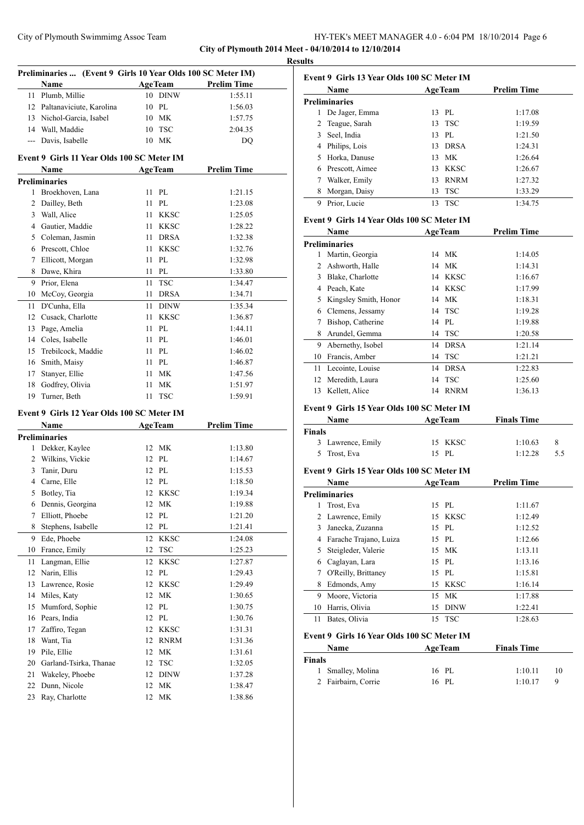### City of Plymouth Swimmimg Assoc Team HY-TEK's MEET MANAGER 4.0 - 6:04 PM 18/10/2014 Page 6 **City of Plymouth 2014 Meet - 04/10/2014 to 12/10/2014**

**Results**

|    | Preliminaries  (Event 9 Girls 10 Year Olds 100 SC Meter IM) |      |                |                    |
|----|-------------------------------------------------------------|------|----------------|--------------------|
|    | Name                                                        |      | <b>AgeTeam</b> | <b>Prelim Time</b> |
|    | 11 Plumb, Millie                                            |      | 10 DINW        | 1:55.11            |
|    | 12 Paltanaviciute, Karolina                                 |      | 10 PL          | 1:56.03            |
|    | 13 Nichol-Garcia, Isabel                                    |      | 10 MK          | 1:57.75            |
|    | 14 Wall, Maddie                                             |      | 10 TSC         | 2:04.35            |
|    | --- Davis, Isabelle                                         |      | 10 MK          | DO                 |
|    | Event 9 Girls 11 Year Olds 100 SC Meter IM                  |      |                |                    |
|    | Name                                                        |      | <b>AgeTeam</b> | <b>Prelim Time</b> |
|    | <b>Preliminaries</b>                                        |      |                |                    |
|    | 1 Broekhoven, Lana                                          | 11   | PL             | 1:21.15            |
|    | 2 Dailley, Beth                                             | 11 - | PL             | 1:23.08            |
|    | 3 Wall, Alice                                               |      | 11 KKSC        | 1:25.05            |
|    | 4 Gautier, Maddie                                           |      | 11 KKSC        | 1:28.22            |
|    | 5 Coleman, Jasmin                                           | 11 - | <b>DRSA</b>    | 1:32.38            |
|    | 6 Prescott, Chloe                                           | 11 - | <b>KKSC</b>    | 1:32.76            |
|    | 7 Ellicott, Morgan                                          | 11   | PL             | 1:32.98            |
|    | 8 Dawe, Khira                                               | 11 - | PL             | 1:33.80            |
|    | 9 Prior, Elena                                              | 11   | <b>TSC</b>     | 1:34.47            |
|    | 10 McCoy, Georgia                                           | 11   | <b>DRSA</b>    | 1:34.71            |
|    | 11 D'Cunha, Ella                                            |      | 11 DINW        | 1:35.34            |
|    | 12 Cusack, Charlotte                                        |      | 11 KKSC        | 1:36.87            |
|    | 13 Page, Amelia                                             | 11   | PL             | 1:44.11            |
|    | 14 Coles, Isabelle                                          | 11   | PL             | 1:46.01            |
|    | 15 Trebilcock, Maddie                                       | 11 - | PL             | 1:46.02            |
|    | 16 Smith, Maisy                                             |      | 11 PL          | 1:46.87            |
|    | 17 Stanyer, Ellie                                           | 11 - | МK             | 1:47.56            |
|    | 18 Godfrey, Olivia                                          | 11   | МK             | 1:51.97            |
|    | 19 Turner, Beth                                             | 11   | <b>TSC</b>     | 1:59.91            |
|    | Event 9 Girls 12 Year Olds 100 SC Meter IM                  |      |                |                    |
|    | Name                                                        |      | <b>AgeTeam</b> | <b>Prelim Time</b> |
|    | <b>Preliminaries</b>                                        |      |                |                    |
| 1  | Dekker, Kaylee                                              |      | 12 MK          | 1:13.80            |
|    | 2 Wilkins, Vickie                                           |      | 12 PL          | 1:14.67            |
|    | 3 Tanir, Duru                                               |      | 12 PL          | 1:15.53            |
|    | 4 Carne, Elle                                               |      | 12 PL          | 1:18.50            |
|    | 5 Botley, Tia                                               |      | 12 KKSC        | 1:19.34            |
| 6  | Dennis, Georgina                                            | 12   | MK             | 1:19.88            |
| 7  | Elliott, Phoebe                                             | 12   | PL             | 1:21.20            |
| 8  | Stephens, Isabelle                                          | 12   | $\rm PL$       | 1:21.41            |
| 9  | Ede, Phoebe                                                 | 12   | <b>KKSC</b>    | 1:24.08            |
| 10 | France, Emily                                               | 12   | <b>TSC</b>     | 1:25.23            |
| 11 | Langman, Ellie                                              | 12   | KKSC           | 1:27.87            |
| 12 | Narin, Ellis                                                | 12   | PL             | 1:29.43            |
|    | 13 Lawrence, Rosie                                          | 12   | <b>KKSC</b>    | 1:29.49            |
|    | 14 Miles, Katy                                              | 12   | МK             | 1:30.65            |
| 15 | Mumford, Sophie                                             |      | 12 PL          | 1:30.75            |
|    | 16 Pears, India                                             |      | 12 PL          | 1:30.76            |
| 17 | Zaffiro, Tegan                                              |      | 12 KKSC        | 1:31.31            |
| 18 | Want, Tia                                                   | 12   | <b>RNRM</b>    | 1:31.36            |
| 19 | Pile, Ellie                                                 | 12   | MK             | 1:31.61            |
| 20 | Garland-Tsirka, Thanae                                      | 12   | <b>TSC</b>     | 1:32.05            |
| 21 | Wakeley, Phoebe                                             | 12   | <b>DINW</b>    | 1:37.28            |
| 22 | Dunn, Nicole                                                | 12   | MK             | 1:38.47            |
| 23 | Ray, Charlotte                                              | 12   | MK             | 1:38.86            |

|             | Event 9 Girls 13 Year Olds 100 SC Meter IM |    |                |                    |  |  |
|-------------|--------------------------------------------|----|----------------|--------------------|--|--|
| <b>Name</b> |                                            |    | <b>AgeTeam</b> | <b>Prelim Time</b> |  |  |
|             | <b>Preliminaries</b>                       |    |                |                    |  |  |
|             | De Jager, Emma                             |    | 13 PL          | 1:17.08            |  |  |
| 2           | Teague, Sarah                              |    | 13 TSC         | 1:19.59            |  |  |
| 3           | Seel, India                                |    | 13 PL          | 1:21.50            |  |  |
|             | Philips, Lois                              | 13 | <b>DRSA</b>    | 1:24.31            |  |  |
| 5.          | Horka, Danuse                              | 13 | МK             | 1:26.64            |  |  |
| 6           | Prescott, Aimee                            | 13 | <b>KKSC</b>    | 1:26.67            |  |  |
|             | Walker, Emily                              | 13 | <b>RNRM</b>    | 1:27.32            |  |  |
| 8           | Morgan, Daisy                              | 13 | <b>TSC</b>     | 1:33.29            |  |  |
| 9           | Prior, Lucie                               | 13 | <b>TSC</b>     | 1:34.75            |  |  |

#### **Event 9 Girls 14 Year Olds 100 SC Meter IM**

|    | Name                  |    | <b>AgeTeam</b> | <b>Prelim Time</b> |
|----|-----------------------|----|----------------|--------------------|
|    | <b>Preliminaries</b>  |    |                |                    |
|    | Martin, Georgia       |    | 14 MK          | 1:14.05            |
| 2  | Ashworth, Halle       |    | 14 MK          | 1:14.31            |
| 3  | Blake, Charlotte      | 14 | KKSC           | 1:16.67            |
| 4  | Peach, Kate           |    | 14 KKSC        | 1:17.99            |
| 5. | Kingsley Smith, Honor |    | 14 MK          | 1:18.31            |
| 6  | Clemens, Jessamy      |    | 14 TSC         | 1:19.28            |
|    | Bishop, Catherine     |    | 14 PL          | 1:19.88            |
| 8  | Arundel, Gemma        | 14 | <b>TSC</b>     | 1:20.58            |
| 9  | Abernethy, Isobel     | 14 | DRSA           | 1:21.14            |
| 10 | Francis, Amber        | 14 | <b>TSC</b>     | 1:21.21            |
| 11 | Lecointe, Louise      | 14 | <b>DRSA</b>    | 1:22.83            |
| 12 | Meredith, Laura       | 14 | <b>TSC</b>     | 1:25.60            |
| 13 | Kellett, Alice        | 14 | <b>RNRM</b>    | 1:36.13            |

### **Event 9 Girls 15 Year Olds 100 SC Meter IM**

| <b>Name</b>       | <b>AgeTeam</b> | <b>Finals Time</b> |     |
|-------------------|----------------|--------------------|-----|
| Finals            |                |                    |     |
| 3 Lawrence, Emily | 15 KKSC        | 1:10.63            | 8   |
| 5 Trost, Eva      | 15 PL          | 1:12.28            | 55. |

#### **Event 9 Girls 15 Year Olds 100 SC Meter IM**

| Name   |                                            |    | <b>AgeTeam</b> | <b>Prelim Time</b> |    |
|--------|--------------------------------------------|----|----------------|--------------------|----|
|        | <b>Preliminaries</b>                       |    |                |                    |    |
| 1      | Trost, Eva                                 | 15 | PL             | 1:11.67            |    |
| 2      | Lawrence, Emily                            | 15 | <b>KKSC</b>    | 1:12.49            |    |
| 3      | Janecka, Zuzanna                           | 15 | PL             | 1:12.52            |    |
| 4      | Farache Trajano, Luiza                     | 15 | PL             | 1:12.66            |    |
| 5      | Steigleder, Valerie                        | 15 | МK             | 1:13.11            |    |
| 6      | Caglayan, Lara                             | 15 | PL             | 1:13.16            |    |
| 7      | O'Reilly, Brittaney                        | 15 | PL             | 1:15.81            |    |
| 8      | Edmonds, Amy                               | 15 | <b>KKSC</b>    | 1:16.14            |    |
| 9      | Moore, Victoria                            | 15 | <b>MK</b>      | 1:17.88            |    |
| 10     | Harris, Olivia                             | 15 | <b>DINW</b>    | 1:22.41            |    |
| 11     | Bates, Olivia                              | 15 | <b>TSC</b>     | 1:28.63            |    |
|        | Event 9 Girls 16 Year Olds 100 SC Meter IM |    |                |                    |    |
|        | Name                                       |    | <b>AgeTeam</b> | <b>Finals Time</b> |    |
| Finals |                                            |    |                |                    |    |
| 1      | Smalley, Molina                            |    | 16 PL          | 1:10.11            | 10 |
| 2      | Fairbairn, Corrie                          |    | 16 PL          | 1:10.17            | 9  |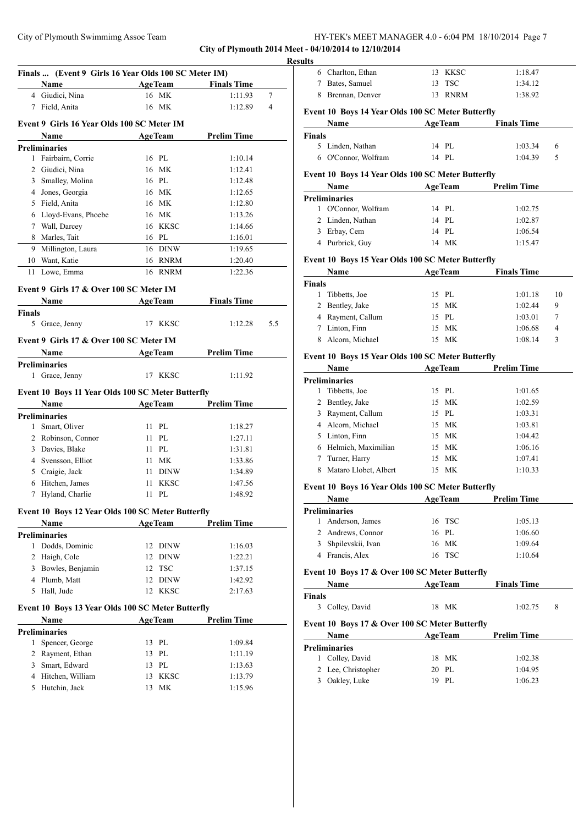**City of Plymouth 2014 Meet - 04/10/2014 to 12/10/2014**

|        | Name                                                      |    | <b>AgeTeam</b> | <b>Finals Time</b> |                |
|--------|-----------------------------------------------------------|----|----------------|--------------------|----------------|
|        | 4 Giudici, Nina                                           |    | 16 MK          | 1:11.93            | 7              |
|        | 7 Field, Anita                                            |    | 16 MK          | 1:12.89            | $\overline{4}$ |
|        |                                                           |    |                |                    |                |
|        | Event 9 Girls 16 Year Olds 100 SC Meter IM                |    |                |                    |                |
|        | Name                                                      |    | <b>AgeTeam</b> | <b>Prelim Time</b> |                |
| 1      | Preliminaries<br>Fairbairn, Corrie                        |    | 16 PL          | 1:10.14            |                |
| 2      | Giudici, Nina                                             |    | 16 MK          | 1:12.41            |                |
|        | 3 Smalley, Molina                                         |    | 16 PL          | 1:12.48            |                |
|        | 4 Jones, Georgia                                          |    | 16 MK          | 1:12.65            |                |
|        | 5 Field, Anita                                            |    | 16 MK          | 1:12.80            |                |
|        | 6 Lloyd-Evans, Phoebe                                     |    | 16 MK          | 1:13.26            |                |
|        | 7 Wall, Darcey                                            |    | 16 KKSC        | 1:14.66            |                |
| 8      | Marles, Tait                                              |    | 16 PL          | 1:16.01            |                |
| 9      | Millington, Laura                                         |    | 16 DINW        | 1:19.65            |                |
|        | 10 Want, Katie                                            |    | 16 RNRM        | 1:20.40            |                |
| 11     | Lowe, Emma                                                |    | 16 RNRM        | 1:22.36            |                |
|        |                                                           |    |                |                    |                |
|        | Event 9 Girls 17 & Over 100 SC Meter IM                   |    |                |                    |                |
|        | Name                                                      |    | <b>AgeTeam</b> | <b>Finals Time</b> |                |
| Finals |                                                           |    |                |                    |                |
|        | 5 Grace, Jenny                                            |    | 17 KKSC        | 1:12.28            | 5.5            |
|        | Event 9 Girls 17 & Over 100 SC Meter IM                   |    |                |                    |                |
|        | Name                                                      |    | AgeTeam        | <b>Prelim Time</b> |                |
|        | <b>Preliminaries</b>                                      |    |                |                    |                |
| 1      | Grace, Jenny                                              | 17 | KKSC           | 1:11.92            |                |
|        |                                                           |    |                |                    |                |
|        | Event 10 Boys 11 Year Olds 100 SC Meter Butterfly<br>Name |    | <b>AgeTeam</b> | <b>Prelim Time</b> |                |
|        | Preliminaries                                             |    |                |                    |                |
|        | 1 Smart, Oliver                                           |    | 11 PL          | 1:18.27            |                |
|        | 2 Robinson, Connor                                        |    | 11 PL          | 1:27.11            |                |
|        | 3 Davies, Blake                                           |    | 11 PL          | 1:31.81            |                |
|        | 4 Svensson, Elliot                                        |    | 11 MK          |                    |                |
|        |                                                           |    |                |                    |                |
|        |                                                           |    |                | 1:33.86            |                |
|        | 5 Craigie, Jack                                           |    | 11 DINW        | 1:34.89            |                |
|        | 6 Hitchen, James                                          | 11 | <b>KKSC</b>    | 1:47.56            |                |
| 7      | Hyland, Charlie                                           | 11 | PL             | 1:48.92            |                |
|        | Event 10 Boys 12 Year Olds 100 SC Meter Butterfly         |    |                |                    |                |
|        | Name                                                      |    | <b>AgeTeam</b> | <b>Prelim Time</b> |                |
|        | <b>Preliminaries</b>                                      |    |                |                    |                |
| 1      | Dodds, Dominic                                            | 12 | <b>DINW</b>    | 1:16.03            |                |
| 2      | Haigh, Cole                                               | 12 | DINW           | 1:22.21            |                |
|        | 3 Bowles, Benjamin                                        | 12 | <b>TSC</b>     | 1:37.15            |                |
|        | 4 Plumb, Matt                                             | 12 | <b>DINW</b>    | 1:42.92            |                |
|        | 5 Hall, Jude                                              |    | 12 KKSC        | 2:17.63            |                |
|        | Event 10 Boys 13 Year Olds 100 SC Meter Butterfly         |    |                |                    |                |
|        | Name                                                      |    | <b>AgeTeam</b> | <b>Prelim Time</b> |                |
|        | <b>Preliminaries</b>                                      |    |                |                    |                |
| 1      | Spencer, George                                           | 13 | PL             | 1:09.84            |                |
| 2      | Rayment, Ethan                                            | 13 | PL             | 1:11.19            |                |
| 3      | Smart, Edward                                             |    | 13 PL          | 1:13.63            |                |
| 4      | Hitchen, William                                          | 13 | <b>KKSC</b>    | 1:13.79            |                |

| <b>Results</b> |                                                           |                             |                    |    |
|----------------|-----------------------------------------------------------|-----------------------------|--------------------|----|
|                | 6 Charlton, Ethan                                         | 13 KKSC                     | 1:18.47            |    |
|                | 7 Bates, Samuel                                           | 13 TSC                      | 1:34.12            |    |
|                | 8 Brennan, Denver                                         | 13 RNRM                     | 1:38.92            |    |
|                | Event 10 Boys 14 Year Olds 100 SC Meter Butterfly         |                             |                    |    |
|                | <b>Name</b>                                               | <b>Example 2.1 Age Team</b> | <b>Finals Time</b> |    |
| <b>Finals</b>  |                                                           |                             |                    |    |
|                | 5 Linden, Nathan                                          | 14 PL                       | 1:03.34            | 6  |
|                | 6 O'Connor, Wolfram                                       | 14 PL                       | 1:04.39            | 5  |
|                | Event 10 Boys 14 Year Olds 100 SC Meter Butterfly<br>Name | <b>AgeTeam</b>              | <b>Prelim Time</b> |    |
|                | <b>Preliminaries</b>                                      |                             |                    |    |
|                | 1 O'Connor, Wolfram                                       | 14 PL                       | 1:02.75            |    |
|                | 2 Linden, Nathan                                          | 14 PL                       | 1:02.87            |    |
|                | 3 Erbay, Cem                                              | 14 PL                       | 1:06.54            |    |
|                | 4 Purbrick, Guy                                           | 14 MK                       | 1:15.47            |    |
|                | Event 10 Boys 15 Year Olds 100 SC Meter Butterfly         |                             |                    |    |
|                | Name AgeTeam                                              |                             | <b>Finals Time</b> |    |
| Finals         |                                                           |                             |                    |    |
|                | 1 Tibbetts, Joe                                           | 15 PL                       | 1:01.18            | 10 |
|                | 2 Bentley, Jake                                           | 15 MK                       | 1:02.44            | 9  |
|                | 4 Rayment, Callum                                         | 15 PL                       | 1:03.01            | 7  |
|                | 7 Linton, Finn                                            | 15 MK                       | 1:06.68            | 4  |
|                | 8 Alcorn, Michael                                         | 15 MK                       | 1:08.14            | 3  |
|                | Event 10 Boys 15 Year Olds 100 SC Meter Butterfly         |                             |                    |    |
|                | Name                                                      | <b>AgeTeam</b>              | <b>Prelim Time</b> |    |
|                | <b>Preliminaries</b>                                      |                             |                    |    |
|                | 1 Tibbetts, Joe                                           | 15 PL                       | 1:01.65            |    |
|                | 2 Bentley, Jake                                           | 15 MK                       | 1:02.59            |    |
|                | 3 Rayment, Callum                                         | 15 PL                       | 1:03.31            |    |
|                | 4 Alcorn, Michael                                         | 15 MK                       | 1:03.81            |    |
|                | 5 Linton, Finn                                            | 15 MK                       | 1:04.42            |    |
|                | 6 Helmich, Maximilian                                     | 15 MK                       | 1:06.16            |    |
|                | 7 Turner, Harry                                           | 15 MK                       | 1:07.41            |    |
|                | 8 Mataro Llobet, Albert                                   | 15 MK                       | 1:10.33            |    |
|                | Event 10 Boys 16 Year Olds 100 SC Meter Butterfly         |                             |                    |    |
|                | Name                                                      | <b>AgeTeam</b>              | Prelim Time        |    |
|                | <b>Preliminaries</b>                                      |                             |                    |    |
| 1              | Anderson, James                                           | 16 TSC                      | 1:05.13            |    |
|                | 2 Andrews, Connor                                         | 16 PL                       | 1:06.60            |    |
|                | 3 Shpilevskii, Ivan                                       | 16 MK                       | 1:09.64            |    |
|                | 4 Francis, Alex                                           | 16 TSC                      | 1:10.64            |    |
|                | Event 10 Boys 17 & Over 100 SC Meter Butterfly            |                             |                    |    |
|                | Name                                                      | <b>AgeTeam</b>              | <b>Finals Time</b> |    |
| <b>Finals</b>  | 3 Colley, David                                           | 18 MK                       | 1:02.75            | 8  |
|                | Event 10 Boys 17 & Over 100 SC Meter Butterfly            |                             |                    |    |
|                | Name                                                      | <b>AgeTeam</b>              | <b>Prelim Time</b> |    |
|                | <b>Preliminaries</b>                                      |                             |                    |    |
|                |                                                           |                             |                    |    |
|                | 1 Colley, David                                           | 18 MK                       | 1:02.38            |    |
|                | 2 Lee, Christopher                                        | 20 PL                       | 1:04.95            |    |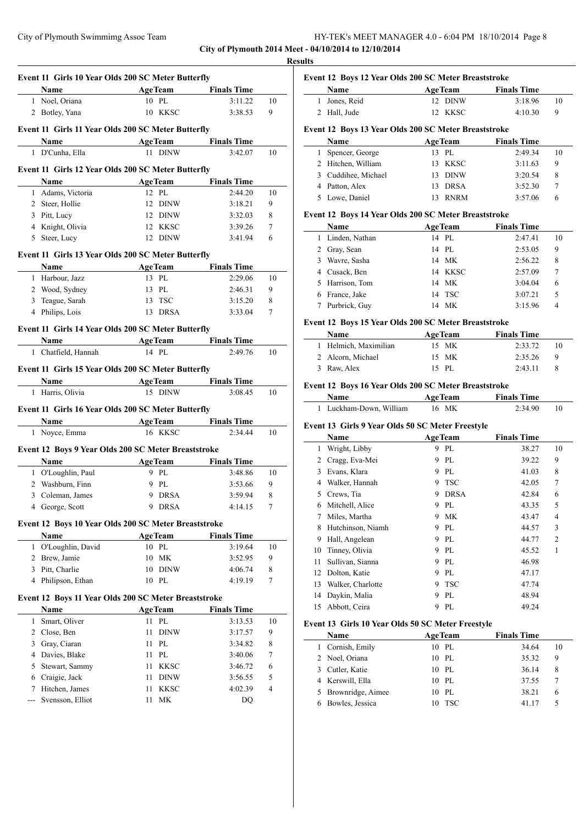|                                                       | HY-TEK's MEET MANAGER 4.0 - 6:04 PM 18/10/2014 Page 8 |  |
|-------------------------------------------------------|-------------------------------------------------------|--|
| City of Plymouth 2014 Meet - 04/10/2014 to 12/10/2014 |                                                       |  |

**Results**

|              |                                                            | Event 11 Girls 10 Year Olds 200 SC Meter Butterfly |                    |                           |
|--------------|------------------------------------------------------------|----------------------------------------------------|--------------------|---------------------------|
|              | Name                                                       | <b>AgeTeam</b>                                     | <b>Finals Time</b> |                           |
|              | 1 Noel, Oriana                                             | 10 PL                                              | 3:11.22            | 10                        |
|              | 2 Botley, Yana                                             | 10 KKSC                                            | 3:38.53            | 9                         |
|              | Event 11 Girls 11 Year Olds 200 SC Meter Butterfly         |                                                    |                    |                           |
|              | Name                                                       | <b>AgeTeam</b>                                     | <b>Finals Time</b> |                           |
| 1            | D'Cunha, Ella                                              | 11 DINW                                            | 3:42.07            | 10                        |
|              | Event 11 Girls 12 Year Olds 200 SC Meter Butterfly         |                                                    |                    |                           |
|              | Name                                                       | <b>AgeTeam</b>                                     | <b>Finals Time</b> |                           |
| 1            | Adams, Victoria                                            | 12 PL                                              | 2:44.20            | 10                        |
| 2            | Steer, Hollie                                              | <b>DINW</b><br>12                                  | 3:18.21            | 9                         |
|              | 3 Pitt, Lucy                                               | 12 DINW                                            | 3:32.03            | 8                         |
|              | 4 Knight, Olivia                                           | 12 KKSC                                            | 3:39.26            | 7                         |
|              | 5 Steer, Lucy                                              | 12 DINW                                            | 3:41.94            | 6                         |
|              | Event 11 Girls 13 Year Olds 200 SC Meter Butterfly         |                                                    |                    |                           |
|              | Name                                                       | <b>AgeTeam</b>                                     | <b>Finals Time</b> |                           |
|              | 1 Harbour, Jazz                                            | 13 PL                                              | 2:29.06            | 10                        |
|              | 2 Wood, Sydney                                             | 13 PL                                              | 2:46.31            | 9                         |
| 3            | Teague, Sarah                                              | 13 TSC                                             | 3:15.20            | 8                         |
|              | 4 Philips, Lois                                            | 13<br>DRSA                                         | 3:33.04            | 7                         |
|              | Event 11 Girls 14 Year Olds 200 SC Meter Butterfly         |                                                    |                    |                           |
|              | Name                                                       | <b>AgeTeam</b>                                     | <b>Finals Time</b> |                           |
| $\mathbf{1}$ | Chatfield, Hannah                                          | 14 PL                                              | 2:49.76            | 10                        |
|              | Event 11 Girls 15 Year Olds 200 SC Meter Butterfly         |                                                    |                    |                           |
|              | Name                                                       | <b>AgeTeam</b>                                     | <b>Finals Time</b> |                           |
|              | 1 Harris, Olivia                                           | 15 DINW                                            | 3:08.45            | 10                        |
|              | Event 11 Girls 16 Year Olds 200 SC Meter Butterfly<br>Name | <b>AgeTeam</b>                                     | <b>Finals Time</b> |                           |
| $\mathbf{1}$ |                                                            | 16 KKSC                                            | 2:34.44            |                           |
|              | Noyce, Emma                                                |                                                    |                    |                           |
|              | Event 12 Boys 9 Year Olds 200 SC Meter Breaststroke        |                                                    |                    |                           |
|              | Name                                                       | <b>AgeTeam</b>                                     | <b>Finals Time</b> |                           |
|              | 1 O'Loughlin, Paul                                         | 9 PL                                               | 3:48.86            |                           |
|              | 2 Washburn, Finn                                           | 9 PL                                               | 3:53.66            | 9                         |
|              | 3 Coleman, James                                           | <b>DRSA</b><br>9                                   | 3:59.94            | 8                         |
|              | 4 George, Scott                                            | 9 DRSA                                             | 4:14.15            | $\tau$                    |
|              | Event 12 Boys 10 Year Olds 200 SC Meter Breaststroke       |                                                    |                    |                           |
|              | Name                                                       | <b>AgeTeam</b>                                     | <b>Finals Time</b> |                           |
| 1            | O'Loughlin, David                                          | 10 PL                                              | 3:19.64            |                           |
| 2            | Brew, Jamie                                                | МK<br>10                                           | 3:52.95            | 9                         |
| 3            | Pitt, Charlie                                              | <b>DINW</b><br>10                                  | 4:06.74            | 8                         |
| 4            | Philipson, Ethan                                           | 10 PL                                              | 4:19.19            | 7                         |
|              | Event 12 Boys 11 Year Olds 200 SC Meter Breaststroke       |                                                    |                    |                           |
|              | Name                                                       | <b>AgeTeam</b>                                     | <b>Finals Time</b> |                           |
| 1            | Smart, Oliver                                              | PL<br>11                                           | 3:13.53            |                           |
| 2            | Close, Ben                                                 | 11<br><b>DINW</b>                                  | 3:17.57            | 9                         |
| 3            | Gray, Ciaran                                               | 11<br>PL                                           | 3:34.82            | 8                         |
| 4            | Davies, Blake                                              | PL<br>11                                           | 3:40.06            | 7                         |
| 5            | Stewart, Sammy                                             | <b>KKSC</b><br>11                                  | 3:46.72            | 6                         |
| 6            | Craigie, Jack                                              | <b>DINW</b><br>11                                  | 3:56.55            | 5                         |
| 7            | Hitchen, James                                             | <b>KKSC</b><br>11                                  | 4:02.39            | 10<br>10<br>10<br>10<br>4 |

| Event 12 Boys 12 Year Olds 200 SC Meter Breaststroke |  |
|------------------------------------------------------|--|
|------------------------------------------------------|--|

| <b>Name</b>   | <b>AgeTeam</b> | <b>Finals Time</b> |
|---------------|----------------|--------------------|
| 1 Jones, Reid | 12 DINW        | 3:18.96<br>10      |
| 2 Hall, Jude  | 12 KKSC        | 4:10.30            |

#### **Event 12 Boys 13 Year Olds 200 SC Meter Breaststroke**

| <b>Name</b>         |     | <b>AgeTeam</b> | <b>Finals Time</b> |    |
|---------------------|-----|----------------|--------------------|----|
| 1 Spencer, George   |     | 13 PL          | 2:49.34            | 10 |
| 2 Hitchen, William  |     | 13 KKSC        | 3:11.63            | 9  |
| 3 Cuddihee, Michael |     | 13 DINW        | 3:20.54            | 8  |
| 4 Patton, Alex      |     | 13 DRSA        | 3:52.30            |    |
| 5 Lowe, Daniel      | 13. | <b>RNRM</b>    | 3.5706             | h  |

#### **Event 12 Boys 14 Year Olds 200 SC Meter Breaststroke**

| Name             |    | <b>AgeTeam</b> | <b>Finals Time</b> |    |
|------------------|----|----------------|--------------------|----|
| 1 Linden, Nathan |    | 14 PL          | 2:47.41            | 10 |
| 2 Gray, Sean     |    | 14 PL          | 2:53.05            | 9  |
| 3 Wavre, Sasha   |    | 14 MK          | 2:56.22            | 8  |
| 4 Cusack, Ben    |    | 14 KKSC        | 2:57.09            | 7  |
| 5 Harrison, Tom  |    | 14 MK          | 3:04.04            | 6  |
| 6 France, Jake   |    | 14 TSC         | 3:07.21            | 5  |
| Purbrick, Guy    | 14 | MK             | 3:15.96            | 4  |

## **Event 12 Boys 15 Year Olds 200 SC Meter Breaststroke**

| <b>Name</b>           | <b>AgeTeam</b> | <b>Finals Time</b> |    |
|-----------------------|----------------|--------------------|----|
| 1 Helmich, Maximilian | 15 MK          | 2:33.72            | 10 |
| 2 Alcorn, Michael     | 15 MK          | 2:35.26            | Q  |
| 3 Raw, Alex           | $15$ PI.       | 2:43.11            |    |

## **Event 12 Boys 16 Year Olds 200 SC Meter Breaststroke**

| <b>Name</b>             | <b>AgeTeam</b> | <b>Finals Time</b> |  |
|-------------------------|----------------|--------------------|--|
| 1 Luckham-Down, William | 16 MK          | 2:34.90            |  |

#### **Event 13 Girls 9 Year Olds 50 SC Meter Freestyle**

|    | Name              |    | <b>AgeTeam</b> | <b>Finals Time</b> |                |
|----|-------------------|----|----------------|--------------------|----------------|
| 1  | Wright, Libby     | 9  | PL             | 38.27              | 10             |
| 2  | Cragg, Eva-Mei    | 9. | PL             | 39.22              | 9              |
| 3  | Evans, Klara      | 9  | PL             | 41.03              | 8              |
| 4  | Walker, Hannah    |    | 9 TSC          | 42.05              | 7              |
| 5  | Crews, Tia        | 9  | <b>DRSA</b>    | 42.84              | 6              |
| 6  | Mitchell, Alice   | 9  | PL             | 43.35              | 5              |
| 7  | Miles, Martha     | 9. | МK             | 43.47              | $\overline{4}$ |
| 8  | Hutchinson, Niamh | 9  | PL             | 44.57              | 3              |
| 9  | Hall, Angelean    |    | 9 PL           | 44.77              | $\overline{2}$ |
| 10 | Tinney, Olivia    |    | 9 PL           | 45.52              | 1              |
| 11 | Sullivan, Sianna  | 9  | PL             | 46.98              |                |
| 12 | Dolton, Katie     | 9  | PL             | 47.17              |                |
| 13 | Walker, Charlotte | 9  | TSC            | 47.74              |                |
| 14 | Daykin, Malia     | 9  | PL             | 48.94              |                |
| 15 | Abbott, Ceira     | 9  | PL             | 49.24              |                |

#### **Event 13 Girls 10 Year Olds 50 SC Meter Freestyle**

| <b>Name</b>         |    | <b>AgeTeam</b> | <b>Finals Time</b> |    |  |
|---------------------|----|----------------|--------------------|----|--|
| 1 Cornish, Emily    |    | 10 PL          | 34.64              | 10 |  |
| 2 Noel, Oriana      |    | 10 PL          | 35.32              | 9  |  |
| 3 Cutler, Katie     |    | 10 PL          | 36.14              | 8  |  |
| 4 Kerswill, Ella    |    | 10 PL          | 37.55              |    |  |
| 5 Brownridge, Aimee |    | 10 PL          | 38.21              | 6  |  |
| 6 Bowles, Jessica   | 10 | - TSC          | 41 17              | 5  |  |
|                     |    |                |                    |    |  |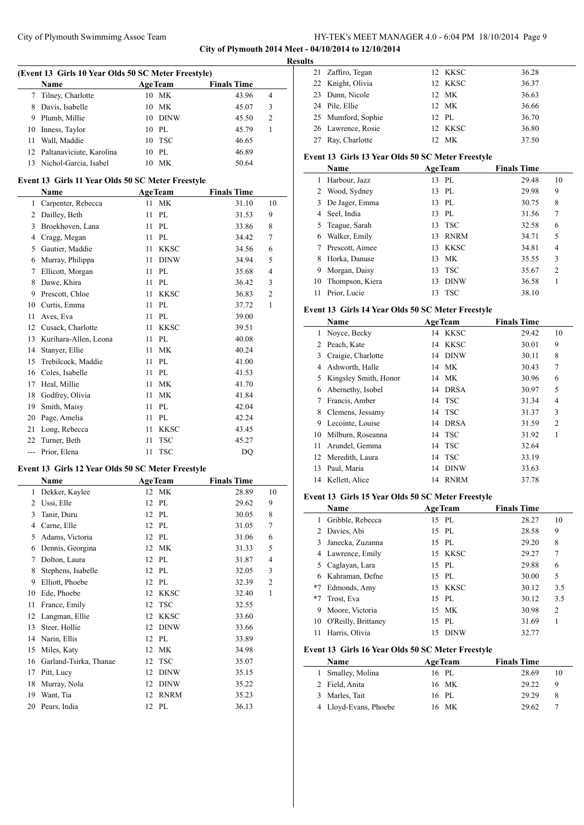**City of Plymouth 2014 Meet - 04/10/2014 to 12/10/2014**

|    | (Event 13 Girls 10 Year Olds 50 SC Meter Freestyle) |    |                |                    |                |
|----|-----------------------------------------------------|----|----------------|--------------------|----------------|
|    | Name                                                |    | <b>AgeTeam</b> | <b>Finals Time</b> |                |
|    | Tilney, Charlotte                                   |    | 10 MK          | 43.96              | 4              |
| 8  | Davis, Isabelle                                     |    | 10 MK          | 45.07              | 3              |
| 9  | Plumb, Millie                                       | 10 | <b>DINW</b>    | 45.50              | $\overline{2}$ |
| 10 | Inness, Taylor                                      |    | $10$ PL        | 45.79              |                |
| 11 | Wall, Maddie                                        |    | 10 TSC         | 46.65              |                |
|    | 12 Paltanaviciute, Karolina                         | 10 | PL             | 46.89              |                |
|    | 13 Nichol-Garcia, Isabel                            | 10 | MK             | 50.64              |                |

#### **Event 13 Girls 11 Year Olds 50 SC Meter Freestyle**

|     | Name                  |    | <b>AgeTeam</b> | <b>Finals Time</b> |                |
|-----|-----------------------|----|----------------|--------------------|----------------|
| 1   | Carpenter, Rebecca    | 11 | <b>MK</b>      | 31.10              | 10             |
| 2   | Dailley, Beth         | 11 | PL             | 31.53              | 9              |
| 3   | Broekhoven, Lana      | 11 | PL             | 33.86              | 8              |
| 4   | Cragg, Megan          | 11 | PL             | 34.42              | $\overline{7}$ |
| 5   | Gautier, Maddie       | 11 | <b>KKSC</b>    | 34.56              | 6              |
| 6   | Murray, Philippa      | 11 | <b>DINW</b>    | 34.94              | 5              |
| 7   | Ellicott, Morgan      | 11 | PI.            | 35.68              | 4              |
| 8   | Dawe, Khira           | 11 | PL             | 36.42              | 3              |
| 9   | Prescott, Chloe       | 11 | <b>KKSC</b>    | 36.83              | $\overline{2}$ |
| 10  | Curtis, Emma          | 11 | PL             | 37.72              | 1              |
| 11  | Aves, Eva             | 11 | PL             | 39.00              |                |
| 12  | Cusack, Charlotte     | 11 | <b>KKSC</b>    | 39.51              |                |
| 13  | Kurihara-Allen, Leona | 11 | PL             | 40.08              |                |
| 14  | Stanyer, Ellie        | 11 | <b>MK</b>      | 40.24              |                |
| 15  | Trebilcock, Maddie    | 11 | PL             | 41.00              |                |
| 16  | Coles, Isabelle       | 11 | PL             | 41.53              |                |
| 17  | Heal, Millie          | 11 | MK             | 41.70              |                |
| 18  | Godfrey, Olivia       | 11 | <b>MK</b>      | 41.84              |                |
| 19  | Smith, Maisy          | 11 | PL             | 42.04              |                |
| 20  | Page, Amelia          | 11 | PL             | 42.24              |                |
| 21  | Long, Rebecca         | 11 | <b>KKSC</b>    | 43.45              |                |
| 22  | Turner, Beth          | 11 | <b>TSC</b>     | 45.27              |                |
| --- | Prior, Elena          | 11 | <b>TSC</b>     | DQ                 |                |

#### **Event 13 Girls 12 Year Olds 50 SC Meter Freestyle**

|    | Name                   |    | <b>AgeTeam</b> | <b>Finals Time</b> |                |
|----|------------------------|----|----------------|--------------------|----------------|
| 1  | Dekker, Kaylee         |    | 12 MK          | 28.89              | 10             |
| 2  | Ussi, Elle             | 12 | PL             | 29.62              | 9              |
| 3  | Tanir, Duru            | 12 | PL             | 30.05              | 8              |
| 4  | Carne, Elle            | 12 | PL             | 31.05              | 7              |
| 5  | Adams, Victoria        | 12 | PL             | 31.06              | 6              |
| 6  | Dennis, Georgina       | 12 | MK             | 31.33              | 5              |
| 7  | Dolton, Laura          | 12 | PL             | 31.87              | 4              |
| 8  | Stephens, Isabelle     | 12 | PL             | 32.05              | 3              |
| 9  | Elliott, Phoebe        | 12 | PL             | 32.39              | $\overline{2}$ |
| 10 | Ede, Phoebe            | 12 | <b>KKSC</b>    | 32.40              | 1              |
| 11 | France, Emily          | 12 | <b>TSC</b>     | 32.55              |                |
| 12 | Langman, Ellie         | 12 | <b>KKSC</b>    | 33.60              |                |
| 13 | Steer, Hollie          | 12 | <b>DINW</b>    | 33.66              |                |
| 14 | Narin, Ellis           | 12 | PL             | 33.89              |                |
| 15 | Miles, Katy            | 12 | <b>MK</b>      | 34.98              |                |
| 16 | Garland-Tsirka, Thanae | 12 | <b>TSC</b>     | 35.07              |                |
| 17 | Pitt, Lucy             | 12 | <b>DINW</b>    | 35.15              |                |
| 18 | Murray, Nola           | 12 | <b>DINW</b>    | 35.22              |                |
| 19 | Want, Tia              | 12 | <b>RNRM</b>    | 35.23              |                |
| 20 | Pears, India           | 12 | PL             | 36.13              |                |

| <b>Results</b> |                    |         |       |
|----------------|--------------------|---------|-------|
|                | 21 Zaffiro, Tegan  | 12 KKSC | 36.28 |
|                | 22 Knight, Olivia  | 12 KKSC | 36.37 |
|                | 23 Dunn, Nicole    | 12 MK   | 36.63 |
|                | 24 Pile, Ellie     | 12 MK   | 36.66 |
|                | 25 Mumford, Sophie | $12$ PL | 36.70 |
|                | 26 Lawrence, Rosie | 12 KKSC | 36.80 |
|                | 27 Ray, Charlotte  | 12 MK   | 37.50 |

#### **Event 13 Girls 13 Year Olds 50 SC Meter Freestyle**

|    | <b>Name</b>     |    | <b>AgeTeam</b> | <b>Finals Time</b> |                |
|----|-----------------|----|----------------|--------------------|----------------|
|    | Harbour, Jazz   |    | 13 PL          | 29.48              | 10             |
| 2  | Wood, Sydney    | 13 | PL             | 29.98              | 9              |
| 3  | De Jager, Emma  |    | $13$ PL        | 30.75              | 8              |
| 4  | Seel, India     |    | $13$ PL        | 31.56              | 7              |
|    | 5 Teague, Sarah | 13 | TSC            | 32.58              | 6              |
| 6  | Walker, Emily   | 13 | <b>RNRM</b>    | 34.71              | 5              |
|    | Prescott, Aimee | 13 | KKSC           | 34.81              | 4              |
| 8  | Horka, Danuse   | 13 | МK             | 35.55              | 3              |
| 9  | Morgan, Daisy   | 13 | - TSC          | 35.67              | $\overline{c}$ |
| 10 | Thompson, Kiera | 13 | <b>DINW</b>    | 36.58              |                |
| 11 | Prior, Lucie    | 13 | <b>TSC</b>     | 38.10              |                |

## **Event 13 Girls 14 Year Olds 50 SC Meter Freestyle**

|                | Name                  | <b>AgeTeam</b> |             | <b>Finals Time</b> |                |
|----------------|-----------------------|----------------|-------------|--------------------|----------------|
| 1              | Noyce, Becky          |                | 14 KKSC     | 29.42              | 10             |
| $\overline{c}$ | Peach, Kate           |                | 14 KKSC     | 30.01              | 9              |
| 3              | Craigie, Charlotte    |                | 14 DINW     | 30.11              | 8              |
| 4              | Ashworth, Halle       |                | 14 MK       | 30.43              | 7              |
| 5              | Kingsley Smith, Honor |                | 14 MK       | 30.96              | 6              |
| 6              | Abernethy, Isobel     | 14             | DRSA        | 30.97              | 5              |
| 7              | Francis, Amber        |                | 14 TSC      | 31.34              | $\overline{4}$ |
| 8              | Clemens, Jessamy      |                | 14 TSC      | 31.37              | 3              |
| 9              | Lecointe, Louise      | 14             | <b>DRSA</b> | 31.59              | $\overline{2}$ |
| 10             | Milburn, Roseanna     |                | 14 TSC      | 31.92              | 1              |
| 11             | Arundel, Gemma        | 14             | <b>TSC</b>  | 32.64              |                |
| 12             | Meredith, Laura       | 14             | <b>TSC</b>  | 33.19              |                |
| 13             | Paul, Maria           | 14             | <b>DINW</b> | 33.63              |                |
|                | 14 Kellett, Alice     | 14             | <b>RNRM</b> | 37.78              |                |

#### **Event 13 Girls 15 Year Olds 50 SC Meter Freestyle**

|      | Name                   |    | <b>AgeTeam</b> | <b>Finals Time</b> |       |     |
|------|------------------------|----|----------------|--------------------|-------|-----|
| 1    | Gribble, Rebecca       |    | 15 PL          |                    | 28.27 | 10  |
|      | 2 Davies, Abi          |    | 15 PL          |                    | 28.58 | 9   |
| 3    | Janecka, Zuzanna       |    | 15 PL          |                    | 29.20 | 8   |
|      | 4 Lawrence, Emily      |    | 15 KKSC        |                    | 29.27 | 7   |
|      | 5 Caglayan, Lara       |    | 15 PL          |                    | 29.88 | 6   |
|      | 6 Kahraman, Defne      |    | 15 PL          |                    | 30.00 | 5   |
| $*7$ | Edmonds, Amy           |    | 15 KKSC        |                    | 30.12 | 3.5 |
| $*7$ | Trost, Eva             |    | 15 PL          |                    | 30.12 | 3.5 |
| 9    | Moore, Victoria        |    | 15 MK          |                    | 30.98 | 2   |
|      | 10 O'Reilly, Brittaney |    | 15 PL          |                    | 31.69 |     |
| 11   | Harris, Olivia         | 15 | <b>DINW</b>    |                    | 32.77 |     |

#### **Event 13 Girls 16 Year Olds 50 SC Meter Freestyle**

| <b>Name</b>       |                       | <b>AgeTeam</b> | <b>Finals Time</b> |       |    |
|-------------------|-----------------------|----------------|--------------------|-------|----|
| 1 Smalley, Molina |                       | 16 PL          |                    | 28.69 | 10 |
| 2 Field, Anita    |                       | 16 MK          |                    | 29.22 | Q  |
| 3 Marles, Tait    |                       | 16 PL          |                    | 29.29 |    |
|                   | 4 Lloyd-Evans, Phoebe | 16 MK          |                    | 29.62 |    |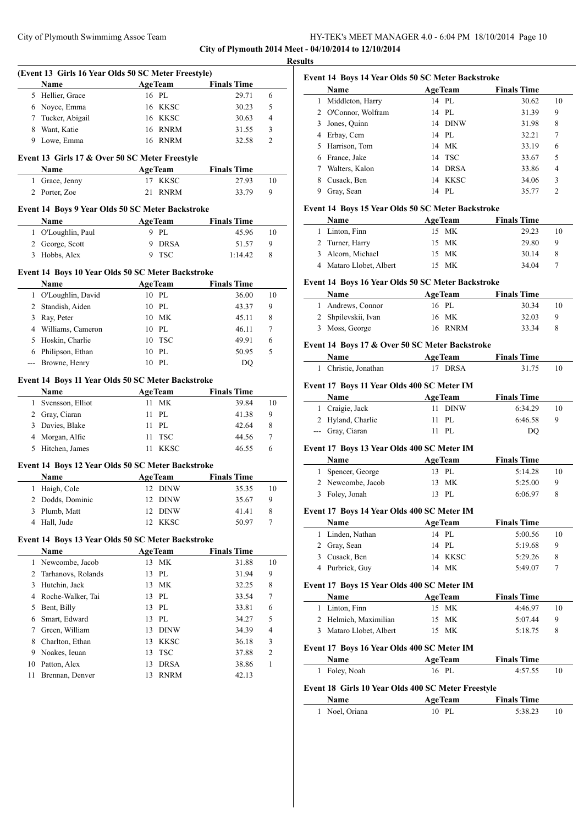**City of Plymouth 2014 Meet - 04/10/2014 to 12/10/2014 Results**

 $\overline{\phantom{0}}$ 

 $\sim$ 

÷,

 $\sim$ 

|              | (Event 13 Girls 16 Year Olds 50 SC Meter Freestyle)       |                      |                            |                    |            |
|--------------|-----------------------------------------------------------|----------------------|----------------------------|--------------------|------------|
|              | Name                                                      |                      | <b>AgeTeam</b>             | <b>Finals Time</b> |            |
|              | 5 Hellier, Grace                                          | 16 PL                |                            | 29.71              | 6          |
|              | 6 Noyce, Emma                                             |                      | 16 KKSC                    | 30.23              | 5          |
|              | 7 Tucker, Abigail                                         |                      | 16 KKSC                    | 30.63              | 4          |
|              | 8 Want, Katie                                             |                      | 16 RNRM                    | 31.55              | 3          |
|              | 9 Lowe, Emma                                              |                      | 16 RNRM                    | 32.58              | 2          |
|              | Event 13 Girls 17 & Over 50 SC Meter Freestyle            |                      |                            |                    |            |
|              | Name                                                      | <b>AgeTeam</b>       |                            | <b>Finals Time</b> |            |
| $\mathbf{1}$ | Grace, Jenny                                              |                      | 17 KKSC                    | 27.93              | 10         |
|              | 2 Porter, Zoe                                             | 21                   | <b>RNRM</b>                | 33.79              | 9          |
|              | Event 14 Boys 9 Year Olds 50 SC Meter Backstroke          |                      |                            |                    |            |
|              | Name                                                      | <b>AgeTeam</b>       |                            | <b>Finals Time</b> |            |
|              | 1 O'Loughlin, Paul                                        | 9 PL                 |                            | 45.96              | 10         |
|              | 2 George, Scott                                           |                      | 9 DRSA                     | 51.57              | 9          |
| 3            | Hobbs, Alex                                               | 9                    | <b>TSC</b>                 | 1:14.42            | 8          |
|              | Event 14 Boys 10 Year Olds 50 SC Meter Backstroke         |                      |                            |                    |            |
|              | Name                                                      | <b>AgeTeam</b>       |                            | <b>Finals Time</b> |            |
| 1            | O'Loughlin, David                                         | 10 PL                |                            | 36.00              | 10         |
|              | 2 Standish, Aiden                                         | $10P$ .              |                            | 43.37              | 9          |
|              | 3 Ray, Peter                                              |                      | 10 MK                      | 45.11              | 8          |
|              | 4 Williams, Cameron                                       | 10 PL                |                            | 46.11              | 7          |
|              | 5 Hoskin, Charlie                                         |                      | 10 TSC                     | 49.91              | 6          |
| 6            | Philipson, Ethan                                          | 10 PL                |                            | 50.95              | 5          |
| $ -$         | Browne, Henry                                             | 10 PL                |                            | DQ                 |            |
|              |                                                           |                      |                            |                    |            |
|              | Event 14 Boys 11 Year Olds 50 SC Meter Backstroke<br>Name |                      |                            | <b>Finals Time</b> |            |
|              |                                                           |                      |                            |                    |            |
|              |                                                           | <b>AgeTeam</b>       |                            |                    |            |
| 1            | Svensson, Elliot                                          | 11                   | <b>MK</b>                  | 39.84              | 10         |
|              | 2 Gray, Ciaran                                            | 11 PL                |                            | 41.38              | 9          |
|              | 3 Davies, Blake                                           | 11 PL                |                            | 42.64              | 8          |
|              | 4 Morgan, Alfie                                           | 11                   | <b>TSC</b>                 | 44.56              | 7          |
| 5            | Hitchen, James                                            |                      | 11 KKSC                    | 46.55              | 6          |
|              | Event 14 Boys 12 Year Olds 50 SC Meter Backstroke         |                      |                            |                    |            |
|              | Name                                                      | <b>AgeTeam</b>       |                            | <b>Finals Time</b> |            |
| 1            | Haigh, Cole                                               |                      | 12 DINW                    | 35.35              | 10         |
| 2            | Dodds, Dominic                                            |                      | 12 DINW                    | 35.67              | 9          |
| 3            | Plumb, Matt                                               | 12                   | DINW                       | 41.41              | 8          |
| 4            | Hall, Jude                                                | 12                   | KKSC                       | 50.97              | 7          |
|              |                                                           |                      |                            |                    |            |
|              | Event 14 Boys 13 Year Olds 50 SC Meter Backstroke<br>Name |                      |                            | <b>Finals Time</b> |            |
| 1            | Newcombe, Jacob                                           | <b>AgeTeam</b><br>13 | <b>MK</b>                  | 31.88              | 10         |
| 2            | Tarhanovs, Rolands                                        | 13                   | PL                         | 31.94              | 9          |
| 3            |                                                           | 13                   | <b>MK</b>                  |                    | 8          |
|              | Hutchin, Jack<br>4 Roche-Walker, Tai                      | 13 PL                |                            | 32.25<br>33.54     | 7          |
| 5            |                                                           | 13                   | PL                         | 33.81              | 6          |
|              | Bent, Billy                                               |                      |                            |                    |            |
| 6            | Smart, Edward                                             | 13                   | PL                         | 34.27              | 5          |
| 7            | Green, William                                            | 13                   | DINW                       | 34.39              | 4          |
| 8            | Charlton, Ethan                                           | 13                   | KKSC                       | 36.18              | $\sqrt{3}$ |
| 9            | Noakes, Ieuan                                             | 13                   | TSC                        | 37.88              | 2          |
| 10<br>11     | Patton, Alex<br>Brennan, Denver                           | 13<br>13             | <b>DRSA</b><br><b>RNRM</b> | 38.86<br>42.13     | 1          |

|              | Event 14 Boys 14 Year Olds 50 SC Meter Backstroke<br>Name | <b>AgeTeam</b> | <b>Finals Time</b> |    |
|--------------|-----------------------------------------------------------|----------------|--------------------|----|
| $\mathbf{1}$ | Middleton, Harry                                          | 14 PL          | 30.62              | 10 |
| 2            | O'Connor, Wolfram                                         | 14 PL          | 31.39              | 9  |
| 3            | Jones, Quinn                                              | 14 DINW        | 31.98              | 8  |
| 4            | Erbay, Cem                                                | 14 PL          | 32.21              | 7  |
| 5            | Harrison, Tom                                             | 14 MK          | 33.19              | 6  |
|              | 6 France, Jake                                            | 14 TSC         | 33.67              | 5  |
|              | 7 Walters, Kalon                                          | 14 DRSA        | 33.86              | 4  |
| 8            | Cusack, Ben                                               | 14 KKSC        | 34.06              | 3  |
|              | 9 Gray, Sean                                              | 14 PL          | 35.77              | 2  |
|              | Event 14 Boys 15 Year Olds 50 SC Meter Backstroke         |                |                    |    |
|              | Name                                                      | <b>AgeTeam</b> | <b>Finals Time</b> |    |
|              | 1 Linton, Finn                                            | 15 MK          | 29.23              | 10 |
|              | 2 Turner, Harry                                           | 15 MK          | 29.80              | 9  |
| 3            | Alcorn, Michael                                           | 15 MK          | 30.14              | 8  |
|              | 4 Mataro Llobet, Albert                                   | 15 MK          | 34.04              | 7  |
|              | Event 14 Boys 16 Year Olds 50 SC Meter Backstroke         |                |                    |    |
|              | Name                                                      | <b>AgeTeam</b> | <b>Finals Time</b> |    |
| $\mathbf{1}$ | Andrews, Connor                                           | 16 PL          | 30.34              | 10 |
| 2            | Shpilevskii, Ivan                                         | 16 MK          | 32.03              | 9  |
| 3            | Moss, George                                              | 16 RNRM        | 33.34              | 8  |
|              | Event 14 Boys 17 & Over 50 SC Meter Backstroke            |                |                    |    |
|              | Name                                                      | <b>AgeTeam</b> | <b>Finals Time</b> |    |
|              | 1 Christie, Jonathan                                      | 17 DRSA        | 31.75              | 10 |
|              | Event 17 Boys 11 Year Olds 400 SC Meter IM                |                |                    |    |
|              | Name                                                      | <b>AgeTeam</b> | <b>Finals Time</b> |    |
|              | 1 Craigie, Jack                                           | 11 DINW        | 6:34.29            | 10 |
|              | 2 Hyland, Charlie                                         | PL<br>11       | 6:46.58            | 9  |
|              | --- Gray, Ciaran                                          | 11 PL          | DQ                 |    |
|              | Event 17 Boys 13 Year Olds 400 SC Meter IM                |                |                    |    |
|              | Name                                                      | <b>AgeTeam</b> | <b>Finals Time</b> |    |
| 1            | Spencer, George                                           | 13 PL          | 5:14.28            | 10 |
|              | 2 Newcombe, Jacob                                         | 13<br>МK       | 5:25.00            | 9  |
| 3            | Foley, Jonah                                              | 13 PL          | 6:06.97            | 8  |
|              | Event 17 Boys 14 Year Olds 400 SC Meter IM                |                |                    |    |
|              | Name                                                      | <b>AgeTeam</b> | <b>Finals Time</b> |    |
| 1            | Linden, Nathan                                            | 14 PL          | 5:00.56            | 10 |
| 2            | Gray, Sean                                                | 14 PL          | 5:19.68            | 9  |
| 3            | Cusack, Ben                                               | 14 KKSC        | 5:29.26            | 8  |
| 4            | Purbrick, Guy                                             | 14 MK          | 5:49.07            | 7  |
|              | Event 17 Boys 15 Year Olds 400 SC Meter IM                |                |                    |    |
|              | Name                                                      | <b>AgeTeam</b> | <b>Finals Time</b> |    |
|              | 1<br>Linton, Finn                                         | 15 MK          | 4:46.97            | 10 |

# **Event 17 Boys 16 Year Olds 400 SC Meter IM**

| <b>Name</b>                                                | <b>AgeTeam</b> | <b>Finals Time</b> |    |
|------------------------------------------------------------|----------------|--------------------|----|
| 1 Foley, Noah                                              | 16 PL          | 4:57.55            | 10 |
| Event 18 Girls 10 Year Olds 400 SC Meter Freestyle<br>Name | <b>AgeTeam</b> | <b>Finals Time</b> |    |

2 Helmich, Maximilian 15 MK 5:07.44 9 3 Mataro Llobet, Albert 15 MK 5:18.75 8

| 5:38.23<br>Noel, Oriana<br>10 PL |
|----------------------------------|
|                                  |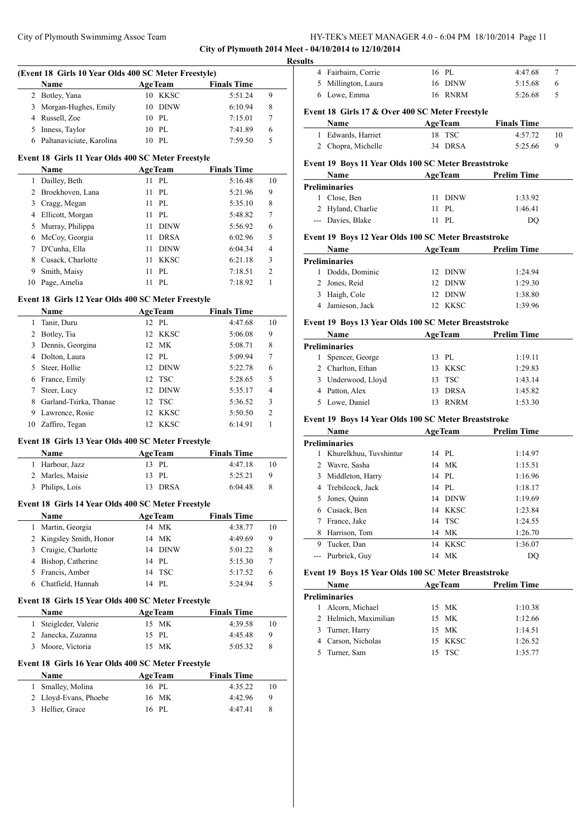**City of Plymouth 2014 Meet - 04/10/2014 to 12/10/2014**

## **(Event 18 Girls 10 Year Olds 400 SC Meter Freestyle)**

| Name                       | <b>AgeTeam</b> | <b>Finals Time</b> |   |
|----------------------------|----------------|--------------------|---|
| 2 Botley, Yana             | 10 KKSC        | 5:51.24            | 9 |
| 3 Morgan-Hughes, Emily     | 10 DINW        | 6:10.94            | 8 |
| 4 Russell, Zoe             | $10$ PL        | 7:15.01            |   |
| 5 Inness, Taylor           | $10$ PL        | 7:41.89            | 6 |
| 6 Paltanaviciute, Karolina | PL.            | 7:59.50            |   |

#### **Event 18 Girls 11 Year Olds 400 SC Meter Freestyle**

|    | Name              | <b>AgeTeam</b> |             | <b>Finals Time</b> |                |
|----|-------------------|----------------|-------------|--------------------|----------------|
| ı  | Dailley, Beth     | 11             | PL          | 5:16.48            | 10             |
| 2  | Broekhoven, Lana  | 11             | PL          | 5:21.96            | 9              |
| 3  | Cragg, Megan      | 11             | PL          | 5:35.10            | 8              |
| 4  | Ellicott, Morgan  | 11             | PL          | 5:48.82            | 7              |
| 5  | Murray, Philippa  | 11             | <b>DINW</b> | 5:56.92            | 6              |
| 6  | McCoy, Georgia    | 11             | <b>DRSA</b> | 6:02.96            | 5              |
| 7  | D'Cunha, Ella     | 11             | <b>DINW</b> | 6:04.34            | 4              |
| 8  | Cusack, Charlotte | 11             | <b>KKSC</b> | 6:21.18            | 3              |
| 9  | Smith, Maisy      | 11             | PL          | 7:18.51            | $\overline{c}$ |
| 10 | Page, Amelia      |                | PL.         | 7:18.92            |                |

#### **Event 18 Girls 12 Year Olds 400 SC Meter Freestyle**

|    | <b>Name</b>            | <b>AgeTeam</b>     | <b>Finals Time</b> |                |
|----|------------------------|--------------------|--------------------|----------------|
| 1  | Tanir, Duru            | 12 PL              | 4:47.68            | 10             |
| 2  | Botley, Tia            | 12 KKSC            | 5:06.08            | 9              |
| 3  | Dennis, Georgina       | 12 MK              | 5:08.71            | 8              |
| 4  | Dolton, Laura          | 12 PL              | 5:09.94            | 7              |
| 5. | Steer, Hollie          | <b>DINW</b><br>12. | 5:22.78            | 6              |
| 6  | France, Emily          | 12 TSC             | 5:28.65            | 5              |
| 7  | Steer, Lucy            | <b>DINW</b><br>12. | 5:35.17            | $\overline{4}$ |
| 8  | Garland-Tsirka, Thanae | 12 TSC             | 5:36.52            | 3              |
| 9  | Lawrence, Rosie        | 12 KKSC            | 5:50.50            | $\overline{c}$ |
| 10 | Zaffiro, Tegan         | KKSC<br>12.        | 6:14.91            |                |
|    |                        |                    |                    |                |

## **Event 18 Girls 13 Year Olds 400 SC Meter Freestyle**

| <b>Name</b>      | <b>AgeTeam</b> | <b>Finals Time</b> |    |
|------------------|----------------|--------------------|----|
| 1 Harbour, Jazz  | 13 PL          | 4:47.18            | 10 |
| 2 Marles, Maisie | $13$ PI.       | 5:25.21            | Q  |
| 3 Philips, Lois  | 13 DRSA        | 6:04.48            |    |

#### **Event 18 Girls 14 Year Olds 400 SC Meter Freestyle**

| Name                    | <b>AgeTeam</b> | <b>Finals Time</b> |    |
|-------------------------|----------------|--------------------|----|
| Martin, Georgia         | 14 MK          | 4:38.77            | 10 |
| 2 Kingsley Smith, Honor | 14 MK          | 4:49.69            | 9  |
| 3 Craigie, Charlotte    | 14 DINW        | 5:01.22            | 8  |
| 4 Bishop, Catherine     | 14 PL          | 5:15.30            |    |
| 5 Francis, Amber        | 14 TSC         | 5:17.52            | 6  |
| Chatfield, Hannah       | 14 PL          | 5:24.94            | 5  |
|                         |                |                    |    |

### **Event 18 Girls 15 Year Olds 400 SC Meter Freestyle**

| <b>Name</b>           | <b>AgeTeam</b> | <b>Finals Time</b> |    |
|-----------------------|----------------|--------------------|----|
| 1 Steigleder, Valerie | 15 MK          | 4:39.58            | 10 |
| 2 Janecka, Zuzanna    | 15 PL          | 4:45.48            | Q  |
| 3 Moore, Victoria     | 15 MK          | 5:05.32            |    |

## **Event 18 Girls 16 Year Olds 400 SC Meter Freestyle**

| <b>Name</b>           | <b>AgeTeam</b> | <b>Finals Time</b> |    |
|-----------------------|----------------|--------------------|----|
| 1 Smalley, Molina     | 16 PL          | 4:35.22            | 10 |
| 2 Lloyd-Evans, Phoebe | 16 MK          | 4:42.96            | 9  |
| 3 Hellier, Grace      | 16 PL          | 4:47.41            | 8  |

| <b>Results</b> | 4 Fairbairn, Corrie                             | 16 PL   | 4:47.68 |  |
|----------------|-------------------------------------------------|---------|---------|--|
|                | 5 Millington, Laura                             | 16 DINW | 5:15.68 |  |
|                | 6 Lowe, Emma                                    | 16 RNRM | 5:26.68 |  |
|                | Event 18 Girls 17 & Over 400 SC Meter Freestyle |         |         |  |

## **Name Age Team Finals Time**  Edwards, Harriet 18 TSC 4:57.72 10 Chopra, Michelle 34 DRSA 5:25.66 9

## **Event 19 Boys 11 Year Olds 100 SC Meter Breaststroke**

| <b>Name</b> |                   | <b>AgeTeam</b> |         | <b>Prelim Time</b> |  |
|-------------|-------------------|----------------|---------|--------------------|--|
|             | Preliminaries     |                |         |                    |  |
|             | 1 Close, Ben      |                | 11 DINW | 1:33.92            |  |
|             | 2 Hyland, Charlie |                | 11 PL   | 1:46.41            |  |
|             | --- Davies, Blake |                | PL.     | DO                 |  |

#### **Event 19 Boys 12 Year Olds 100 SC Meter Breaststroke**

| Name           | <b>AgeTeam</b> | <b>Prelim Time</b> |
|----------------|----------------|--------------------|
| Preliminaries  |                |                    |
| Dodds, Dominic | 12 DINW        | 1:24.94            |
| 2 Jones, Reid  | 12 DINW        | 1:29.30            |
| 3 Haigh, Cole  | 12 DINW        | 1:38.80            |
| Jamieson, Jack | 12 KKSC        | 1:39.96            |

## **Event 19 Boys 13 Year Olds 100 SC Meter Breaststroke**

| Name               |     | <b>AgeTeam</b> | <b>Prelim Time</b> |  |
|--------------------|-----|----------------|--------------------|--|
| Preliminaries      |     |                |                    |  |
| Spencer, George    |     | 13 PL          | 1:19.11            |  |
| 2 Charlton, Ethan  |     | 13 KKSC        | 1:29.83            |  |
| 3 Underwood, Lloyd |     | 13 TSC         | 1:43.14            |  |
| 4 Patton, Alex     | 13. | DRSA           | 1:45.82            |  |
| Lowe, Daniel       |     | <b>RNRM</b>    | 1:53.30            |  |
|                    |     |                |                    |  |

## **Event 19 Boys 14 Year Olds 100 SC Meter Breaststroke**

|   | Name                   | <b>AgeTeam</b>    | <b>Prelim Time</b> |
|---|------------------------|-------------------|--------------------|
|   | Preliminaries          |                   |                    |
|   | Khurelkhuu, Tuvshintur | 14 PL             | 1:14.97            |
| 2 | Wavre, Sasha           | 14 MK             | 1:15.51            |
| 3 | Middleton, Harry       | 14 PL             | 1:16.96            |
| 4 | Trebilcock, Jack       | 14 PL             | 1:18.17            |
| 5 | Jones, Quinn           | <b>DINW</b><br>14 | 1:19.69            |
| 6 | Cusack, Ben            | 14 KKSC           | 1:23.84            |
|   | France, Jake           | 14 TSC            | 1:24.55            |
| 8 | Harrison, Tom          | 14 MK             | 1:26.70            |
| 9 | Tucker, Dan            | 14 KKSC           | 1:36.07            |
|   | Purbrick, Guy          | 14 MK             | DO                 |

#### **Event 19 Boys 15 Year Olds 100 SC Meter Breaststroke**

|   | <b>Name</b>           | <b>AgeTeam</b> | <b>Prelim Time</b> |  |
|---|-----------------------|----------------|--------------------|--|
|   | <b>Preliminaries</b>  |                |                    |  |
| L | Alcorn, Michael       | 15 MK          | 1:10.38            |  |
|   | 2 Helmich, Maximilian | 15 MK          | 1:12.66            |  |
|   | 3 Turner, Harry       | 15 MK          | 1:14.51            |  |
|   | 4 Carson, Nicholas    | 15 KKSC        | 1:26.52            |  |
|   | Turner, Sam           | 15 TSC         | 1:35.77            |  |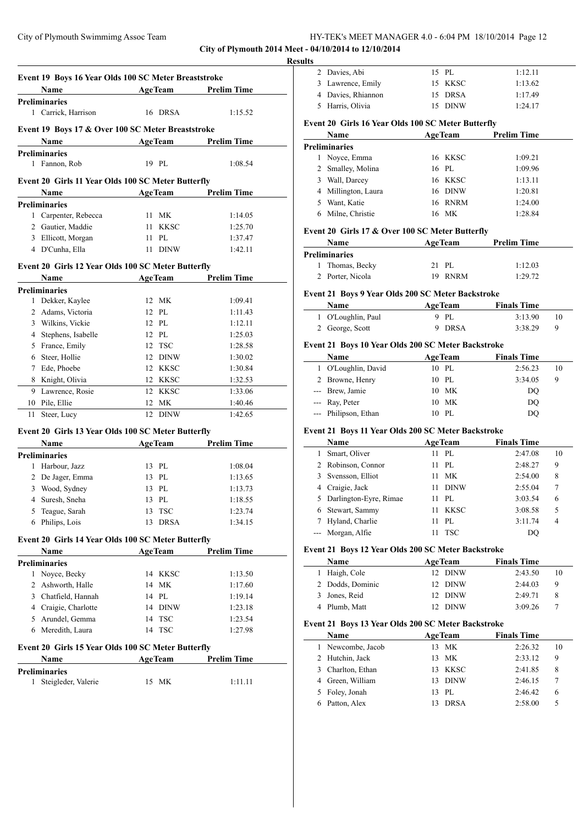City of Plymouth 2014 Meet -

|    | Event 19 Boys 16 Year Olds 100 SC Meter Breaststroke |    |                |                    |
|----|------------------------------------------------------|----|----------------|--------------------|
|    | Name                                                 |    | <b>AgeTeam</b> | <b>Prelim Time</b> |
|    | <b>Preliminaries</b>                                 |    |                |                    |
|    | 1 Carrick, Harrison                                  |    | 16 DRSA        | 1:15.52            |
|    | Event 19 Boys 17 & Over 100 SC Meter Breaststroke    |    |                |                    |
|    | Name                                                 |    | <b>AgeTeam</b> | <b>Prelim Time</b> |
|    | <b>Preliminaries</b>                                 |    |                |                    |
| 1  | Fannon, Rob                                          |    | 19 PL          | 1:08.54            |
|    |                                                      |    |                |                    |
|    | Event 20 Girls 11 Year Olds 100 SC Meter Butterfly   |    |                |                    |
|    | Name                                                 |    | <b>AgeTeam</b> | <b>Prelim Time</b> |
|    | <b>Preliminaries</b>                                 |    |                |                    |
|    | 1 Carpenter, Rebecca                                 |    | 11 MK          | 1:14.05            |
|    | 2 Gautier, Maddie                                    |    | 11 KKSC        | 1:25.70            |
|    | 3 Ellicott, Morgan                                   | 11 | PL             | 1:37.47            |
|    | 4 D'Cunha, Ella                                      |    | 11 DINW        | 1:42.11            |
|    | Event 20 Girls 12 Year Olds 100 SC Meter Butterfly   |    |                |                    |
|    | <b>Name</b>                                          |    | <b>AgeTeam</b> | <b>Prelim Time</b> |
|    | <b>Preliminaries</b>                                 |    |                |                    |
|    | 1 Dekker, Kaylee                                     |    | 12 MK          | 1:09.41            |
|    | 2 Adams, Victoria                                    |    | 12 PL          | 1:11.43            |
|    | 3 Wilkins, Vickie                                    |    | 12 PL          | 1:12.11            |
|    | 4 Stephens, Isabelle                                 |    | 12 PL          | 1:25.03            |
|    | 5 France, Emily                                      |    | 12 TSC         | 1:28.58            |
|    | 6 Steer, Hollie                                      |    | 12 DINW        | 1:30.02            |
|    | 7 Ede, Phoebe                                        |    | 12 KKSC        | 1:30.84            |
|    | 8 Knight, Olivia                                     |    | 12 KKSC        | 1:32.53            |
|    | 9 Lawrence, Rosie                                    |    | 12 KKSC        | 1:33.06            |
| 10 | Pile, Ellie                                          |    | 12 MK          | 1:40.46            |
| 11 | Steer, Lucy                                          |    | 12 DINW        | 1:42.65            |
|    |                                                      |    |                |                    |
|    | Event 20 Girls 13 Year Olds 100 SC Meter Butterfly   |    |                |                    |
|    | Name                                                 |    | <b>AgeTeam</b> | <b>Prelim Time</b> |
|    | <b>Preliminaries</b><br>1 Harbour, Jazz              |    | 13 PL          |                    |
|    |                                                      |    |                | 1:08.04            |
|    | 2 De Jager, Emma                                     |    | 13 PL          | 1:13.65            |
|    | 3 Wood, Sydney                                       |    | 13 PL          | 1:13.73            |
|    | 4 Suresh, Sneha                                      |    | 13 PL          | 1:18.55            |
| 5  | Teague, Sarah                                        |    | 13 TSC         | 1:23.74            |
| 6  | Philips, Lois                                        | 13 | <b>DRSA</b>    | 1:34.15            |
|    | Event 20 Girls 14 Year Olds 100 SC Meter Butterfly   |    |                |                    |
|    | Name                                                 |    | <b>AgeTeam</b> | <b>Prelim Time</b> |
|    | <b>Preliminaries</b>                                 |    |                |                    |
|    | 1 Noyce, Becky                                       |    | 14 KKSC        | 1:13.50            |
|    | 2 Ashworth, Halle                                    |    | 14 MK          | 1:17.60            |
|    | 3 Chatfield, Hannah                                  |    | 14 PL          | 1:19.14            |
|    | 4 Craigie, Charlotte                                 |    | 14 DINW        | 1:23.18            |
|    | 5 Arundel, Gemma                                     |    | 14 TSC         | 1:23.54            |
|    | 6 Meredith, Laura                                    |    | 14 TSC         | 1:27.98            |
|    | Event 20 Girls 15 Year Olds 100 SC Meter Butterfly   |    |                |                    |
|    | Name                                                 |    | <b>AgeTeam</b> | Prelim Time        |
|    | <b>Preliminaries</b>                                 |    |                |                    |
| 1  | Steigleder, Valerie                                  |    | 15 MK          | 1:11.11            |
|    |                                                      |    |                |                    |

| <b>Results</b> |                                                            |                |                |                               |    |
|----------------|------------------------------------------------------------|----------------|----------------|-------------------------------|----|
|                | 2 Davies, Abi                                              | 15 PL          |                | 1:12.11                       |    |
|                | 3 Lawrence, Emily                                          |                | 15 KKSC        | 1:13.62                       |    |
|                | 4 Davies, Rhiannon                                         |                | 15 DRSA        | 1:17.49                       |    |
|                | 5 Harris, Olivia                                           |                | 15 DINW        | 1:24.17                       |    |
|                | Event 20 Girls 16 Year Olds 100 SC Meter Butterfly         |                |                |                               |    |
|                | Name                                                       | <b>AgeTeam</b> |                | <b>Prelim Time</b>            |    |
|                | <b>Preliminaries</b>                                       |                |                |                               |    |
|                | 1 Noyce, Emma                                              |                | 16 KKSC        | 1:09.21                       |    |
|                | 2 Smalley, Molina                                          | 16 PL          |                | 1:09.96                       |    |
|                | 3 Wall, Darcey                                             |                | 16 KKSC        | 1:13.11                       |    |
|                | 4 Millington, Laura                                        |                | 16 DINW        | 1:20.81                       |    |
|                | 5 Want, Katie                                              |                | 16 RNRM        | 1:24.00                       |    |
|                | 6 Milne, Christie                                          | 16 MK          |                | 1:28.84                       |    |
|                | Event 20 Girls 17 & Over 100 SC Meter Butterfly            |                |                |                               |    |
|                | Name                                                       |                | <b>AgeTeam</b> | <b>Prelim Time</b>            |    |
|                | <b>Preliminaries</b>                                       |                |                |                               |    |
| 1              | Thomas, Becky                                              | 21 PL          |                | 1:12.03                       |    |
| 2              | Porter, Nicola                                             |                | 19 RNRM        | 1:29.72                       |    |
|                | Name<br>1 O'Loughlin, Paul                                 | 9 PL           | <b>AgeTeam</b> | <b>Finals Time</b><br>3:13.90 | 10 |
|                | 2 George, Scott                                            |                | 9 DRSA         | 3:38.29                       | 9  |
|                | Event 21 Boys 10 Year Olds 200 SC Meter Backstroke         |                |                |                               |    |
|                | <b>Name</b>                                                |                | <b>AgeTeam</b> | <b>Finals Time</b>            |    |
|                | 1 O'Loughlin, David                                        | 10 PL          |                | 2:56.23                       | 10 |
|                | 2 Browne, Henry                                            | 10 PL          |                | 3:34.05                       | 9  |
|                | --- Brew, Jamie                                            | 10 MK          |                | DQ                            |    |
|                | --- Ray, Peter                                             | 10 MK          |                | DQ                            |    |
|                | --- Philipson, Ethan                                       | 10 PL          |                | DQ                            |    |
|                | Event 21 Boys 11 Year Olds 200 SC Meter Backstroke         |                |                |                               |    |
|                | Name                                                       | <b>AgeTeam</b> |                | <b>Finals Time</b>            |    |
|                | 1 Smart, Oliver                                            | 11 PL          |                | 2:47.08                       | 10 |
|                | 2 Robinson, Connor                                         | 11 PL          |                | 2:48.27                       | 9  |
| 3              | Svensson, Elliot                                           | 11 MK          |                | 2:54.00                       | 8  |
|                | 4 Craigie, Jack                                            | 11             | DINW           | 2:55.04                       | 7  |
| 5              | Darlington-Eyre, Rimae                                     | 11             | $\rm PL$       | 3:03.54                       | 6  |
|                | 6 Stewart, Sammy                                           | 11             | KKSC           | 3:08.58                       | 5  |
| 7              | Hyland, Charlie                                            | 11             | PL             | 3:11.74                       | 4  |
| $\overline{a}$ | Morgan, Alfie                                              | 11             | <b>TSC</b>     | DQ                            |    |
|                |                                                            |                |                |                               |    |
|                |                                                            |                |                |                               |    |
|                | Event 21 Boys 12 Year Olds 200 SC Meter Backstroke<br>Name | <b>AgeTeam</b> |                | <b>Finals Time</b>            |    |

| <b>Name</b>      | <b>AgeTeam</b> | <b>Finals Time</b> |    |
|------------------|----------------|--------------------|----|
| 1 Haigh, Cole    | 12 DINW        | 2:43.50            | 10 |
| 2 Dodds, Dominic | 12 DINW        | 2:44.03            | 9  |
| 3 Jones, Reid    | 12 DINW        | 2:49.71            | 8  |
| 4 Plumb, Matt    | 12 DINW        | 3:09.26            |    |

#### **Event 21 Boys 13 Year Olds 200 SC Meter Backstroke**

|   | Name              |  | <b>AgeTeam</b> | <b>Finals Time</b> |    |  |  |
|---|-------------------|--|----------------|--------------------|----|--|--|
|   | 1 Newcombe, Jacob |  | 13 MK          | 2:26.32            | 10 |  |  |
|   | 2 Hutchin, Jack   |  | 13 MK          | 2:33.12            | 9  |  |  |
| 3 | Charlton, Ethan   |  | 13 KKSC        | 2:41.85            | 8  |  |  |
|   | Green, William    |  | 13 DINW        | 2:46.15            |    |  |  |
|   | 5 Foley, Jonah    |  | 13 PL          | 2:46.42            | 6  |  |  |
|   | Patton, Alex      |  | <b>DRSA</b>    | 2:58.00            | 5  |  |  |
|   |                   |  |                |                    |    |  |  |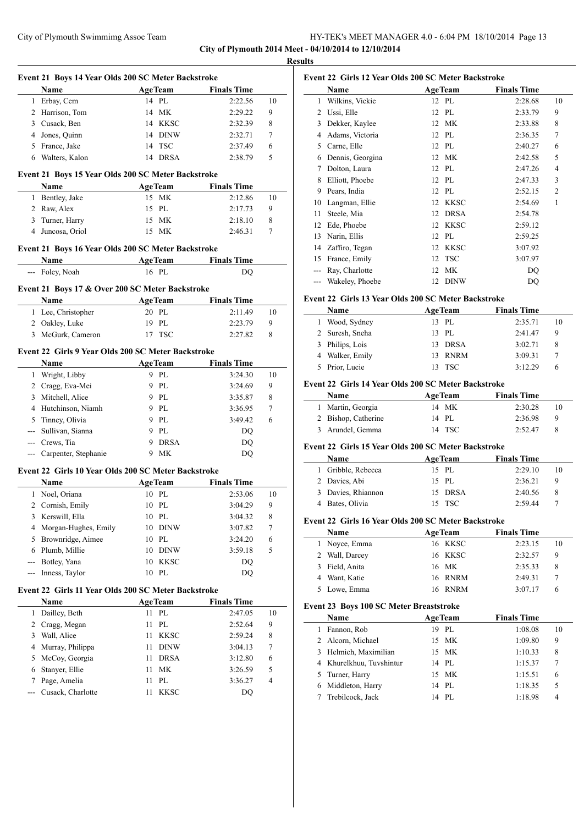**City of Plymouth 2014 Meet - 04/10/2014 to 12/10/2014 Results**

|                | Event 21 Boys 14 Year Olds 200 SC Meter Backstroke  |    |                                   |                    |           |        |
|----------------|-----------------------------------------------------|----|-----------------------------------|--------------------|-----------|--------|
|                | <b>Name</b>                                         |    | <b>AgeTeam</b>                    | <b>Finals Time</b> |           |        |
|                | 1 Erbay, Cem                                        |    | 14 PL                             |                    | 2:22.56   | 10     |
|                | 2 Harrison, Tom                                     |    | 14 MK                             |                    | 2:29.22   | 9      |
|                | 3 Cusack, Ben                                       |    | 14 KKSC                           |                    | 2:32.39   | 8      |
|                | 4 Jones, Quinn                                      |    | 14 DINW                           |                    | 2:32.71   | 7      |
|                | 5 France, Jake                                      |    | 14 TSC                            |                    | 2:37.49   | 6      |
| 6              | Walters, Kalon                                      |    | 14 DRSA                           |                    | 2:38.79   | 5      |
|                | Event 21 Boys 15 Year Olds 200 SC Meter Backstroke  |    |                                   |                    |           |        |
|                | Name                                                |    | <b>AgeTeam</b>                    | <b>Finals Time</b> |           |        |
| 1              | Bentley, Jake                                       | 15 | MK                                |                    | 2:12.86   | 10     |
|                | 2 Raw, Alex                                         | 15 | PL                                |                    | 2:17.73   | 9      |
|                | 3 Turner, Harry                                     |    | 15 MK                             |                    | 2:18.10   | 8      |
|                | 4 Juncosa, Oriol                                    |    | 15 MK                             |                    | 2:46.31   | 7      |
|                | Event 21 Boys 16 Year Olds 200 SC Meter Backstroke  |    |                                   |                    |           |        |
|                | Name                                                |    | <b>AgeTeam</b>                    | <b>Finals Time</b> |           |        |
|                | --- Foley, Noah                                     |    | 16 PL                             |                    | DQ        |        |
|                |                                                     |    |                                   |                    |           |        |
|                | Event 21 Boys 17 & Over 200 SC Meter Backstroke     |    |                                   |                    |           |        |
|                | <b>Name</b>                                         |    | <b>AgeTeam</b>                    | <b>Finals Time</b> |           |        |
|                | 1 Lee, Christopher                                  |    | 20 PL                             |                    | 2:11.49   | 10     |
|                | 2 Oakley, Luke                                      |    | 19 PL                             |                    | 2:23.79   | 9      |
| 3              | McGurk, Cameron                                     |    | 17 TSC                            |                    | 2:27.82   | 8      |
|                | Event 22 Girls 9 Year Olds 200 SC Meter Backstroke  |    |                                   |                    |           |        |
|                | Name                                                |    | <b>AgeTeam</b>                    | <b>Finals Time</b> |           |        |
| 1              | Wright, Libby                                       |    | 9 PL                              |                    | 3:24.30   | 10     |
|                | 2 Cragg, Eva-Mei                                    |    | 9 PL                              |                    | 3:24.69   | 9      |
|                | 3 Mitchell, Alice                                   |    | 9 PL                              |                    | 3:35.87   | 8      |
|                | 4 Hutchinson, Niamh                                 |    | 9 PL                              |                    | 3:36.95   | 7      |
|                | 5 Tinney, Olivia                                    |    | 9 PL                              |                    | 3:49.42   | 6      |
| $- - -$        | Sullivan, Sianna                                    |    | $9$ PL                            |                    | DQ        |        |
|                | --- Crews, Tia                                      |    | 9 DRSA                            |                    | DQ        |        |
| $---$          | Carpenter, Stephanie                                |    | 9 MK                              |                    | DQ        |        |
|                | Event 22 Girls 10 Year Olds 200 SC Meter Backstroke |    |                                   |                    |           |        |
|                | Name                                                |    | <b>AgeTeam</b>                    | <b>Finals Time</b> |           |        |
| 1              | Noel, Oriana                                        |    | 10 PL                             |                    | 2:53.06   | 10     |
|                | 2 Cornish, Emily                                    |    | 10 PL                             |                    | 3:04.29   | 9      |
| 3              | Kerswill, Ella                                      | 10 | $\rm PL$                          |                    | 3:04.32   | 8      |
| 4              | Morgan-Hughes, Emily                                | 10 | <b>DINW</b>                       |                    | 3:07.82   | $\tau$ |
| 5              | Brownridge, Aimee                                   | 10 | PL                                |                    | 3:24.20   | 6      |
| 6              | Plumb, Millie                                       | 10 | <b>DINW</b>                       |                    | 3:59.18   | 5      |
| ---            | Botley, Yana                                        | 10 | <b>KKSC</b>                       |                    | DQ        |        |
| $\overline{a}$ | Inness, Taylor                                      | 10 | PL                                |                    | <b>DQ</b> |        |
|                |                                                     |    |                                   |                    |           |        |
|                | Event 22 Girls 11 Year Olds 200 SC Meter Backstroke |    |                                   |                    |           |        |
|                | Name                                                |    | <b>AgeTeam</b>                    | <b>Finals Time</b> |           |        |
| 1              | Dailley, Beth                                       | 11 | PL                                |                    | 2:47.05   | 10     |
| $\overline{c}$ | Cragg, Megan                                        | 11 | PL                                |                    | 2:52.64   | 9      |
| 3              | Wall, Alice                                         | 11 | <b>KKSC</b>                       |                    | 2:59.24   | 8      |
| 4              | Murray, Philippa                                    | 11 | <b>DINW</b>                       |                    | 3:04.13   | 7      |
| 5              | McCoy, Georgia                                      | 11 | <b>DRSA</b>                       |                    | 3:12.80   | 6      |
| 6              | Stanyer, Ellie                                      | 11 | $\ensuremath{\mathsf{MK}}\xspace$ |                    | 3:26.59   | 5      |
| 7              | Page, Amelia                                        | 11 | PL                                |                    | 3:36.27   | 4      |
| ---            | Cusack, Charlotte                                   | 11 | <b>KKSC</b>                       |                    | DQ        |        |

| Event 22 Girls 12 Year Olds 200 SC Meter Backstroke |                  |    |                |                    |                |  |
|-----------------------------------------------------|------------------|----|----------------|--------------------|----------------|--|
|                                                     | Name             |    | <b>AgeTeam</b> | <b>Finals Time</b> |                |  |
| 1                                                   | Wilkins, Vickie  |    | 12 PL          | 2:28.68            | 10             |  |
| 2                                                   | Ussi, Elle       |    | 12 PL          | 2:33.79            | 9              |  |
| 3                                                   | Dekker, Kaylee   |    | 12 MK          | 2:33.88            | 8              |  |
| 4                                                   | Adams, Victoria  |    | 12 PL          | 2:36.35            | 7              |  |
| 5                                                   | Carne, Elle      |    | 12 PL          | 2:40.27            | 6              |  |
| 6                                                   | Dennis, Georgina | 12 | МK             | 2:42.58            | 5              |  |
| 7                                                   | Dolton, Laura    |    | 12 PL          | 2:47.26            | 4              |  |
| 8                                                   | Elliott, Phoebe  |    | 12 PL          | 2:47.33            | 3              |  |
| 9                                                   | Pears, India     |    | 12 PL          | 2:52.15            | $\overline{2}$ |  |
| 10                                                  | Langman, Ellie   | 12 | KKSC           | 2:54.69            | 1              |  |
| 11                                                  | Steele, Mia      | 12 | <b>DRSA</b>    | 2:54.78            |                |  |
| 12                                                  | Ede, Phoebe      | 12 | KKSC           | 2:59.12            |                |  |
| 13                                                  | Narin, Ellis     | 12 | PL             | 2:59.25            |                |  |
| 14                                                  | Zaffiro, Tegan   | 12 | <b>KKSC</b>    | 3:07.92            |                |  |
| 15                                                  | France, Emily    | 12 | <b>TSC</b>     | 3:07.97            |                |  |
|                                                     | Ray, Charlotte   | 12 | MK             | DO                 |                |  |
|                                                     | Wakeley, Phoebe  | 12 | DINW           | DQ                 |                |  |

#### **Event 22 Girls 13 Year Olds 200 SC Meter Backstroke**

| <b>Name</b>     | <b>AgeTeam</b>     | <b>Finals Time</b> |    |
|-----------------|--------------------|--------------------|----|
| 1 Wood, Sydney  | 13 PL              | 2:35.71            | 10 |
| 2 Suresh, Sneha | 13 PL              | 2:41.47            | 9  |
| 3 Philips, Lois | 13 DRSA            | 3:02.71            | 8  |
| 4 Walker, Emily | <b>RNRM</b><br>13. | 3:09.31            |    |
| 5 Prior, Lucie  | 13 TSC             | 3.12.29            | h  |

#### **Event 22 Girls 14 Year Olds 200 SC Meter Backstroke**

| <b>Name</b>         | <b>AgeTeam</b> | <b>Finals Time</b> |     |
|---------------------|----------------|--------------------|-----|
| 1 Martin, Georgia   | 14 MK          | 2:30.28            | 10  |
| 2 Bishop, Catherine | $14$ PI.       | 2:36.98            | - Q |
| 3 Arundel, Gemma    | 14 TSC         | 2:52.47            |     |

#### **Event 22 Girls 15 Year Olds 200 SC Meter Backstroke**

| Name               | <b>AgeTeam</b> | <b>Finals Time</b> |    |
|--------------------|----------------|--------------------|----|
| 1 Gribble, Rebecca | 15 PL          | 2:29.10            | 10 |
| 2 Davies, Abi      | 15 PL          | 2:36.21            | Q  |
| 3 Davies, Rhiannon | 15 DRSA        | 2:40.56            | 8  |
| 4 Bates, Olivia    | 15 TSC         | 2.5944             |    |

#### **Event 22 Girls 16 Year Olds 200 SC Meter Backstroke**

| Name           | <b>AgeTeam</b> | <b>Finals Time</b> |    |
|----------------|----------------|--------------------|----|
| 1 Noyce, Emma  | 16 KKSC        | 2:23.15            | 10 |
| 2 Wall, Darcey | 16 KKSC        | 2:32.57            | 9  |
| 3 Field, Anita | 16 MK          | 2:35.33            | 8  |
| 4 Want, Katie  | 16 RNRM        | 2:49.31            |    |
| 5 Lowe, Emma   | 16 RNRM        | 3:07.17            | 6  |

#### **Event 23 Boys 100 SC Meter Breaststroke**

|    | Name                     | <b>AgeTeam</b> | <b>Finals Time</b> |    |
|----|--------------------------|----------------|--------------------|----|
|    | Fannon, Rob              | 19 PL          | 1:08.08            | 10 |
|    | 2 Alcorn, Michael        | 15 MK          | 1:09.80            | 9  |
|    | 3 Helmich, Maximilian    | 15 MK          | 1:10.33            | 8  |
|    | 4 Khurelkhuu, Tuvshintur | 14 PL          | 1:15.37            | 7  |
|    | 5 Turner, Harry          | 15 MK          | 1:15.51            | 6  |
| 6. | Middleton, Harry         | 14 PL          | 1:18.35            | 5  |
|    | Trebilcock, Jack         | 14 PL          | 1:18.98            | 4  |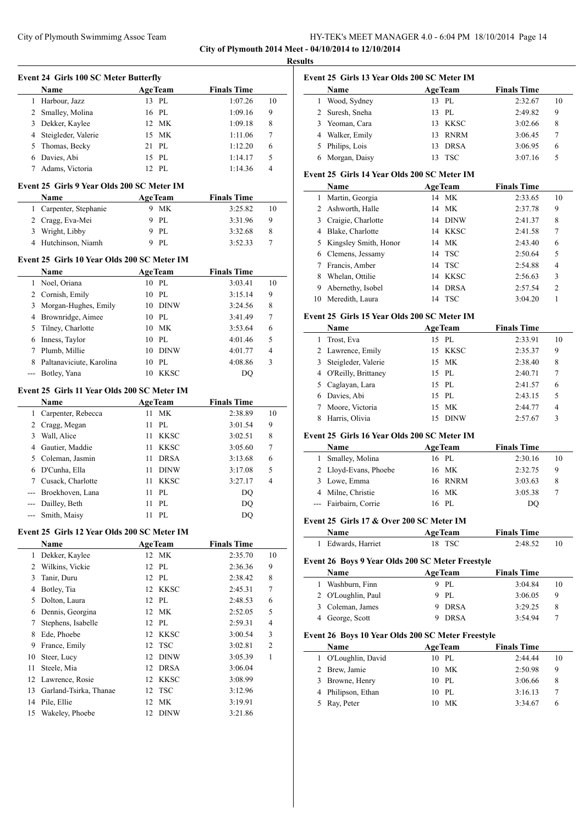**City of Plymouth 2014 Meet - 04/10/2014 to 12/10/2014 Results**

l,

 $\overline{a}$ 

 $\overline{\phantom{0}}$ 

|              | <b>Event 24 Girls 100 SC Meter Butterfly</b>        |                   |                    |        |
|--------------|-----------------------------------------------------|-------------------|--------------------|--------|
|              | Name                                                | <b>AgeTeam</b>    | <b>Finals Time</b> |        |
| $\mathbf{1}$ | Harbour, Jazz                                       | 13 PL             | 1:07.26            | 10     |
| 2            | Smalley, Molina                                     | 16 PL             | 1:09.16            | 9      |
| 3            | Dekker, Kaylee                                      | 12 MK             | 1:09.18            | 8      |
| 4            | Steigleder, Valerie                                 | 15 MK             | 1:11.06            | 7      |
| 5            | Thomas, Becky                                       | 21 PL             | 1:12.20            | 6      |
|              | 6 Davies, Abi                                       | 15 PL             | 1:14.17            | 5      |
|              | 7 Adams, Victoria                                   | 12 PL             | 1:14.36            | 4      |
|              | Event 25 Girls 9 Year Olds 200 SC Meter IM          |                   |                    |        |
|              | Name                                                | <b>AgeTeam</b>    | <b>Finals Time</b> |        |
| 1            | Carpenter, Stephanie                                | 9 MK              | 3:25.82            | 10     |
|              | 2 Cragg, Eva-Mei                                    | 9 PL              | 3:31.96            | 9      |
|              | 3 Wright, Libby                                     | 9 PL              | 3:32.68            | 8      |
|              | 4 Hutchinson, Niamh                                 | 9 PL              | 3:52.33            | 7      |
|              |                                                     |                   |                    |        |
|              | Event 25 Girls 10 Year Olds 200 SC Meter IM<br>Name | <b>AgeTeam</b>    | <b>Finals Time</b> |        |
|              | 1 Noel, Oriana                                      | 10 PL             | 3:03.41            | 10     |
|              | 2 Cornish, Emily                                    | 10P               | 3:15.14            | 9      |
| 3            | Morgan-Hughes, Emily                                | 10 DINW           | 3:24.56            | 8      |
| 4            | Brownridge, Aimee                                   | 10 PL             | 3:41.49            | 7      |
|              |                                                     | 10 MK             | 3:53.64            |        |
| 5            | Tilney, Charlotte                                   | 10 PL             |                    | 6<br>5 |
| 6            | Inness, Taylor                                      |                   | 4:01.46            | 4      |
| 7            | Plumb, Millie                                       | 10 DINW           | 4:01.77            |        |
| 8<br>$---$   | Paltanaviciute, Karolina                            | 10 PL<br>10 KKSC  | 4:08.86            | 3      |
|              | Botley, Yana                                        |                   | DQ                 |        |
|              | Event 25 Girls 11 Year Olds 200 SC Meter IM         |                   |                    |        |
|              | Name                                                | <b>AgeTeam</b>    | <b>Finals Time</b> |        |
| $\mathbf{1}$ | Carpenter, Rebecca                                  | <b>MK</b><br>11   | 2:38.89            | 10     |
|              | 2 Cragg, Megan                                      | PL<br>11          | 3:01.54            | 9      |
| 3            | Wall, Alice                                         | 11 KKSC           | 3:02.51            | 8      |
|              | 4 Gautier, Maddie                                   | 11 KKSC           | 3:05.60            | 7      |
|              | 5 Coleman, Jasmin                                   | <b>DRSA</b><br>11 | 3:13.68            | 6      |
|              | 6 D'Cunha, Ella                                     | 11 DINW           | 3:17.08            | 5      |
|              | 7 Cusack, Charlotte                                 | 11<br><b>KKSC</b> | 3:27.17            | 4      |
|              | --- Broekhoven, Lana                                | PL<br>11          | DQ                 |        |
| ---          | Dailley, Beth                                       | PL<br>11          | DQ                 |        |
| $- - -$      | Smith, Maisy                                        | 11 PL             | DQ                 |        |
|              | Event 25 Girls 12 Year Olds 200 SC Meter IM         |                   |                    |        |
|              | Name                                                | <b>AgeTeam</b>    | <b>Finals Time</b> |        |
| 1            | Dekker, Kaylee                                      | 12 MK             | 2:35.70            | 10     |
| 2            | Wilkins, Vickie                                     | PL<br>12          | 2:36.36            | 9      |
| 3            | Tanir, Duru                                         | 12 PL             | 2:38.42            | 8      |
| 4            | Botley, Tia                                         | 12 KKSC           | 2:45.31            | 7      |
| 5            | Dolton, Laura                                       | 12 PL             | 2:48.53            | 6      |
| 6            | Dennis, Georgina                                    | 12 MK             | 2:52.05            | 5      |
| 7            | Stephens, Isabelle                                  | 12 PL             | 2:59.31            | 4      |
| 8            | Ede, Phoebe                                         | <b>KKSC</b><br>12 | 3:00.54            | 3      |
| 9            | France, Emily                                       | 12<br><b>TSC</b>  | 3:02.81            | 2      |
| 10           | Steer, Lucy                                         | 12<br><b>DINW</b> | 3:05.39            | 1      |
| 11           | Steele, Mia                                         | 12<br><b>DRSA</b> | 3:06.04            |        |
| 12           | Lawrence, Rosie                                     | 12<br><b>KKSC</b> | 3:08.99            |        |
| 13           | Garland-Tsirka, Thanae                              | <b>TSC</b><br>12  | 3:12.96            |        |
| 14           | Pile, Ellie                                         | MK<br>12          | 3:19.91            |        |
| 15           | Wakeley, Phoebe                                     | 12<br><b>DINW</b> | 3:21.86            |        |
|              |                                                     |                   |                    |        |

|   | Name            |    | <b>AgeTeam</b> | <b>Finals Time</b> |    |
|---|-----------------|----|----------------|--------------------|----|
|   | Wood, Sydney    | 13 | PL             | 2:32.67            | 10 |
|   | 2 Suresh, Sneha | 13 | PL             | 2:49.82            | 9  |
|   | Yeoman, Cara    | 13 | KKSC           | 3:02.66            | 8  |
| 4 | Walker, Emily   | 13 | <b>RNRM</b>    | 3:06.45            | 7  |
|   | Philips, Lois   | 13 | <b>DRSA</b>    | 3:06.95            | 6  |
| 6 | Morgan, Daisy   | 13 | <b>TSC</b>     | 3:07.16            | 5  |

## **Event 25 Girls 14 Year Olds 200 SC Meter IM**

|    | <b>AgeTeam</b><br><b>Name</b> |                   | <b>Finals Time</b> |    |
|----|-------------------------------|-------------------|--------------------|----|
| 1  | Martin, Georgia               | МK<br>14          | 2:33.65            | 10 |
| 2  | Ashworth, Halle               | 14 MK             | 2:37.78            | 9  |
| 3  | Craigie, Charlotte            | DINW<br>14        | 2:41.37            | 8  |
| 4  | Blake, Charlotte              | 14 KKSC           | 2:41.58            | 7  |
| 5  | Kingsley Smith, Honor         | 14 MK             | 2:43.40            | 6  |
| 6  | Clemens, Jessamy              | 14 TSC            | 2:50.64            | 5  |
|    | Francis, Amber                | 14 TSC            | 2:54.88            | 4  |
| 8  | Whelan, Ottilie               | <b>KKSC</b><br>14 | 2:56.63            | 3  |
| 9  | Abernethy, Isobel             | <b>DRSA</b><br>14 | 2:57.54            | 2  |
| 10 | Meredith, Laura               | <b>TSC</b><br>14  | 3:04.20            |    |

#### **Event 25 Girls 15 Year Olds 200 SC Meter IM**

| Name                  | <b>AgeTeam</b>     | <b>Finals Time</b> |    |
|-----------------------|--------------------|--------------------|----|
| 1 Trost, Eva          | 15 PL              | 2:33.91            | 10 |
| 2 Lawrence, Emily     | 15 KKSC            | 2:35.37            | 9  |
| 3 Steigleder, Valerie | 15 MK              | 2:38.40            | 8  |
| 4 O'Reilly, Brittaney | 15 PL              | 2:40.71            | 7  |
| 5 Caglayan, Lara      | 15 PL              | 2:41.57            | 6  |
| Davies, Abi           | 15 PL              | 2:43.15            | 5  |
| Moore, Victoria       | 15 MK              | 2:44.77            | 4  |
| Harris, Olivia        | <b>DINW</b><br>15. | 2:57.67            | 3  |

#### **Event 25 Girls 16 Year Olds 200 SC Meter IM**

| <b>Name</b>           | <b>AgeTeam</b> | <b>Finals Time</b> |    |
|-----------------------|----------------|--------------------|----|
| Smalley, Molina       | 16 PL          | 2:30.16            | 10 |
| 2 Lloyd-Evans, Phoebe | 16 MK          | 2:32.75            | 9  |
| 3 Lowe, Emma          | 16 RNRM        | 3:03.63            | 8  |
| 4 Milne, Christie     | 16 MK          | 3:05.38            |    |
| --- Fairbairn, Corrie | 16 PL          | DO                 |    |

### **Event 25 Girls 17 & Over 200 SC Meter IM**

| <b>Name</b>        | <b>AgeTeam</b> | <b>Finals Time</b> |  |
|--------------------|----------------|--------------------|--|
| 1 Edwards, Harriet | 18 TSC         | 2:48.52            |  |

#### **Event 26 Boys 9 Year Olds 200 SC Meter Freestyle**

| Name               | <b>AgeTeam</b> | <b>Finals Time</b> |    |
|--------------------|----------------|--------------------|----|
| 1 Washburn, Finn   | 9 PL           | 3:04.84            | 10 |
| 2 O'Loughlin, Paul | 9 PL           | 3:06.05            | 9  |
| 3 Coleman, James   | 9 DRSA         | 3:29.25            |    |
| 4 George, Scott    | <b>DRSA</b>    | 3:54.94            |    |

## **Event 26 Boys 10 Year Olds 200 SC Meter Freestyle**

| <b>Name</b>         | <b>AgeTeam</b> | <b>Finals Time</b> |    |
|---------------------|----------------|--------------------|----|
| 1 O'Loughlin, David | 10 PL          | 2:44.44            | 10 |
| 2 Brew, Jamie       | 10 MK          | 2:50.98            | 9  |
| 3 Browne, Henry     | 10 PL          | 3:06.66            | 8  |
| 4 Philipson, Ethan  | 10 PL          | 3:16.13            |    |
| 5 Ray, Peter        | 10 MK          | 3:34.67            | 6  |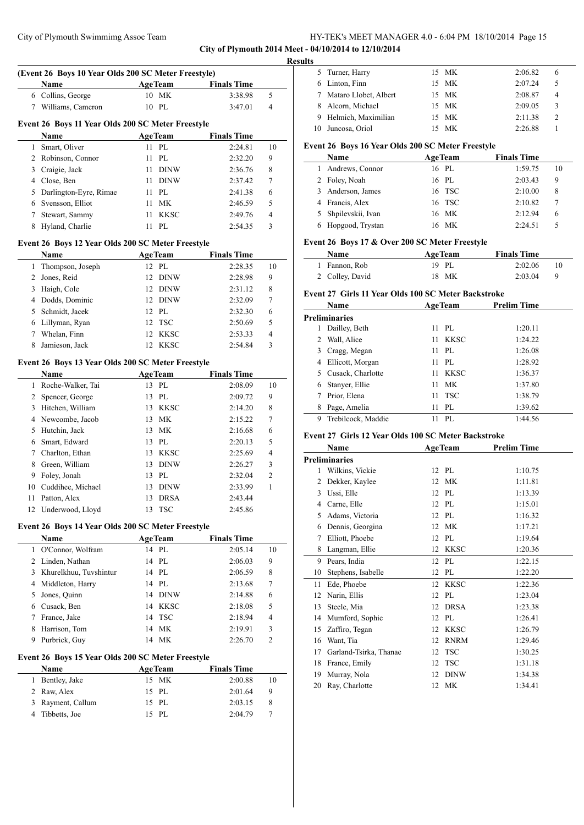|   | City of Plymouth Swimmimg Assoc Team                |                   |                    |                | HY-TEK's MEET MANAGER 4.0 - 6:04 PM 18/10/2014 Page 15                  |                |                    |
|---|-----------------------------------------------------|-------------------|--------------------|----------------|-------------------------------------------------------------------------|----------------|--------------------|
|   |                                                     |                   |                    |                | City of Plymouth 2014 Meet - 04/10/2014 to 12/10/2014<br><b>Results</b> |                |                    |
|   | (Event 26 Boys 10 Year Olds 200 SC Meter Freestyle) |                   |                    |                | 5 Turner, Harry                                                         | 15 MK          | 2:06.82            |
|   | Name                                                | <b>AgeTeam</b>    | <b>Finals Time</b> |                | 6 Linton, Finn                                                          | 15 MK          | 2:07.24            |
|   | 6 Collins, George                                   | 10 MK             | 3:38.98            | 5              | Mataro Llobet, Albert<br>7                                              | 15 MK          | 2:08.87            |
|   | 7 Williams, Cameron                                 | 10 PL             | 3:47.01            | $\overline{4}$ | Alcorn, Michael<br>8                                                    | 15 MK          | 2:09.05            |
|   |                                                     |                   |                    |                | Helmich, Maximilian<br>9                                                | 15 MK          | 2:11.38            |
|   | Event 26 Boys 11 Year Olds 200 SC Meter Freestyle   |                   |                    |                | 10 Juncosa, Oriol                                                       | 15 MK          | 2:26.88            |
|   | Name                                                | <b>AgeTeam</b>    | <b>Finals Time</b> |                |                                                                         |                |                    |
|   | 1 Smart, Oliver                                     | 11 PL             | 2:24.81            | 10             | Event 26 Boys 16 Year Olds 200 SC Meter Freestyle                       |                |                    |
|   | 2 Robinson, Connor                                  | 11 PL             | 2:32.20            | 9              | <b>Name</b>                                                             | <b>AgeTeam</b> | <b>Finals Time</b> |
| 3 | Craigie, Jack                                       | 11 DINW           | 2:36.76            | 8              | 1 Andrews, Connor                                                       | 16 PL          | 1:59.75            |
|   | 4 Close, Ben                                        | 11 DINW           | 2:37.42            | 7              | 2 Foley, Noah                                                           | 16 PL          | 2:03.43            |
| 5 | Darlington-Eyre, Rimae                              | 11 PL             | 2:41.38            | 6              | 3 Anderson, James                                                       | 16 TSC         | 2:10.00            |
| 6 | Svensson, Elliot                                    | 11 MK             | 2:46.59            | 5              | 4 Francis, Alex                                                         | 16 TSC         | 2:10.82            |
|   | 7 Stewart, Sammy                                    | 11 KKSC           | 2:49.76            | $\overline{4}$ | 5 Shpilevskii, Ivan                                                     | 16 MK          | 2:12.94            |
|   | 8 Hyland, Charlie                                   | 11 PL             | 2:54.35            | 3              | 6 Hopgood, Trystan                                                      | 16 MK          | 2:24.51            |
|   | Event 26 Boys 12 Year Olds 200 SC Meter Freestyle   |                   |                    |                | Event 26 Boys 17 & Over 200 SC Meter Freestyle                          |                |                    |
|   | Name                                                | <b>AgeTeam</b>    | <b>Finals Time</b> |                | Name                                                                    | <b>AgeTeam</b> | <b>Finals Time</b> |
|   | 1 Thompson, Joseph                                  | 12 PL             | 2:28.35            | 10             | 1 Fannon, Rob                                                           | 19 PL          | 2:02.06            |
| 2 | Jones, Reid                                         | 12 DINW           | 2:28.98            | 9              | 2 Colley, David                                                         | 18 MK          | 2:03.04            |
| 3 | Haigh, Cole                                         | 12 DINW           | 2:31.12            | 8              | Event 27 Girls 11 Year Olds 100 SC Meter Backstroke                     |                |                    |
|   | 4 Dodds, Dominic                                    | 12 DINW           | 2:32.09            | 7              |                                                                         |                |                    |
| 5 | Schmidt, Jacek                                      | 12 PL             | 2:32.30            | 6              | Name                                                                    | <b>AgeTeam</b> | <b>Prelim Time</b> |
|   | 6 Lillyman, Ryan                                    | 12 TSC            | 2:50.69            | 5              | Preliminaries                                                           |                |                    |
|   | 7 Whelan, Finn                                      | 12 KKSC           | 2:53.33            | 4              | 1 Dailley, Beth                                                         | 11 PL          | 1:20.11            |
| 8 | Jamieson, Jack                                      | 12 KKSC           | 2:54.84            | 3              | 2 Wall, Alice                                                           | 11 KKSC        | 1:24.22            |
|   |                                                     |                   |                    |                | 3 Cragg, Megan                                                          | 11 PL          | 1:26.08            |
|   | Event 26 Boys 13 Year Olds 200 SC Meter Freestyle   |                   |                    |                | 4 Ellicott, Morgan                                                      | 11 PL          | 1:28.92            |
|   | Name                                                | <b>AgeTeam</b>    | <b>Finals Time</b> |                | Cusack, Charlotte<br>5                                                  | 11 KKSC        | 1:36.37            |
|   | 1 Roche-Walker, Tai                                 | 13 PL             | 2:08.09            | 10             | 6 Stanyer, Ellie                                                        | 11 MK          | 1:37.80            |
|   | 2 Spencer, George                                   | 13 PL             | 2:09.72            | 9              | 7 Prior, Elena                                                          | 11 TSC         | 1:38.79            |
|   | 3 Hitchen, William                                  | 13 KKSC           | 2:14.20            | 8              | 8 Page, Amelia                                                          | 11 PL          | 1:39.62            |
|   | 4 Newcombe, Jacob                                   | 13 MK             | 2:15.22            | 7              | 9 Trebilcock, Maddie                                                    | 11 PL          | 1:44.56            |
|   | 5 Hutchin, Jack                                     | 13 MK             | 2:16.68            | 6              | Event 27 Girls 12 Year Olds 100 SC Meter Backstroke                     |                |                    |
| 6 | Smart, Edward                                       | 13 PL             | 2:20.13            | 5              | Name                                                                    | <b>AgeTeam</b> | <b>Prelim Time</b> |
| 7 | Charlton, Ethan                                     | <b>KKSC</b><br>13 | 2:25.69            | 4              |                                                                         |                |                    |
|   | 8 Green, William                                    | 13 DINW           | 2:26.27            | 3              | <b>Preliminaries</b>                                                    |                |                    |
|   | 9 Foley, Jonah                                      | 13 PL             | 2:32.04            | 2              | 1 Wilkins, Vickie                                                       | 12 PL          | 1:10.75            |
|   | 10 Cuddihee, Michael                                | 13 DINW           | 2:33.99            | 1              | 2 Dekker, Kaylee                                                        | 12 MK          | 1:11.81            |
|   | 11 Patton, Alex                                     | 13 DRSA           | 2:43.44            |                | 3 Ussi, Elle                                                            | 12 PL          | 1:13.39            |
|   | 12 Underwood, Lloyd                                 | 13 TSC            | 2:45.86            |                | Carne, Elle<br>4                                                        | 12 PL          | 1:15.01            |
|   |                                                     |                   |                    |                | Adams, Victoria<br>5                                                    | 12 PL          | 1:16.32            |
|   | Event 26 Boys 14 Year Olds 200 SC Meter Freestyle   |                   |                    |                | Dennis, Georgina<br>6                                                   | 12 MK          | 1:17.21            |
|   | Name                                                | <b>AgeTeam</b>    | <b>Finals Time</b> |                | Elliott, Phoebe<br>7                                                    | 12 PL          | 1:19.64            |
|   | 1 O'Connor, Wolfram                                 | 14 PL             | 2:05.14            | 10             | 8 Langman, Ellie                                                        | 12 KKSC        | 1:20.36            |
|   | 2 Linden, Nathan                                    | 14 PL             | 2:06.03            | 9              | 9 Pears, India                                                          | 12 PL          | 1:22.15            |
|   | 3 Khurelkhuu, Tuvshintur                            | 14 PL             | 2:06.59            | 8              | 10 Stephens, Isabelle                                                   | 12 PL          | 1:22.20            |
| 4 | Middleton, Harry                                    | 14 PL             | 2:13.68            | 7              | 11 Ede, Phoebe                                                          | 12 KKSC        | 1:22.36            |
| 5 | Jones, Quinn                                        | 14 DINW           | 2:14.88            | 6              | 12 Narin, Ellis                                                         | 12 PL          | 1:23.04            |
| 6 | Cusack, Ben                                         | 14 KKSC           | 2:18.08            | 5              | 13 Steele, Mia                                                          | 12 DRSA        | 1:23.38            |
|   | 7 France, Jake                                      | 14 TSC            | 2:18.94            | 4              | 14 Mumford, Sophie                                                      | 12 PL          | 1:26.41            |
|   | 8 Harrison, Tom                                     | 14 MK             | 2:19.91            | 3              | 15 Zaffiro, Tegan                                                       | 12 KKSC        | 1:26.79            |
|   | 9 Purbrick, Guy                                     | 14 MK             | 2:26.70            | 2              | 16 Want, Tia                                                            | 12 RNRM        | 1:29.46            |
|   |                                                     |                   |                    |                | 17 Garland-Tsirka, Thanae                                               | 12 TSC         | 1:30.25            |
|   | Event 26 Boys 15 Year Olds 200 SC Meter Freestyle   |                   |                    |                | 18 France, Emily                                                        | 12 TSC         | 1:31.18            |
|   | Name                                                | <b>AgeTeam</b>    | <b>Finals Time</b> |                | 19 Murray, Nola                                                         | 12 DINW        | 1:34.38            |
|   | 1 Bentley, Jake                                     | 15 MK             | 2:00.88            | 10             | 20 Ray, Charlotte                                                       | 12 MK          | 1:34.41            |
|   | 2 Raw, Alex                                         | 15 PL             | 2:01.64            | 9              |                                                                         |                |                    |

 Rayment, Callum 15 PL 2:03.15 8 Tibbetts, Joe 15 PL 2:04.79 7

|    | 5 Turner, Harry       |     | 15 MK | 2:06.82 | 6 |  |
|----|-----------------------|-----|-------|---------|---|--|
|    | 6 Linton, Finn        |     | 15 MK | 2:07.24 |   |  |
| 7  | Mataro Llobet, Albert |     | 15 MK | 2:08.87 |   |  |
| 8  | Alcorn, Michael       |     | 15 MK | 2:09.05 | 3 |  |
|    | Helmich, Maximilian   |     | 15 MK | 2:11.38 |   |  |
| 10 | Juncosa, Oriol        | 15. | - MK  | 2:26.88 |   |  |

#### **Event 26 Boys 16 Year Olds 200 SC Meter Freestyle**

| <b>Finals Time</b> |
|--------------------|
| 1:59.75<br>10      |
| 2:03.43<br>9       |
| 2:10.00<br>8       |
| 2:10.82            |
| 2:12.94<br>6       |
| 2:24.51            |
|                    |

#### **Event 26 Boys 17 & Over 200 SC Meter Freestyle**

| Name            | <b>AgeTeam</b> | <b>Finals Time</b> |    |
|-----------------|----------------|--------------------|----|
| 1 Fannon, Rob   | 19 PL          | 2:02.06            |    |
| 2 Colley, David | 18 MK          | 2:03.04            | -9 |

### **Event 27 Girls 11 Year Olds 100 SC Meter Backstroke**

|   | <b>Name</b>          |     | <b>AgeTeam</b> | <b>Prelim Time</b> |
|---|----------------------|-----|----------------|--------------------|
|   | <b>Preliminaries</b> |     |                |                    |
|   | Dailley, Beth        |     | $11$ PL        | 1:20.11            |
|   | Wall, Alice          | 11  | KKSC           | 1:24.22            |
| 3 | Cragg, Megan         | 11  | PL             | 1:26.08            |
| 4 | Ellicott, Morgan     | 11  | PL             | 1:28.92            |
| 5 | Cusack, Charlotte    | 11  | <b>KKSC</b>    | 1:36.37            |
| 6 | Stanyer, Ellie       | 11  | МK             | 1:37.80            |
|   | Prior, Elena         | 11. | TSC            | 1:38.79            |
| 8 | Page, Amelia         | 11  | PL             | 1:39.62            |
| 9 | Trebilcock, Maddie   |     | PL.            | 1:44.56            |

#### **Event 27 Girls 12 Year Olds 100 SC Meter Backstroke**

|    | Name                   |    | <b>AgeTeam</b> | <b>Prelim Time</b> |  |
|----|------------------------|----|----------------|--------------------|--|
|    | Preliminaries          |    |                |                    |  |
| 1  | Wilkins, Vickie        |    | 12 PL          | 1:10.75            |  |
| 2  | Dekker, Kaylee         | 12 | <b>MK</b>      | 1:11.81            |  |
| 3  | Ussi, Elle             | 12 | PI.            | 1:13.39            |  |
| 4  | Carne, Elle            | 12 | PI.            | 1:15.01            |  |
| 5  | Adams, Victoria        | 12 | PL             | 1:16.32            |  |
| 6  | Dennis, Georgina       | 12 | <b>MK</b>      | 1:17.21            |  |
| 7  | Elliott, Phoebe        | 12 | PL             | 1:19.64            |  |
| 8  | Langman, Ellie         | 12 | <b>KKSC</b>    | 1:20.36            |  |
| 9  | Pears, India           | 12 | PL             | 1:22.15            |  |
| 10 | Stephens, Isabelle     | 12 | PL             | 1:22.20            |  |
| 11 | Ede, Phoebe            | 12 | <b>KKSC</b>    | 1:22.36            |  |
| 12 | Narin, Ellis           | 12 | PL             | 1:23.04            |  |
| 13 | Steele, Mia            | 12 | <b>DRSA</b>    | 1:23.38            |  |
| 14 | Mumford, Sophie        | 12 | PL             | 1:26.41            |  |
| 15 | Zaffiro, Tegan         | 12 | <b>KKSC</b>    | 1:26.79            |  |
| 16 | Want, Tia              | 12 | <b>RNRM</b>    | 1:29.46            |  |
| 17 | Garland-Tsirka, Thanae | 12 | <b>TSC</b>     | 1:30.25            |  |
| 18 | France, Emily          | 12 | <b>TSC</b>     | 1:31.18            |  |
| 19 | Murray, Nola           | 12 | <b>DINW</b>    | 1:34.38            |  |
| 20 | Ray, Charlotte         | 12 | <b>MK</b>      | 1:34.41            |  |
|    |                        |    |                |                    |  |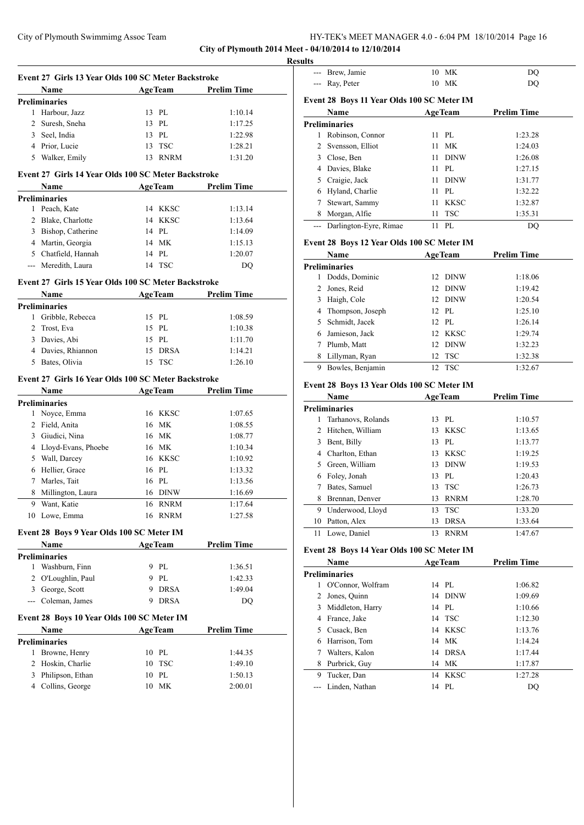**City of Plymouth 2014 Meet - 04/10/2014 to 12/10/2014**

|   | Event 27 Girls 13 Year Olds 100 SC Meter Backstroke |    |                |                    |  |
|---|-----------------------------------------------------|----|----------------|--------------------|--|
|   | <b>Example 2</b> Age Team<br>Name                   |    |                | <b>Prelim Time</b> |  |
|   | <b>Preliminaries</b>                                |    |                |                    |  |
|   | 1 Harbour, Jazz                                     |    | 13 PL          | 1:10.14            |  |
|   | 2 Suresh, Sneha                                     |    | 13 PL          | 1:17.25            |  |
|   | 3 Seel, India                                       |    | 13 PL          | 1:22.98            |  |
|   | 4 Prior, Lucie                                      |    | 13 TSC         | 1:28.21            |  |
|   | 5 Walker, Emily                                     |    | 13 RNRM        | 1:31.20            |  |
|   | Event 27 Girls 14 Year Olds 100 SC Meter Backstroke |    |                |                    |  |
|   | Name                                                |    | <b>AgeTeam</b> | <b>Prelim Time</b> |  |
|   | <b>Preliminaries</b>                                |    |                |                    |  |
|   | 1 Peach, Kate                                       |    | 14 KKSC        | 1:13.14            |  |
|   | 2 Blake, Charlotte                                  |    | 14 KKSC        | 1:13.64            |  |
|   | 3 Bishop, Catherine                                 |    | 14 PL          | 1:14.09            |  |
|   | 4 Martin, Georgia                                   |    | 14 MK          | 1:15.13            |  |
|   | 5 Chatfield, Hannah                                 |    | 14 PL          | 1:20.07            |  |
|   | --- Meredith, Laura                                 |    | 14 TSC         | DQ                 |  |
|   |                                                     |    |                |                    |  |
|   | Event 27 Girls 15 Year Olds 100 SC Meter Backstroke |    |                |                    |  |
|   | Name                                                |    | <b>AgeTeam</b> | <b>Prelim Time</b> |  |
|   | <b>Preliminaries</b>                                |    |                |                    |  |
| 1 | Gribble, Rebecca                                    |    | 15 PL          | 1:08.59            |  |
| 2 | Trost, Eva                                          |    | 15 PL          | 1:10.38            |  |
|   | 3 Davies, Abi                                       |    | 15 PL          | 1:11.70            |  |
|   | 4 Davies, Rhiannon                                  |    | 15 DRSA        | 1:14.21            |  |
|   | 5 Bates, Olivia                                     | 15 | TSC            | 1:26.10            |  |
|   | Event 27 Girls 16 Year Olds 100 SC Meter Backstroke |    |                |                    |  |
|   | Name                                                |    | <b>AgeTeam</b> | <b>Prelim Time</b> |  |
|   | <b>Preliminaries</b>                                |    |                |                    |  |
|   | 1 Noyce, Emma                                       |    | 16 KKSC        | 1:07.65            |  |
|   | 2 Field, Anita                                      |    | 16 MK          | 1:08.55            |  |
|   | 3 Giudici, Nina                                     |    | 16 MK          | 1:08.77            |  |
|   | 4 Lloyd-Evans, Phoebe                               |    | 16 MK          | 1:10.34            |  |
|   | 5 Wall, Darcey                                      |    | 16 KKSC        | 1:10.92            |  |
|   | 6 Hellier, Grace                                    |    | 16 PL          | 1:13.32            |  |
|   | 7 Marles, Tait                                      |    | 16 PL          | 1:13.56            |  |
|   |                                                     |    |                |                    |  |
| 8 | Millington, Laura                                   |    | 16 DINW        | 1:16.69            |  |
|   | 9 Want, Katie                                       |    | 16 RNRM        | 1:17.64            |  |
|   | 10 Lowe, Emma                                       |    | 16 RNRM        | 1:27.58            |  |
|   | Event 28 Boys 9 Year Olds 100 SC Meter IM           |    |                |                    |  |
|   | Name                                                |    | <b>AgeTeam</b> | <b>Prelim Time</b> |  |
|   | <b>Preliminaries</b>                                |    |                |                    |  |
| 1 | Washburn, Finn                                      |    | 9 PL           | 1:36.51            |  |
| 2 | O'Loughlin, Paul                                    |    | 9 PL           | 1:42.33            |  |
|   | 3 George, Scott                                     |    | 9 DRSA         | 1:49.04            |  |
|   | --- Coleman, James                                  | 9  | <b>DRSA</b>    | DQ                 |  |
|   |                                                     |    |                |                    |  |
|   | Event 28 Boys 10 Year Olds 100 SC Meter IM          |    |                |                    |  |
|   | Name                                                |    | <b>AgeTeam</b> | <b>Prelim Time</b> |  |
| 1 | Preliminaries                                       |    | 10 PL          |                    |  |
|   | Browne, Henry                                       |    |                | 1:44.35            |  |
| 2 | Hoskin, Charlie                                     | 10 | <b>TSC</b>     | 1:49.10            |  |
| 3 | Philipson, Ethan                                    | 10 | PL             | 1:50.13            |  |
|   | 4 Collins, George                                   | 10 | MK             | 2:00.01            |  |

| <b>Results</b> |                                            |    |                |                    |
|----------------|--------------------------------------------|----|----------------|--------------------|
| $---$          | Brew, Jamie                                |    | 10 MK          | DQ                 |
| ---            | Ray, Peter                                 |    | 10 MK          | DQ                 |
|                | Event 28 Boys 11 Year Olds 100 SC Meter IM |    |                |                    |
|                | Name                                       |    | <b>AgeTeam</b> | <b>Prelim Time</b> |
|                | <b>Preliminaries</b>                       |    |                |                    |
|                | 1 Robinson, Connor                         |    | 11 PL          | 1:23.28            |
| $\mathbf{2}$   | Svensson, Elliot                           | 11 | <b>MK</b>      | 1:24.03            |
|                | 3 Close, Ben                               | 11 | <b>DINW</b>    | 1:26.08            |
|                | 4 Davies, Blake                            | 11 | PL             | 1:27.15            |
|                | 5 Craigie, Jack                            | 11 | <b>DINW</b>    | 1:31.77            |
|                | 6 Hyland, Charlie                          |    | 11 PL          | 1:32.22            |
| 7              | Stewart, Sammy                             | 11 | <b>KKSC</b>    | 1:32.87            |
|                | 8 Morgan, Alfie                            | 11 | <b>TSC</b>     | 1:35.31            |
|                | --- Darlington-Eyre, Rimae                 | 11 | PL             | DQ                 |
|                | Event 28 Boys 12 Year Olds 100 SC Meter IM |    |                |                    |
|                | <b>Name</b>                                |    | <b>AgeTeam</b> | <b>Prelim Time</b> |
|                | <b>Preliminaries</b>                       |    |                |                    |
|                | 1 Dodds, Dominic                           |    | 12 DINW        | 1:18.06            |
|                | 2 Jones, Reid                              |    | 12 DINW        | 1:19.42            |
|                | 3 Haigh, Cole                              |    | 12 DINW        | 1:20.54            |
| 4              | Thompson, Joseph                           |    | 12 PL          | 1:25.10            |
| 5              | Schmidt, Jacek                             |    | 12 PL          | 1:26.14            |
|                | 6 Jamieson, Jack                           |    | 12 KKSC        | 1:29.74            |
|                | 7 Plumb, Matt                              |    | 12 DINW        | 1:32.23            |
|                | 8 Lillyman, Ryan                           | 12 | <b>TSC</b>     | 1:32.38            |
|                | 9 Bowles, Benjamin                         | 12 | TSC            | 1:32.67            |
|                |                                            |    |                |                    |
|                | Event 28 Boys 13 Year Olds 100 SC Meter IM |    |                |                    |
|                | Name                                       |    | <b>AgeTeam</b> | <b>Prelim Time</b> |
|                | <b>Preliminaries</b>                       |    |                |                    |
| 1              | Tarhanovs, Rolands                         |    | 13 PL          | 1:10.57            |
|                | 2 Hitchen, William                         |    | 13 KKSC        | 1:13.65            |
|                | 3 Bent, Billy                              |    | 13 PL          | 1:13.77            |
|                | 4 Charlton, Ethan                          |    | 13 KKSC        | 1:19.25            |
|                | 5 Green, William                           |    | 13 DINW        | 1:19.53            |
|                | 6 Foley, Jonah                             | 13 | PL             | 1:20.43            |
| 7              | Bates, Samuel                              | 13 | <b>TSC</b>     | 1:26.73            |
| 8              | Brennan, Denver                            | 13 | RNRM           | 1:28.70            |
| 9              | Underwood, Lloyd                           | 13 | TSC            | 1:33.20            |
| 10             | Patton, Alex                               | 13 | <b>DRSA</b>    | 1:33.64            |
| 11             | Lowe, Daniel                               | 13 | <b>RNRM</b>    | 1:47.67            |
|                | Event 28 Boys 14 Year Olds 100 SC Meter IM |    |                |                    |
|                | Name                                       |    | <b>AgeTeam</b> | <b>Prelim Time</b> |
|                | <b>Preliminaries</b>                       |    |                |                    |
| 1              | O'Connor, Wolfram                          |    | 14 PL          | 1:06.82            |
| 2              | Jones, Quinn                               | 14 | <b>DINW</b>    | 1:09.69            |
|                | 3 Middleton, Harry                         |    | 14 PL          | 1:10.66            |
|                | 4 France, Jake                             | 14 | <b>TSC</b>     | 1:12.30            |
|                | 5 Cusack, Ben                              | 14 | <b>KKSC</b>    | 1:13.76            |
|                | 6 Harrison, Tom                            |    | 14 MK          | 1:14.24            |

 Walters, Kalon 14 DRSA 1:17.44 Purbrick, Guy 14 MK 1:17.87 9 Tucker, Dan 14 KKSC 1:27.28 --- Linden, Nathan 14 PL DQ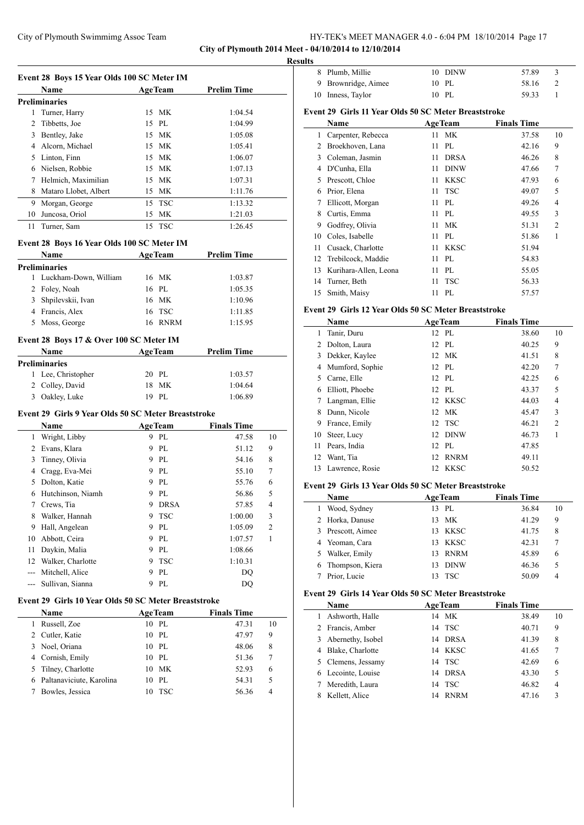**City of Plymouth 2014 Meet - 04/10/2014 to 12/10/2014**

 $\overline{\phantom{a}}$ 

 $\overline{\phantom{a}}$ 

|    | Name                  |    | <b>AgeTeam</b> | <b>Prelim Time</b> |
|----|-----------------------|----|----------------|--------------------|
|    | Preliminaries         |    |                |                    |
| 1  | Turner, Harry         |    | 15 MK          | 1:04.54            |
| 2  | Tibbetts, Joe         |    | 15 PL          | 1:04.99            |
| 3  | Bentley, Jake         |    | 15 MK          | 1:05.08            |
| 4  | Alcorn, Michael       |    | 15 MK          | 1:05.41            |
| 5  | Linton, Finn          |    | 15 MK          | 1:06.07            |
| 6  | Nielsen, Robbie       |    | 15 MK          | 1:07.13            |
| 7  | Helmich, Maximilian   |    | 15 MK          | 1:07.31            |
| 8  | Mataro Llobet, Albert | 15 | МK             | 1:11.76            |
| 9  | Morgan, George        |    | 15 TSC         | 1:13.32            |
| 10 | Juncosa, Oriol        | 15 | МK             | 1:21.03            |
|    | 11 Turner, Sam        |    | 15 TSC         | 1:26.45            |

## **Event 28 Boys 16 Year Olds 100 SC Meter IM**

|   | <b>Name</b>             | <b>AgeTeam</b> |         | <b>Prelim Time</b> |  |
|---|-------------------------|----------------|---------|--------------------|--|
|   | Preliminaries           |                |         |                    |  |
|   | 1 Luckham-Down, William |                | 16 MK   | 1:03.87            |  |
|   | 2 Foley, Noah           | 16 PL          |         | 1:05.35            |  |
| 3 | Shpilevskii, Ivan       |                | 16 MK   | 1:10.96            |  |
|   | 4 Francis, Alex         |                | 16 TSC  | 1:11.85            |  |
| 5 | Moss, George            |                | 16 RNRM | 1:15.95            |  |

## **Event 28 Boys 17 & Over 100 SC Meter IM**

| <b>Name</b>          | <b>AgeTeam</b> | <b>Prelim Time</b> |  |
|----------------------|----------------|--------------------|--|
| <b>Preliminaries</b> |                |                    |  |
| 1 Lee, Christopher   | 20 PL          | 1:03.57            |  |
| 2 Colley, David      | 18 MK          | 1:04.64            |  |
| Oakley, Luke<br>3    | 19 PL          | 1:06.89            |  |

#### **Event 29 Girls 9 Year Olds 50 SC Meter Breaststroke**

|    | Name              |   | <b>AgeTeam</b> | <b>Finals Time</b> |                |
|----|-------------------|---|----------------|--------------------|----------------|
| 1  | Wright, Libby     | 9 | PI.            | 47.58              | 10             |
| 2  | Evans, Klara      | 9 | PL             | 51.12              | 9              |
| 3  | Tinney, Olivia    | 9 | PL             | 54.16              | 8              |
| 4  | Cragg, Eva-Mei    | 9 | PL             | 55.10              | 7              |
| 5  | Dolton, Katie     | 9 | PI.            | 55.76              | 6              |
| 6  | Hutchinson, Niamh | 9 | PI.            | 56.86              | 5              |
| 7  | Crews, Tia        | 9 | <b>DRSA</b>    | 57.85              | $\overline{4}$ |
| 8  | Walker, Hannah    | 9 | <b>TSC</b>     | 1:00.00            | 3              |
| 9  | Hall, Angelean    | 9 | PL             | 1:05.09            | $\overline{c}$ |
| 10 | Abbott, Ceira     | 9 | PL             | 1:07.57            | 1              |
| 11 | Daykin, Malia     | 9 | PI.            | 1:08.66            |                |
| 12 | Walker, Charlotte | 9 | <b>TSC</b>     | 1:10.31            |                |
|    | Mitchell, Alice   | 9 | PL             | DO                 |                |
|    | Sullivan, Sianna  | 9 | PL.            | DO                 |                |

## **Event 29 Girls 10 Year Olds 50 SC Meter Breaststroke**

| <b>Name</b>                | <b>AgeTeam</b>   | <b>Finals Time</b> |    |
|----------------------------|------------------|--------------------|----|
| Russell, Zoe               | $10$ PL          | 47.31              | 10 |
| 2 Cutler, Katie            | 10 PL            | 47.97              | 9  |
| 3 Noel, Oriana             | $10$ PL          | 48.06              | 8  |
| 4 Cornish, Emily           | 10 PL            | 51.36              | 7  |
| 5 Tilney, Charlotte        | 10 MK            | 52.93              | 6  |
| 6 Paltanaviciute, Karolina | PL<br>10         | 54.31              | 5  |
| Bowles, Jessica            | <b>TSC</b><br>10 | 56.36              | 4  |

| <b>Results</b> |                     |         |       |               |  |
|----------------|---------------------|---------|-------|---------------|--|
|                | 8 Plumb, Millie     | 10 DINW | 57.89 | $\rightarrow$ |  |
|                | 9 Brownridge, Aimee | 10 PL   | 58.16 |               |  |
|                | 10 Inness, Taylor   | 10 PL   | 59.33 |               |  |

## **Event 29 Girls 11 Year Olds 50 SC Meter Breaststroke**

|    | Name                  |    | <b>AgeTeam</b> | <b>Finals Time</b> |                |
|----|-----------------------|----|----------------|--------------------|----------------|
| 1  | Carpenter, Rebecca    |    | 11 MK          | 37.58              | 10             |
| 2  | Broekhoven, Lana      | 11 | PI.            | 42.16              | 9              |
| 3  | Coleman, Jasmin       | 11 | <b>DRSA</b>    | 46.26              | 8              |
| 4  | D'Cunha, Ella         | 11 | <b>DINW</b>    | 47.66              | 7              |
| 5  | Prescott, Chloe       | 11 | <b>KKSC</b>    | 47.93              | 6              |
| 6  | Prior, Elena          | 11 | <b>TSC</b>     | 49.07              | 5              |
| 7  | Ellicott, Morgan      | 11 | PL             | 49.26              | 4              |
| 8  | Curtis, Emma          | 11 | PI.            | 49.55              | 3              |
| 9  | Godfrey, Olivia       | 11 | МK             | 51.31              | $\overline{2}$ |
| 10 | Coles, Isabelle       | 11 | PL             | 51.86              | 1              |
| 11 | Cusack, Charlotte     | 11 | <b>KKSC</b>    | 51.94              |                |
| 12 | Trebilcock, Maddie    | 11 | PL             | 54.83              |                |
| 13 | Kurihara-Allen, Leona | 11 | PL             | 55.05              |                |
| 14 | Turner, Beth          | 11 | <b>TSC</b>     | 56.33              |                |
| 15 | Smith, Maisy          | 11 | PL             | 57.57              |                |

## **Event 29 Girls 12 Year Olds 50 SC Meter Breaststroke**

|    | Name               |  | <b>AgeTeam</b> | <b>Finals Time</b> |                |  |  |  |
|----|--------------------|--|----------------|--------------------|----------------|--|--|--|
| 1  | Tanir, Duru        |  | 12 PL          | 38.60              | 10             |  |  |  |
| 2  | Dolton, Laura      |  | 12 PL          | 40.25              | 9              |  |  |  |
| 3  | Dekker, Kaylee     |  | 12 MK          | 41.51              | 8              |  |  |  |
| 4  | Mumford, Sophie    |  | 12 PL          | 42.20              | 7              |  |  |  |
| 5. | Carne, Elle        |  | 12 PL          | 42.25              | 6              |  |  |  |
| 6  | Elliott, Phoebe    |  | 12 PL          | 43.37              | 5              |  |  |  |
| 7  | Langman, Ellie     |  | 12 KKSC        | 44.03              | $\overline{4}$ |  |  |  |
| 8  | Dunn, Nicole       |  | 12 MK          | 45.47              | 3              |  |  |  |
| 9  | France, Emily      |  | 12 TSC         | 46.21              | $\overline{2}$ |  |  |  |
| 10 | Steer, Lucy        |  | 12 DINW        | 46.73              | 1              |  |  |  |
| 11 | Pears, India       |  | 12 PL          | 47.85              |                |  |  |  |
| 12 | Want, Tia          |  | 12 RNRM        | 49.11              |                |  |  |  |
|    | 13 Lawrence, Rosie |  | 12 KKSC        | 50.52              |                |  |  |  |

## **Event 29 Girls 13 Year Olds 50 SC Meter Breaststroke**

|   | Name            | <b>AgeTeam</b>    | <b>Finals Time</b> |  |  |  |  |  |
|---|-----------------|-------------------|--------------------|--|--|--|--|--|
|   | Wood, Sydney    | PL<br>13          | 36.84<br>10        |  |  |  |  |  |
|   | 2 Horka, Danuse | МK<br>13          | 41.29<br>9         |  |  |  |  |  |
| 3 | Prescott, Aimee | <b>KKSC</b><br>13 | 41.75<br>8         |  |  |  |  |  |
|   | 4 Yeoman, Cara  | KKSC<br>13        | 42.31              |  |  |  |  |  |
| 5 | Walker, Emily   | <b>RNRM</b><br>13 | 45.89<br>6         |  |  |  |  |  |
| 6 | Thompson, Kiera | <b>DINW</b>       | 46.36<br>5         |  |  |  |  |  |
|   | Prior, Lucie    | <b>TSC</b>        | 50.09<br>4         |  |  |  |  |  |

## **Event 29 Girls 14 Year Olds 50 SC Meter Breaststroke**

|    | <b>Name</b>         |    | <b>AgeTeam</b> | <b>Finals Time</b> |    |  |  |
|----|---------------------|----|----------------|--------------------|----|--|--|
| I. | Ashworth, Halle     | 14 | MK             | 38.49              | 10 |  |  |
|    | 2 Francis, Amber    |    | 14 TSC         | 40.71              | 9  |  |  |
|    | 3 Abernethy, Isobel |    | 14 DRSA        | 41.39              | 8  |  |  |
|    | 4 Blake, Charlotte  |    | 14 KKSC        | 41.65              | 7  |  |  |
|    | 5 Clemens, Jessamy  |    | 14 TSC         | 42.69              | 6  |  |  |
|    | 6 Lecointe, Louise  |    | 14 DRSA        | 43.30              | 5  |  |  |
|    | Meredith, Laura     |    | 14 TSC         | 46.82              | 4  |  |  |
|    | Kellett, Alice      | 14 | <b>RNRM</b>    | 47.16              | 3  |  |  |
|    |                     |    |                |                    |    |  |  |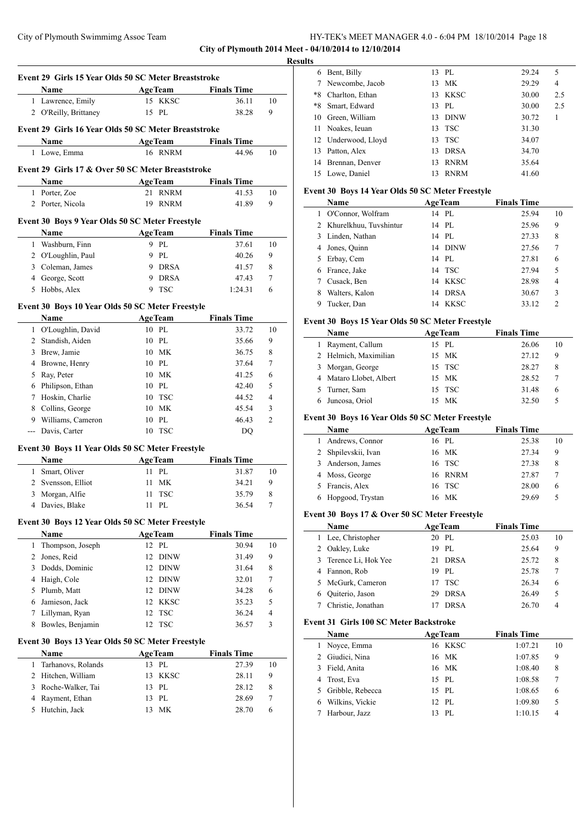**City of Plymouth 2014 Meet - 04/10/2014 to 12/10/2014**

|                | Event 29 Girls 15 Year Olds 50 SC Meter Breaststroke     |                         |                             |                |
|----------------|----------------------------------------------------------|-------------------------|-----------------------------|----------------|
|                | Name                                                     | <b>AgeTeam</b>          | <b>Finals Time</b>          |                |
|                | 1 Lawrence, Emily                                        | 15 KKSC                 | 36.11                       | 10             |
|                | 2 O'Reilly, Brittaney                                    | 15 PL                   | 38.28                       | 9              |
|                | Event 29 Girls 16 Year Olds 50 SC Meter Breaststroke     |                         |                             |                |
|                | Name                                                     | <b>AgeTeam</b>          | <b>Finals Time</b>          |                |
| 1              | Lowe, Emma                                               | 16 RNRM                 | 44.96                       | 10             |
|                | Event 29 Girls 17 & Over 50 SC Meter Breaststroke        |                         |                             |                |
|                | Name                                                     | <b>AgeTeam</b>          | <b>Finals Time</b>          |                |
| 1              | Porter, Zoe                                              | 21<br><b>RNRM</b>       | 41.53                       | 10             |
|                | 2 Porter, Nicola                                         | 19<br><b>RNRM</b>       | 41.89                       | 9              |
|                | Event 30 Boys 9 Year Olds 50 SC Meter Freestyle          |                         |                             |                |
|                | Name                                                     | <b>AgeTeam</b>          | <b>Finals Time</b>          |                |
|                | 1 Washburn, Finn                                         | 9 PL                    | 37.61                       | 10             |
|                | 2 O'Loughlin, Paul                                       | 9 PL                    | 40.26                       | 9              |
|                | 3 Coleman, James                                         | 9 DRSA                  | 41.57                       | 8              |
|                | 4 George, Scott                                          | 9<br><b>DRSA</b>        | 47.43                       | 7              |
|                | 5 Hobbs, Alex                                            | 9<br>TSC                | 1:24.31                     | 6              |
|                | Event 30 Boys 10 Year Olds 50 SC Meter Freestyle         |                         |                             |                |
|                | Name                                                     | <b>AgeTeam</b>          | <b>Finals Time</b>          |                |
|                | 1 O'Loughlin, David                                      | 10 PL                   | 33.72                       | 10             |
|                | 2 Standish, Aiden                                        | PL<br>10                | 35.66                       | 9              |
|                | 3 Brew, Jamie                                            | 10 MK                   | 36.75                       | 8              |
| 4              | Browne, Henry                                            | 10 PL                   | 37.64                       | 7              |
| 5              | Ray, Peter                                               | МK<br>10                | 41.25                       | 6              |
| 6              | Philipson, Ethan                                         | 10 PL                   | 42.40                       | 5              |
|                | 7 Hoskin, Charlie                                        | TSC<br>10               | 44.52                       | 4              |
| 8              | Collins, George                                          | МK<br>10                | 45.54                       | 3              |
|                | 9 Williams, Cameron                                      | 10 PL                   | 46.43                       | $\overline{c}$ |
| $\overline{a}$ | Davis, Carter                                            | 10 TSC                  | DQ                          |                |
|                |                                                          |                         |                             |                |
|                | Event 30 Boys 11 Year Olds 50 SC Meter Freestyle<br>Name | <b>AgeTeam</b>          | <b>Finals Time</b>          |                |
| $\mathbf{1}$   | Smart, Oliver                                            | 11 PL                   | 31.87                       | 10             |
|                | 2 Svensson, Elliot                                       | MK<br>11                | 34.21                       | 9              |
| 3              | Morgan, Alfie                                            | 11 TSC                  | 35.79                       | 8              |
| 4              | Davies, Blake                                            | 11 PL                   | 36.54                       | 7              |
|                |                                                          |                         |                             |                |
|                | Event 30 Boys 12 Year Olds 50 SC Meter Freestyle         |                         |                             |                |
| $\mathbf{1}$   | <b>Name</b><br>Thompson, Joseph                          | <b>AgeTeam</b><br>12 PL | <b>Finals Time</b><br>30.94 | 10             |
| 2              | Jones, Reid                                              | 12<br><b>DINW</b>       | 31.49                       | 9              |
|                |                                                          |                         | 31.64                       | 8              |
|                |                                                          |                         |                             |                |
| 3              | Dodds, Dominic                                           | <b>DINW</b><br>12       |                             |                |
| 4              | Haigh, Cole                                              | 12<br><b>DINW</b>       | 32.01                       | 7              |
| 5              | Plumb, Matt                                              | 12<br>DINW              | 34.28                       | 6              |
| 6              | Jamieson, Jack                                           | 12<br>KKSC              | 35.23                       | 5              |
| 7              | Lillyman, Ryan                                           | 12<br><b>TSC</b>        | 36.24                       | 4              |
| 8              | Bowles, Benjamin                                         | 12<br><b>TSC</b>        | 36.57                       | 3              |
|                | Event 30 Boys 13 Year Olds 50 SC Meter Freestyle         |                         |                             |                |
|                | Name                                                     | <b>AgeTeam</b>          | <b>Finals Time</b>          |                |
| $\mathbf{1}$   | Tarhanovs, Rolands                                       | 13 PL                   | 27.39                       | 10             |
| 2              | Hitchen, William                                         | <b>KKSC</b><br>13       | 28.11                       | 9              |
| 3              | Roche-Walker, Tai                                        | PL<br>13                | 28.12                       | 8              |
| 4<br>5         | Rayment, Ethan<br>Hutchin, Jack                          | 13<br>PL<br>MK<br>13    | 28.69<br>28.70              | 7<br>6         |

|   | <b>Results</b> |                     |     |             |       |     |
|---|----------------|---------------------|-----|-------------|-------|-----|
|   | 6              | Bent, Billy         | 13  | PL          | 29.24 | 5   |
|   | 7              | Newcombe, Jacob     | 13  | МK          | 29.29 | 4   |
| ۰ | *8             | Charlton, Ethan     | 13  | KKSC        | 30.00 | 2.5 |
|   | *8             | Smart, Edward       | 13  | PL.         | 30.00 | 2.5 |
|   |                | 10 Green, William   | 13. | <b>DINW</b> | 30.72 | 1   |
|   |                | 11 Noakes, Ieuan    |     | 13 TSC      | 31.30 |     |
|   |                | 12 Underwood, Lloyd |     | 13 TSC      | 34.07 |     |
|   |                | 13 Patton, Alex     | 13  | <b>DRSA</b> | 34.70 |     |
|   |                | 14 Brennan, Denver  | 13  | <b>RNRM</b> | 35.64 |     |
|   |                | 15 Lowe, Daniel     | 13  | <b>RNRM</b> | 41.60 |     |

## **Event 30 Boys 14 Year Olds 50 SC Meter Freestyle**

|    | <b>Name</b>              | <b>AgeTeam</b> |             | <b>Finals Time</b> |                |
|----|--------------------------|----------------|-------------|--------------------|----------------|
| 1  | O'Connor, Wolfram        |                | 14 PL       | 25.94              | 10             |
|    | 2 Khurelkhuu, Tuvshintur |                | 14 PL       | 25.96              | 9              |
|    | 3 Linden, Nathan         |                | 14 PL       | 27.33              | 8              |
| 4  | Jones, Quinn             | 14             | DINW        | 27.56              | 7              |
| 5. | Erbay, Cem               |                | 14 PL       | 27.81              | 6              |
| 6  | France, Jake             |                | 14 TSC      | 27.94              | 5              |
|    | Cusack, Ben              | 14             | KKSC        | 28.98              | $\overline{4}$ |
| 8  | Walters, Kalon           | 14             | <b>DRSA</b> | 30.67              | 3              |
| 9  | Tucker, Dan              | 14             | <b>KKSC</b> | 33.12              | $\mathfrak{D}$ |

#### **Event 30 Boys 15 Year Olds 50 SC Meter Freestyle**

| Name                    | <b>AgeTeam</b> | <b>Finals Time</b> |    |
|-------------------------|----------------|--------------------|----|
| 1 Rayment, Callum       | 15 PL          | 26.06              | 10 |
| 2 Helmich, Maximilian   | 15 MK          | 27.12              | 9  |
| 3 Morgan, George        | 15 TSC         | 28.27              | 8  |
| 4 Mataro Llobet, Albert | 15 MK          | 28.52              |    |
| 5 Turner, Sam           | 15 TSC         | 31.48              | 6  |
| Juncosa, Oriol          | МK             | 32.50              |    |

#### **Event 30 Boys 16 Year Olds 50 SC Meter Freestyle**

| Name                | <b>AgeTeam</b> | <b>Finals Time</b> |    |
|---------------------|----------------|--------------------|----|
| Andrews, Connor     | 16 PL          | 25.38              | 10 |
| 2 Shpilevskii, Ivan | 16 MK          | 27.34              | 9  |
| Anderson, James     | 16 TSC         | 27.38              | 8  |
| 4 Moss, George      | 16 RNRM        | 27.87              |    |
| 5 Francis, Alex     | 16 TSC         | 28.00              | 6  |
| 6 Hopgood, Trystan  | 16 MK          | 29.69              | 5  |
|                     |                |                    |    |

#### **Event 30 Boys 17 & Over 50 SC Meter Freestyle**

| Name |                       | $\cdot$<br><b>AgeTeam</b> |             | <b>Finals Time</b> |    |
|------|-----------------------|---------------------------|-------------|--------------------|----|
|      | 1 Lee, Christopher    |                           | 20 PL       | 25.03              | 10 |
|      | 2 Oakley, Luke        |                           | 19 PL       | 25.64              | 9  |
|      | 3 Terence Li, Hok Yee |                           | 21 DRSA     | 25.72              | 8  |
|      | 4 Fannon, Rob         |                           | 19 PL       | 25.78              | 7  |
|      | 5 McGurk, Cameron     |                           | $17$ TSC    | 26.34              | 6  |
| 6.   | Quiterio, Jason       | 29                        | <b>DRSA</b> | 26.49              | 5  |
|      | Christie, Jonathan    |                           | <b>DRSA</b> | 26.70              | 4  |

#### **Event 31 Girls 100 SC Meter Backstroke**

| <b>Name</b>        | <b>AgeTeam</b> | <b>Finals Time</b> |    |
|--------------------|----------------|--------------------|----|
| 1 Noyce, Emma      | 16 KKSC        | 1:07.21            | 10 |
| 2 Giudici, Nina    | 16 MK          | 1:07.85            | 9  |
| 3 Field, Anita     | 16 MK          | 1:08.40            | 8  |
| 4 Trost, Eva       | 15 PL          | 1:08.58            | 7  |
| 5 Gribble, Rebecca | 15 PL          | 1:08.65            | 6  |
| Wilkins, Vickie    | 12 PL          | 1:09.80            | 5  |
| Harbour, Jazz      | PI.<br>13      | 1:10.15            | 4  |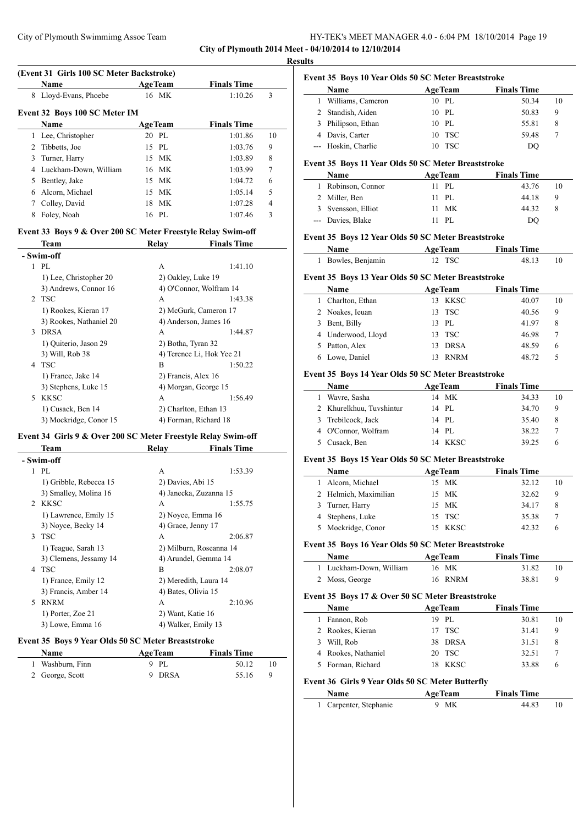**City of Plymouth 2014 Meet - 04/10/2014 to 12/10/2014 Results**

 $\overline{\phantom{a}}$ 

 $\overline{a}$ 

#### **(Event 31 Girls 100 SC Meter Backstroke)**

|   | <b>Name</b>                   | <b>AgeTeam</b> | <b>Finals Time</b> |                |  |  |
|---|-------------------------------|----------------|--------------------|----------------|--|--|
| 8 | Lloyd-Evans, Phoebe           | 16 MK          | 1:10.26            | 3              |  |  |
|   | Event 32 Boys 100 SC Meter IM |                |                    |                |  |  |
|   | <b>Name</b>                   | <b>AgeTeam</b> | <b>Finals Time</b> |                |  |  |
|   | Lee, Christopher              | 20 PL          | 1:01.86            | 10             |  |  |
| 2 | Tibbetts, Joe                 | 15 PL          | 1:03.76            | 9              |  |  |
| 3 | Turner, Harry                 | 15 MK          | 1:03.89            | 8              |  |  |
| 4 | Luckham-Down, William         | 16 MK          | 1:03.99            | $\tau$         |  |  |
| 5 | Bentley, Jake                 | 15 MK          | 1:04.72            | 6              |  |  |
| 6 | Alcorn, Michael               | 15 MK          | 1:05.14            | 5              |  |  |
|   | Colley, David                 | 18 MK          | 1:07.28            | $\overline{4}$ |  |  |
| 8 | Foley, Noah                   | 16 PL          | 1:07.46            | 3              |  |  |

#### **Event 33 Boys 9 & Over 200 SC Meter Freestyle Relay Swim-off**

| Team                    | Relav                    | <b>Finals Time</b>        |
|-------------------------|--------------------------|---------------------------|
|                         |                          |                           |
| PI.                     | A                        | 1:41.10                   |
| 1) Lee, Christopher 20  | 2) Oakley, Luke 19       |                           |
| 3) Andrews, Connor 16   |                          | 4) O'Connor, Wolfram 14   |
|                         | A                        | 1:43.38                   |
| 1) Rookes, Kieran 17    |                          | 2) McGurk, Cameron 17     |
| 3) Rookes, Nathaniel 20 |                          | 4) Anderson, James 16     |
| <b>DRSA</b>             | A                        | 1:44.87                   |
| 1) Quiterio, Jason 29   | 2) Botha, Tyran 32       |                           |
| 3) Will, Rob 38         |                          | 4) Terence Li, Hok Yee 21 |
| <b>TSC</b>              | B                        | 1:50.22                   |
| 1) France, Jake 14      | 2) Francis, Alex 16      |                           |
| 3) Stephens, Luke 15    |                          | 4) Morgan, George 15      |
| <b>KKSC</b>             | A                        | 1:56.49                   |
| 1) Cusack, Ben 14       |                          | 2) Charlton, Ethan 13     |
| 3) Mockridge, Conor 15  |                          | 4) Forman, Richard 18     |
|                         | - Swim-off<br>2 TSC<br>4 |                           |

## **Event 34 Girls 9 & Over 200 SC Meter Freestyle Relay Swim-off**

|               | Team                   | Relay                   | <b>Finals Time</b> |
|---------------|------------------------|-------------------------|--------------------|
|               | - Swim-off             |                         |                    |
| 1             | PL                     | A                       | 1:53.39            |
|               | 1) Gribble, Rebecca 15 | 2) Davies, Abi 15       |                    |
|               | 3) Smalley, Molina 16  | 4) Janecka, Zuzanna 15  |                    |
|               | 2 KKSC                 | A                       | 1:55.75            |
|               | 1) Lawrence, Emily 15  | 2) Noyce, Emma 16       |                    |
|               | 3) Noyce, Becky 14     | 4) Grace, Jenny 17      |                    |
| $\mathcal{E}$ | <b>TSC</b>             | A                       | 2:06.87            |
|               | 1) Teague, Sarah 13    | 2) Milburn, Roseanna 14 |                    |
|               | 3) Clemens, Jessamy 14 | 4) Arundel, Gemma 14    |                    |
| 4             | <b>TSC</b>             | B                       | 2:08.07            |
|               | 1) France, Emily 12    | 2) Meredith, Laura 14   |                    |
|               | 3) Francis, Amber 14   | 4) Bates, Olivia 15     |                    |
| 5             | <b>RNRM</b>            | A                       | 2:10.96            |
|               | 1) Porter, Zoe 21      | 2) Want, Katie 16       |                    |
|               | 3) Lowe, Emma 16       | 4) Walker, Emily 13     |                    |
|               |                        |                         |                    |

#### **Event 35 Boys 9 Year Olds 50 SC Meter Breaststroke**

| <b>Name</b>      | <b>AgeTeam</b> | <b>Finals Time</b> |    |
|------------------|----------------|--------------------|----|
| 1 Washburn, Finn | 9 PL           | 50.12              |    |
| 2 George, Scott  | 9 DRSA         | 55.16              | -9 |

| Name                | <b>AgeTeam</b> | <b>Finals Time</b> |    |
|---------------------|----------------|--------------------|----|
| 1 Williams, Cameron | 10 PL          | 50.34              | 10 |
| 2 Standish, Aiden   | 10 PL          | 50.83              | 9  |
| 3 Philipson, Ethan  | 10 PL          | 55.81              | 8  |
| 4 Davis, Carter     | 10 TSC         | 59.48              |    |
| --- Hoskin, Charlie | 10 TSC         | DO                 |    |

# **Event 35 Boys 11 Year Olds 50 SC Meter Breaststroke**

| Name               | <b>AgeTeam</b> | <b>Finals Time</b> |    |
|--------------------|----------------|--------------------|----|
| 1 Robinson, Connor | 11 PL          | 43.76              | 10 |
| 2 Miller, Ben      | $11$ PL.       | 44.18              | 9  |
| 3 Svensson, Elliot | 11 MK          | 44.32              |    |
| --- Davies, Blake  | 11 PL          | DO                 |    |

#### **Event 35 Boys 12 Year Olds 50 SC Meter Breaststroke**

| <b>Name</b>                                         | <b>AgeTeam</b> | <b>Finals Time</b> |    |
|-----------------------------------------------------|----------------|--------------------|----|
| 1 Bowles, Benjamin                                  | 12 TSC         | 48.13              | 10 |
| Event 35 Boys 13 Year Olds 50 SC Meter Breaststroke |                |                    |    |

#### **Name Age Team Finals Time** 1 Charlton, Ethan 13 KKSC 40.07 10 2 Noakes, Ieuan 13 TSC 40.56 9 3 Bent, Billy 13 PL 41.97 8 4 Underwood, Lloyd 13 TSC 46.98 7 5 Patton, Alex 13 DRSA 48.59 6 6 Lowe, Daniel 13 RNRM 48.72 5

#### **Event 35 Boys 14 Year Olds 50 SC Meter Breaststroke**

| Name                     | <b>AgeTeam</b> | <b>Finals Time</b> |  |
|--------------------------|----------------|--------------------|--|
| Wavre, Sasha             | 14 MK          | 34.33<br>10        |  |
| 2 Khurelkhuu, Tuvshintur | 14 PL          | 34.70<br>9         |  |
| 3 Trebilcock, Jack       | 14 PL          | 35.40<br>8         |  |
| 4 O'Connor, Wolfram      | 14 PL          | 38.22              |  |
| 5 Cusack, Ben            | 14 KKSC        | 39.25<br>6         |  |

#### **Event 35 Boys 15 Year Olds 50 SC Meter Breaststroke**

| Name                  | <b>AgeTeam</b> | <b>Finals Time</b> |    |
|-----------------------|----------------|--------------------|----|
| 1 Alcorn, Michael     | 15 MK          | 32.12              | 10 |
| 2 Helmich, Maximilian | 15 MK          | 32.62              | 9  |
| 3 Turner, Harry       | 15 MK          | 34.17              | 8  |
| 4 Stephens, Luke      | 15 TSC         | 35.38              |    |
| 5 Mockridge, Conor    | 15 KKSC        | 42.32              | h  |

#### **Event 35 Boys 16 Year Olds 50 SC Meter Breaststroke**

| <b>Name</b>             | <b>AgeTeam</b> | <b>Finals Time</b> |  |
|-------------------------|----------------|--------------------|--|
| 1 Luckham-Down, William | 16 MK          | 31.82              |  |
| 2 Moss, George          | 16 RNRM        | 38.81              |  |

#### **Event 35 Boys 17 & Over 50 SC Meter Breaststroke**

| Name                | <b>AgeTeam</b> | <b>Finals Time</b> |       |    |
|---------------------|----------------|--------------------|-------|----|
| Fannon, Rob         | 19 PL          |                    | 30.81 | 10 |
| 2 Rookes, Kieran    | 17 TSC         |                    | 31.41 | q  |
| 3 Will, Rob         | 38 DRSA        |                    | 31.51 | 8  |
| 4 Rookes, Nathaniel | 20 TSC         |                    | 32.51 |    |
| 5 Forman, Richard   | 18 KKSC        |                    | 33.88 | n  |

#### **Event 36 Girls 9 Year Olds 50 SC Meter Butterfly**

| <b>Name</b>            | <b>AgeTeam</b> | <b>Finals Time</b> |  |  |
|------------------------|----------------|--------------------|--|--|
| 1 Carpenter, Stephanie | 9 MK           | 44.83              |  |  |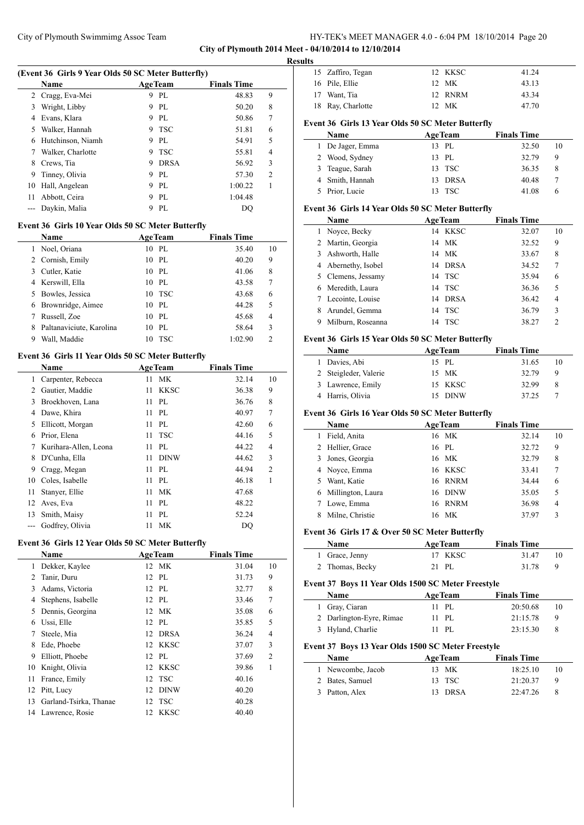**City of Plymouth 2014 Meet - 04/10/2014 to 12/10/2014**

| (Event 36 Girls 9 Year Olds 50 SC Meter Butterfly) |                                                   |                         |                             |                |  |  |  |
|----------------------------------------------------|---------------------------------------------------|-------------------------|-----------------------------|----------------|--|--|--|
|                                                    | Name                                              | <b>AgeTeam</b>          | <b>Finals Time</b>          |                |  |  |  |
| 2                                                  | Cragg, Eva-Mei                                    | 9 PL                    | 48.83                       | 9              |  |  |  |
| 3                                                  | Wright, Libby                                     | PL<br>9                 | 50.20                       | 8              |  |  |  |
| 4                                                  | Evans, Klara                                      | 9 PL                    | 50.86                       | 7              |  |  |  |
| 5                                                  | Walker, Hannah                                    | 9 TSC                   | 51.81                       | 6              |  |  |  |
| 6                                                  | Hutchinson, Niamh                                 | 9 PL                    | 54.91                       | 5              |  |  |  |
| 7                                                  | Walker, Charlotte                                 | <b>TSC</b><br>9         | 55.81                       | 4              |  |  |  |
| 8                                                  | Crews, Tia                                        | <b>DRSA</b><br>9        | 56.92                       | 3              |  |  |  |
| 9                                                  | Tinney, Olivia                                    | 9 PL                    | 57.30                       | 2              |  |  |  |
| 10                                                 | Hall, Angelean                                    | PL<br>9                 | 1:00.22                     | 1              |  |  |  |
| 11                                                 | Abbott, Ceira                                     | 9<br>PL                 | 1:04.48                     |                |  |  |  |
| $\overline{a}$                                     | Daykin, Malia                                     | PL<br>9                 | DQ                          |                |  |  |  |
|                                                    | Event 36 Girls 10 Year Olds 50 SC Meter Butterfly |                         |                             |                |  |  |  |
|                                                    |                                                   |                         |                             |                |  |  |  |
| 1                                                  | Name                                              | AgeTeam<br>10 PL        | <b>Finals Time</b><br>35.40 | 10             |  |  |  |
| 2                                                  | Noel, Oriana                                      | 10 PL                   |                             | 9              |  |  |  |
|                                                    | Cornish, Emily                                    |                         | 40.20                       |                |  |  |  |
| 3                                                  | Cutler, Katie                                     | 10 PL                   | 41.06                       | 8              |  |  |  |
| 4                                                  | Kerswill, Ella                                    | 10 PL                   | 43.58                       | 7              |  |  |  |
| 5                                                  | Bowles, Jessica                                   | 10 TSC                  | 43.68                       | 6              |  |  |  |
| 6                                                  | Brownridge, Aimee                                 | 10 PL                   | 44.28                       | 5              |  |  |  |
| 7                                                  | Russell, Zoe                                      | 10 PL                   | 45.68                       | 4              |  |  |  |
| 8                                                  | Paltanaviciute, Karolina                          | 10 PL                   | 58.64                       | 3              |  |  |  |
| 9                                                  | Wall, Maddie                                      | <b>TSC</b><br>10        | 1:02.90                     | 2              |  |  |  |
|                                                    | Event 36 Girls 11 Year Olds 50 SC Meter Butterfly |                         |                             |                |  |  |  |
|                                                    | Name                                              | <b>AgeTeam</b>          | <b>Finals Time</b>          |                |  |  |  |
| 1                                                  | Carpenter, Rebecca                                | 11<br><b>MK</b>         | 32.14                       | 10             |  |  |  |
| $\overline{2}$                                     | Gautier, Maddie                                   | <b>KKSC</b><br>11       | 36.38                       | 9              |  |  |  |
| 3                                                  | Broekhoven, Lana                                  | PL<br>11                | 36.76                       | 8              |  |  |  |
| 4                                                  | Dawe, Khira                                       | PL<br>11                | 40.97                       | 7              |  |  |  |
| 5                                                  | Ellicott, Morgan                                  | 11<br>PL                | 42.60                       | 6              |  |  |  |
| 6                                                  | Prior, Elena                                      | 11<br><b>TSC</b>        | 44.16                       | 5              |  |  |  |
| 7                                                  | Kurihara-Allen, Leona                             | 11 PL                   | 44.22                       | 4              |  |  |  |
| 8                                                  | D'Cunha, Ella                                     | <b>DINW</b><br>11       | 44.62                       | 3              |  |  |  |
| 9                                                  | Cragg, Megan                                      | 11 PL                   | 44.94                       | $\overline{c}$ |  |  |  |
| 10                                                 | Coles, Isabelle                                   | 11<br>PL                | 46.18                       | 1              |  |  |  |
| 11                                                 | Stanyer, Ellie                                    | MK<br>11                | 47.68                       |                |  |  |  |
| 12                                                 | Aves, Eva                                         | 11<br>PL                | 48.22                       |                |  |  |  |
| 13                                                 | Smith, Maisy                                      | 11 PL                   | 52.24                       |                |  |  |  |
| ---                                                | Godfrey, Olivia                                   | MK<br>11                | DQ                          |                |  |  |  |
|                                                    |                                                   |                         |                             |                |  |  |  |
|                                                    | Event 36 Girls 12 Year Olds 50 SC Meter Butterfly |                         |                             |                |  |  |  |
| 1                                                  | Name<br>Dekker, Kaylee                            | <b>AgeTeam</b><br>12 MK | <b>Finals Time</b><br>31.04 | 10             |  |  |  |
| 2                                                  | Tanir, Duru                                       | 12<br>PL                | 31.73                       | 9              |  |  |  |
| 3                                                  | Adams, Victoria                                   | 12 PL                   | 32.77                       | 8              |  |  |  |
| 4                                                  | Stephens, Isabelle                                | 12 PL                   | 33.46                       | 7              |  |  |  |
| 5                                                  | Dennis, Georgina                                  | 12 MK                   | 35.08                       | 6              |  |  |  |
| 6                                                  | Ussi, Elle                                        | 12 PL                   | 35.85                       | 5              |  |  |  |
| 7                                                  |                                                   | <b>DRSA</b><br>12       |                             | 4              |  |  |  |
| 8                                                  | Steele, Mia                                       | 12<br><b>KKSC</b>       | 36.24                       | 3              |  |  |  |
| 9                                                  | Ede, Phoebe                                       | 12                      | 37.07                       |                |  |  |  |
|                                                    | Elliott, Phoebe                                   | PL<br>12<br><b>KKSC</b> | 37.69                       | 2<br>1         |  |  |  |
| 10<br>11                                           | Knight, Olivia                                    | <b>TSC</b><br>12        | 39.86                       |                |  |  |  |
|                                                    | France, Emily                                     |                         | 40.16                       |                |  |  |  |
| 12                                                 | Pitt, Lucy                                        | 12<br><b>DINW</b>       | 40.20                       |                |  |  |  |
| 13                                                 | Garland-Tsirka, Thanae                            | 12<br><b>TSC</b>        | 40.28                       |                |  |  |  |
| 14                                                 | Lawrence, Rosie                                   | 12<br><b>KKSC</b>       | 40.40                       |                |  |  |  |

| <b>Results</b> |                                                                                          |    |                    |                      |         |
|----------------|------------------------------------------------------------------------------------------|----|--------------------|----------------------|---------|
|                | 15 Zaffiro, Tegan                                                                        |    | 12 KKSC            | 41.24                |         |
| 16             | Pile, Ellie                                                                              | 12 | МK                 | 43.13                |         |
| 17             | Want, Tia                                                                                |    | 12 RNRM            | 43.34                |         |
| 18             | Ray, Charlotte                                                                           |    | 12 MK              | 47.70                |         |
|                | Event 36 Girls 13 Year Olds 50 SC Meter Butterfly                                        |    |                    |                      |         |
|                | Name                                                                                     |    | <b>AgeTeam</b>     | <b>Finals Time</b>   |         |
|                | 1 De Jager, Emma                                                                         |    | 13 PL              | 32.50                | 10      |
|                | 2 Wood, Sydney                                                                           |    | 13 PL              | 32.79                | 9       |
|                | 3 Teague, Sarah                                                                          |    | 13 TSC             | 36.35                | 8       |
|                | 4 Smith, Hannah                                                                          |    | 13 DRSA            | 40.48                | 7       |
| 5              | Prior, Lucie                                                                             |    | 13 TSC             | 41.08                | 6       |
|                | Event 36 Girls 14 Year Olds 50 SC Meter Butterfly                                        |    |                    |                      |         |
|                | Name                                                                                     |    | <b>AgeTeam</b>     | <b>Finals Time</b>   |         |
|                | 1 Noyce, Becky                                                                           |    | 14 KKSC            | 32.07                | 10      |
|                | 2 Martin, Georgia                                                                        |    | 14 MK              | 32.52                | 9       |
|                | 3 Ashworth, Halle                                                                        |    | 14 MK              | 33.67                | 8       |
|                | 4 Abernethy, Isobel                                                                      |    | 14 DRSA            | 34.52                | 7       |
|                | 5 Clemens, Jessamy                                                                       |    | 14 TSC             | 35.94                | 6       |
|                | 6 Meredith, Laura                                                                        |    | 14 TSC             | 36.36                | 5       |
|                | 7 Lecointe, Louise                                                                       |    | 14 DRSA            | 36.42                | 4       |
|                | 8 Arundel, Gemma                                                                         |    | 14 TSC             | 36.79                | 3       |
| 9              | Milburn, Roseanna                                                                        |    | 14 TSC             | 38.27                | 2       |
|                |                                                                                          |    |                    |                      |         |
|                | Event 36 Girls 15 Year Olds 50 SC Meter Butterfly<br>Name                                |    | <b>AgeTeam</b>     | <b>Finals Time</b>   |         |
|                |                                                                                          |    | 15 PL              | 31.65                | 10      |
|                |                                                                                          |    |                    |                      |         |
|                | 1 Davies, Abi                                                                            |    |                    |                      |         |
|                | 2 Steigleder, Valerie                                                                    |    | 15 MK              | 32.79                | 9       |
| 4              | 3 Lawrence, Emily<br>Harris, Olivia<br>Event 36 Girls 16 Year Olds 50 SC Meter Butterfly |    | 15 KKSC<br>15 DINW | 32.99<br>37.25       | 8<br>7  |
|                | Name                                                                                     |    | <b>AgeTeam</b>     | <b>Finals Time</b>   |         |
| 1              | Field, Anita                                                                             |    | 16 MK              | 32.14                |         |
|                | 2 Hellier, Grace                                                                         |    | 16 PL              | 32.72                | 9       |
|                | 3 Jones, Georgia                                                                         |    | 16 MK              | 32.79                | 8       |
|                | 4 Noyce, Emma                                                                            |    | 16 KKSC            | 33.41                | 7       |
| 5              | Want, Katie                                                                              |    | 16 RNRM            | 34.44                | 6       |
|                | 6 Millington, Laura                                                                      |    | 16 DINW            | 35.05                | 5       |
|                | 7 Lowe, Emma                                                                             |    | 16 RNRM            | 36.98                | 10<br>4 |
| 8              | Milne, Christie                                                                          |    | 16 MK              | 37.97                | 3       |
|                | Event 36 Girls 17 & Over 50 SC Meter Butterfly                                           |    |                    |                      |         |
|                | Name                                                                                     |    | <b>AgeTeam</b>     | <b>Finals Time</b>   |         |
|                | 1 Grace, Jenny                                                                           |    | 17 KKSC            | 31.47                |         |
| 2              | Thomas, Becky                                                                            |    | 21 PL              | 31.78                | 9       |
|                | Event 37 Boys 11 Year Olds 1500 SC Meter Freestyle                                       |    |                    |                      | 10      |
|                | Name                                                                                     |    | <b>AgeTeam</b>     | <b>Finals Time</b>   |         |
|                | 1 Gray, Ciaran                                                                           |    | 11 PL              | 20:50.68             | 10      |
|                | 2 Darlington-Eyre, Rimae                                                                 |    | 11 PL              | 21:15.78             | 9       |
|                | 3 Hyland, Charlie                                                                        |    | 11 PL              | 23:15.30             | 8       |
|                | Event 37 Boys 13 Year Olds 1500 SC Meter Freestyle                                       |    |                    |                      |         |
|                | Name                                                                                     |    | <b>AgeTeam</b>     | <b>Finals Time</b>   |         |
|                | 1 Newcombe, Jacob                                                                        |    | 13 MK              | 18:25.10             | 10      |
|                | 2 Bates, Samuel<br>3 Patton, Alex                                                        |    | 13 TSC<br>13 DRSA  | 21:20.37<br>22:47.26 | 9<br>8  |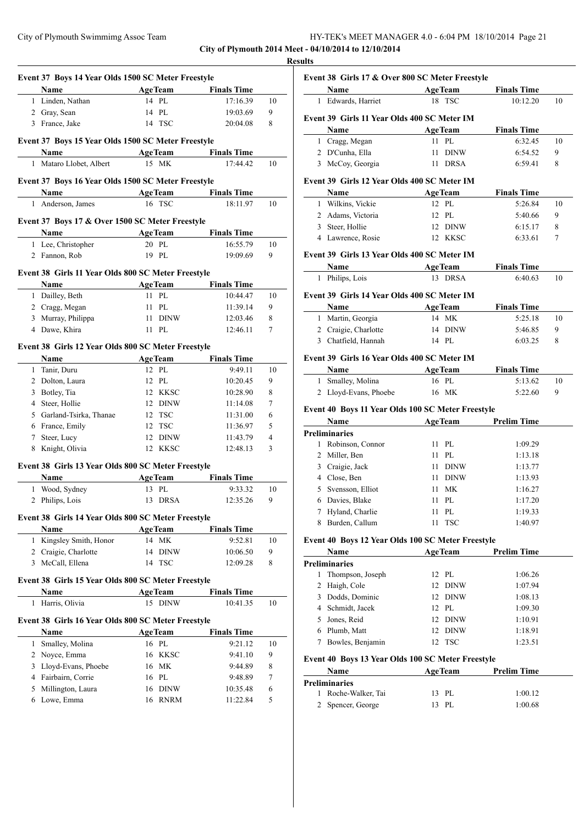| City of Plymouth Swimmimg Assoc Team | HY-TEK's MEET MANAGER 4.0 - 6:04 PM 18/10/2014 Page 21 |  |
|--------------------------------------|--------------------------------------------------------|--|
|--------------------------------------|--------------------------------------------------------|--|

**City of Plymouth 2014 Meet - 04/10/2014 to 12/10/2014**

|              | Event 37 Boys 14 Year Olds 1500 SC Meter Freestyle         |                          |                                |                |
|--------------|------------------------------------------------------------|--------------------------|--------------------------------|----------------|
|              | Name                                                       | AgeTeam Finals Time      |                                |                |
|              | 1 Linden, Nathan                                           | 14 PL                    | 17:16.39                       | 10             |
|              | 2 Gray, Sean                                               | 14 PL                    | 19:03.69                       | 9              |
|              | 3 France, Jake                                             | 14 TSC                   | 20:04.08                       | 8              |
|              | Event 37 Boys 15 Year Olds 1500 SC Meter Freestyle         |                          |                                |                |
| $\mathbf{1}$ | Name<br>Mataro Llobet, Albert                              | <b>AgeTeam</b><br>15 MK  | <b>Finals Time</b><br>17:44.42 | 10             |
|              |                                                            |                          |                                |                |
|              | Event 37 Boys 16 Year Olds 1500 SC Meter Freestyle         |                          |                                |                |
|              | Name                                                       |                          | AgeTeam Finals Time            |                |
| $\mathbf{1}$ | Anderson, James                                            | 16 TSC                   | 18:11.97                       | 10             |
|              | Event 37 Boys 17 & Over 1500 SC Meter Freestyle            |                          |                                |                |
|              | Name                                                       | <b>AgeTeam</b>           | <b>Finals Time</b>             |                |
|              | 1 Lee, Christopher                                         | 20 PL                    | 16:55.79                       | 10             |
|              | 2 Fannon, Rob                                              | 19 PL                    | 19:09.69                       | 9              |
|              | Event 38 Girls 11 Year Olds 800 SC Meter Freestyle         |                          |                                |                |
|              | Name                                                       | <b>Example 2</b> AgeTeam | <b>Finals Time</b>             |                |
|              | 1 Dailley, Beth                                            | 11 PL                    | 10:44.47                       | 10             |
|              | 2 Cragg, Megan                                             | 11 PL                    | 11:39.14                       | 9              |
|              | 3 Murray, Philippa                                         | 11 DINW                  | 12:03.46                       | 8              |
|              | 4 Dawe, Khira                                              | 11 PL                    | 12:46.11                       | 7              |
|              | Event 38 Girls 12 Year Olds 800 SC Meter Freestyle         |                          |                                |                |
|              | Name                                                       | <b>AgeTeam</b>           | <b>Finals Time</b>             |                |
| $\mathbf{1}$ | Tanir, Duru                                                | 12 PL                    | 9:49.11                        | 10             |
|              | 2 Dolton, Laura                                            | 12 PL                    | 10:20.45                       | 9              |
|              | 3 Botley, Tia                                              | 12 KKSC                  | 10:28.90                       | 8              |
|              | 4 Steer, Hollie                                            | 12 DINW                  | 11:14.08                       | 7              |
|              | 5 Garland-Tsirka, Thanae                                   | 12 TSC                   | 11:31.00                       | 6              |
|              | 6 France, Emily                                            | 12 TSC                   | 11:36.97                       | 5              |
|              | 7 Steer, Lucy                                              | 12 DINW                  | 11:43.79                       | $\overline{4}$ |
|              | 8 Knight, Olivia                                           | 12 KKSC                  | 12:48.13                       | 3              |
|              | Event 38 Girls 13 Year Olds 800 SC Meter Freestyle         |                          |                                |                |
|              | Name                                                       | <b>AgeTeam</b>           | <b>Finals Time</b>             |                |
|              | 1 Wood, Sydney                                             | 13 PL                    | 9:33.32                        | 10             |
|              |                                                            |                          | 12:35.26                       | 9              |
|              | 2 Philips, Lois                                            | 13 DRSA                  |                                |                |
|              | Event 38 Girls 14 Year Olds 800 SC Meter Freestyle         |                          |                                |                |
|              | Name                                                       | <b>AgeTeam</b>           | <b>Finals Time</b>             |                |
| $\mathbf{1}$ | Kingsley Smith, Honor                                      | 14 MK                    | 9:52.81                        | 10             |
|              | 2 Craigie, Charlotte                                       | <b>DINW</b><br>14        | 10:06.50                       | 9              |
|              | 3 McCall, Ellena                                           | 14 TSC                   | 12:09.28                       | 8              |
|              | Event 38 Girls 15 Year Olds 800 SC Meter Freestyle         |                          |                                |                |
|              | Name                                                       | <b>AgeTeam</b>           | <b>Finals Time</b>             |                |
| 1            | Harris, Olivia                                             | 15 DINW                  | 10:41.35                       | 10             |
|              |                                                            |                          |                                |                |
|              | Event 38 Girls 16 Year Olds 800 SC Meter Freestyle<br>Name |                          |                                |                |
| $\mathbf{1}$ | Smalley, Molina                                            | <b>AgeTeam</b><br>16 PL  | <b>Finals Time</b><br>9:21.12  | 10             |
|              |                                                            | 16 KKSC                  | 9:41.10                        | 9              |
|              | 2 Noyce, Emma<br>3 Lloyd-Evans, Phoebe                     | 16 MK                    | 9:44.89                        | 8              |
|              | 4 Fairbairn, Corrie                                        | 16 PL                    | 9:48.89                        | 7              |
| 5            | Millington, Laura                                          | 16 DINW                  | 10:35.48                       | 6              |

|              | Name                                              |    | <b>AgeTeam</b> | <b>Finals Time</b> |    |
|--------------|---------------------------------------------------|----|----------------|--------------------|----|
| 1            | Edwards, Harriet                                  |    | 18 TSC         | 10:12.20           | 10 |
|              |                                                   |    |                |                    |    |
|              | Event 39 Girls 11 Year Olds 400 SC Meter IM       |    |                |                    |    |
|              | Name                                              |    | <b>AgeTeam</b> | <b>Finals Time</b> |    |
| 1            | Cragg, Megan                                      | 11 | PL             | 6:32.45            | 10 |
|              | 2 D'Cunha, Ella                                   | 11 | <b>DINW</b>    | 6:54.52            | 9  |
|              | 3 McCoy, Georgia                                  | 11 | <b>DRSA</b>    | 6:59.41            | 8  |
|              | Event 39 Girls 12 Year Olds 400 SC Meter IM       |    |                |                    |    |
|              | Name                                              |    | <b>AgeTeam</b> | <b>Finals Time</b> |    |
|              | 1 Wilkins, Vickie                                 |    | 12 PL          | 5:26.84            | 10 |
|              | 2 Adams, Victoria                                 |    | 12 PL          | 5:40.66            | 9  |
|              | 3 Steer, Hollie                                   |    | 12 DINW        | 6:15.17            | 8  |
|              | 4 Lawrence, Rosie                                 |    | 12 KKSC        | 6:33.61            | 7  |
|              | Event 39 Girls 13 Year Olds 400 SC Meter IM       |    |                |                    |    |
|              | Name                                              |    | <b>AgeTeam</b> | <b>Finals Time</b> |    |
|              | 1 Philips, Lois                                   |    | 13 DRSA        | 6:40.63            | 10 |
|              | Event 39 Girls 14 Year Olds 400 SC Meter IM       |    |                |                    |    |
|              | Name                                              |    | <b>AgeTeam</b> | <b>Finals Time</b> |    |
|              | 1 Martin, Georgia                                 |    | 14 MK          | 5:25.18            | 10 |
|              | 2 Craigie, Charlotte                              |    | 14 DINW        | 5:46.85            | 9  |
| 3            | Chatfield, Hannah                                 |    | 14 PL          | 6:03.25            | 8  |
|              | Event 39 Girls 16 Year Olds 400 SC Meter IM       |    |                |                    |    |
|              | Name                                              |    | <b>AgeTeam</b> | <b>Finals Time</b> |    |
| $\mathbf{1}$ | Smalley, Molina                                   |    | 16 PL          | 5:13.62            | 10 |
|              | 2 Lloyd-Evans, Phoebe                             |    | 16 MK          | 5:22.60            | 9  |
|              | Event 40 Boys 11 Year Olds 100 SC Meter Freestyle |    |                |                    |    |
|              | Name                                              |    | <b>AgeTeam</b> | <b>Prelim Time</b> |    |
|              | <b>Preliminaries</b>                              |    |                |                    |    |
| 1            | Robinson, Connor                                  |    | 11 PL          | 1:09.29            |    |
| 2            | Miller, Ben                                       | 11 | PL             | 1:13.18            |    |
|              | 3 Craigie, Jack                                   | 11 | DINW           | 1:13.77            |    |
| 4            | Close, Ben                                        | 11 | <b>DINW</b>    | 1:13.93            |    |
| 5            | Svensson, Elliot                                  | 11 | <b>MK</b>      | 1:16.27            |    |
|              |                                                   |    | PI.            | 1:17.20            |    |
| 6            | Davies, Blake                                     | 11 |                |                    |    |

## **Event 40 Boys 12 Year Olds 100 SC Meter Freestyle**

| Name |                  | <b>AgeTeam</b> |         | <b>Prelim Time</b> |  |
|------|------------------|----------------|---------|--------------------|--|
|      | Preliminaries    |                |         |                    |  |
| 1    | Thompson, Joseph |                | 12 PL   | 1:06.26            |  |
|      | 2 Haigh, Cole    |                | 12 DINW | 1:07.94            |  |
| 3.   | Dodds, Dominic   |                | 12 DINW | 1:08.13            |  |
|      | 4 Schmidt, Jacek |                | $12$ PL | 1:09.30            |  |
|      | Jones, Reid      |                | 12 DINW | 1:10.91            |  |
| 6    | Plumb, Matt      |                | 12 DINW | 1:18.91            |  |
|      | Bowles, Benjamin | 12             | TSC     | 1:23.51            |  |

8 Burden, Callum 11 TSC 1:40.97

## **Event 40 Boys 13 Year Olds 100 SC Meter Freestyle**

| Name                | <b>AgeTeam</b> | <b>Prelim Time</b> |  |
|---------------------|----------------|--------------------|--|
| Preliminaries       |                |                    |  |
| 1 Roche-Walker, Tai | 13 PL          | 1:00.12            |  |
| 2 Spencer, George   | -PL<br>13      | 1:00.68            |  |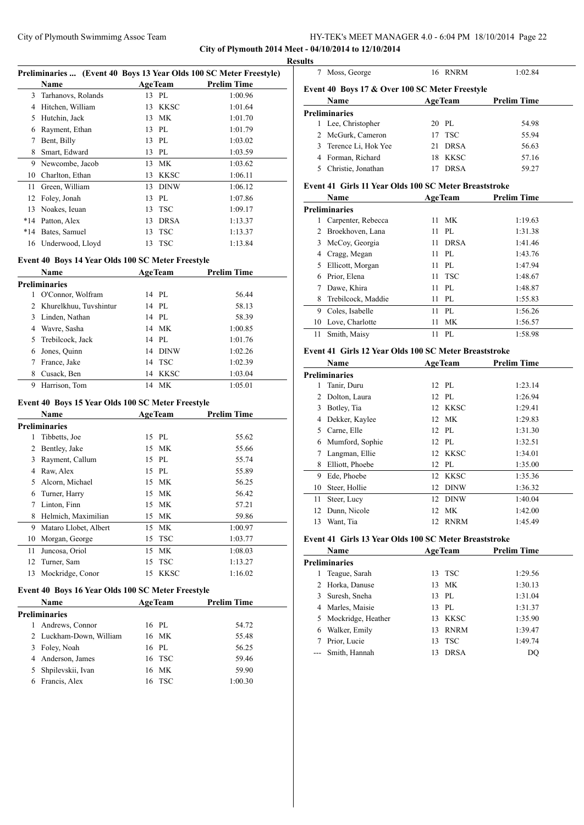**City of Plymouth 2014 Meet - 04/10/2014 to 12/10/2014**

|             | Preliminaries  (Event 40 Boys 13 Year Olds 100 SC Meter Freestyle) |                  |                    | <b>Results</b> |
|-------------|--------------------------------------------------------------------|------------------|--------------------|----------------|
|             | Name                                                               | <b>AgeTeam</b>   | <b>Prelim Time</b> |                |
|             | 3 Tarhanovs, Rolands                                               | 13 PL            | 1:00.96            | Eve            |
|             | 4 Hitchen, William                                                 | 13 KKSC          | 1:01.64            |                |
|             | 5 Hutchin, Jack                                                    | 13 MK            | 1:01.70            | Pre            |
|             | 6 Rayment, Ethan                                                   | 13 PL            | 1:01.79            |                |
| 7           | Bent, Billy                                                        | 13 PL            | 1:03.02            |                |
| 8           | Smart, Edward                                                      | 13 PL            | 1:03.59            |                |
|             | 9 Newcombe, Jacob                                                  | 13 MK            | 1:03.62            |                |
|             | 10 Charlton, Ethan                                                 | 13 KKSC          | 1:06.11            |                |
| 11          | Green, William                                                     | 13 DINW          | 1:06.12            | Eve            |
|             | 12 Foley, Jonah                                                    | 13 PL            | 1:07.86            |                |
|             | 13 Noakes, Ieuan                                                   | 13 TSC           | 1:09.17            | <b>Pre</b>     |
|             | *14 Patton, Alex                                                   | 13 DRSA          | 1:13.37            |                |
|             | *14 Bates, Samuel                                                  | 13 TSC           | 1:13.37            |                |
|             | 16 Underwood, Lloyd                                                | 13 TSC           | 1:13.84            |                |
|             |                                                                    |                  |                    |                |
|             | Event 40 Boys 14 Year Olds 100 SC Meter Freestyle<br><b>Name</b>   |                  |                    |                |
|             | <b>Preliminaries</b>                                               | <b>AgeTeam</b>   | <b>Prelim Time</b> |                |
| 1           | O'Connor, Wolfram                                                  | 14 PL            | 56.44              |                |
|             | 2 Khurelkhuu, Tuvshintur                                           | 14 PL            | 58.13              |                |
|             | 3 Linden, Nathan                                                   | 14 PL            | 58.39              |                |
|             | 4 Wavre, Sasha                                                     | 14 MK            | 1:00.85            |                |
|             | 5 Trebilcock, Jack                                                 | 14 PL            | 1:01.76            |                |
|             | 6 Jones, Quinn                                                     | 14 DINW          | 1:02.26            |                |
| $7^{\circ}$ | France, Jake                                                       | 14 TSC           | 1:02.39            | Eve            |
|             | 8 Cusack, Ben                                                      | 14 KKSC          | 1:03.04            |                |
| 9           | Harrison, Tom                                                      | 14 MK            | 1:05.01            | <b>Pre</b>     |
|             |                                                                    |                  |                    |                |
|             | Event 40 Boys 15 Year Olds 100 SC Meter Freestyle                  |                  |                    |                |
|             | Name                                                               | <b>AgeTeam</b>   | <b>Prelim Time</b> |                |
|             | <b>Preliminaries</b>                                               |                  |                    |                |
| 1           | Tibbetts, Joe                                                      | 15 PL            | 55.62              |                |
|             | 2 Bentley, Jake                                                    | 15 MK            | 55.66              |                |
|             | 3 Rayment, Callum                                                  | 15 PL            | 55.74              |                |
|             | 4 Raw, Alex                                                        | 15 PL            | 55.89              |                |
|             | 5 Alcorn, Michael                                                  | 15 MK            | 56.25              |                |
|             | 6 Turner, Harry                                                    | 15 MK            | 56.42              |                |
| 7           | Linton, Finn                                                       | МK<br>15         | 57.21              |                |
| 8           | Helmich, Maximilian                                                | MK<br>15         | 59.86              |                |
| 9           | Mataro Llobet, Albert                                              | 15<br>MK         | 1:00.97            |                |
| 10          | Morgan, George                                                     | <b>TSC</b><br>15 | 1:03.77            | Eve            |
|             | Juncosa, Oriol                                                     | 15<br>MK         | 1:08.03            |                |
| 11          |                                                                    |                  |                    |                |
| 12          | Turner, Sam                                                        | <b>TSC</b><br>15 | 1:13.27            | Pre            |

## **Event 40 Boys 16 Year Olds 100 SC Meter Freestyle**

| <b>Name</b>             |  | <b>AgeTeam</b> | <b>Prelim Time</b> |  |
|-------------------------|--|----------------|--------------------|--|
| <b>Preliminaries</b>    |  |                |                    |  |
| Andrews, Connor         |  | 16 PL          | 54.72              |  |
| 2 Luckham-Down, William |  | 16 MK          | 55.48              |  |
| 3 Foley, Noah           |  | 16 PL          | 56.25              |  |
| 4 Anderson, James       |  | 16 TSC         | 59.46              |  |
| 5 Shpilevskii, Ivan     |  | 16 MK          | 59.90              |  |
| 6 Francis, Alex         |  | 16 TSC         | 1:00.30            |  |
|                         |  |                |                    |  |

|   | Moss, George                                   |    | 16 RNRM        | 1:02.84            |
|---|------------------------------------------------|----|----------------|--------------------|
|   | Event 40 Boys 17 & Over 100 SC Meter Freestyle |    |                |                    |
|   | <b>Name</b>                                    |    | <b>AgeTeam</b> | <b>Prelim Time</b> |
|   | <b>Preliminaries</b>                           |    |                |                    |
| 1 | Lee, Christopher                               |    | 20 PL          | 54.98              |
| 2 | McGurk, Cameron                                |    | $17$ TSC       | 55.94              |
| 3 | Terence Li, Hok Yee                            | 21 | <b>DRSA</b>    | 56.63              |
|   | Forman, Richard                                | 18 | KKSC           | 57.16              |
|   | Christie, Jonathan                             |    | <b>DRSA</b>    | 59.27              |
|   |                                                |    |                |                    |

## **Event 41 Girls 11 Year Olds 100 SC Meter Breaststroke**

| Name |                      | <b>AgeTeam</b> |             | <b>Prelim Time</b> |
|------|----------------------|----------------|-------------|--------------------|
|      | <b>Preliminaries</b> |                |             |                    |
|      | Carpenter, Rebecca   | 11             | МK          | 1:19.63            |
| 2    | Broekhoven, Lana     | 11             | PL          | 1:31.38            |
| 3    | McCoy, Georgia       | 11             | <b>DRSA</b> | 1:41.46            |
|      | 4 Cragg, Megan       | 11             | PL.         | 1:43.76            |
| 5    | Ellicott, Morgan     | 11             | PL          | 1:47.94            |
| 6    | Prior, Elena         | 11             | <b>TSC</b>  | 1:48.67            |
|      | Dawe, Khira          | 11             | PL          | 1:48.87            |
| 8    | Trebilcock, Maddie   | 11             | PI.         | 1:55.83            |
| 9    | Coles, Isabelle      | 11             | PI.         | 1:56.26            |
| 10   | Love, Charlotte      | 11             | МK          | 1:56.57            |
| 11   | Smith, Maisy         | 11             | PL.         | 1:58.98            |

#### **Event 41 Girls 12 Year Olds 100 SC Meter Breaststroke**

| Name |                      | <b>AgeTeam</b>  |             | <b>Prelim Time</b> |  |
|------|----------------------|-----------------|-------------|--------------------|--|
|      | <b>Preliminaries</b> |                 |             |                    |  |
| 1    | Tanir, Duru          |                 | 12 PL       | 1:23.14            |  |
| 2    | Dolton, Laura        |                 | 12 PL       | 1:26.94            |  |
| 3    | Botley, Tia          | 12              | KKSC        | 1:29.41            |  |
| 4    | Dekker, Kaylee       | 12 <sub>1</sub> | MK          | 1:29.83            |  |
| 5    | Carne, Elle          |                 | 12 PL       | 1:31.30            |  |
| 6    | Mumford, Sophie      |                 | 12 PL       | 1:32.51            |  |
| 7    | Langman, Ellie       |                 | 12 KKSC     | 1:34.01            |  |
| 8    | Elliott, Phoebe      | 12              | PL          | 1:35.00            |  |
| 9    | Ede, Phoebe          |                 | 12 KKSC     | 1:35.36            |  |
| 10   | Steer, Hollie        | 12              | <b>DINW</b> | 1:36.32            |  |
| 11   | Steer, Lucy          | 12              | <b>DINW</b> | 1:40.04            |  |
| 12   | Dunn, Nicole         | 12              | МK          | 1:42.00            |  |
| 13   | Want, Tia            | 12              | <b>RNRM</b> | 1:45.49            |  |

#### **Event 41 Girls 13 Year Olds 100 SC Meter Breaststroke**

|    | Name                 |    | <b>AgeTeam</b> | <b>Prelim Time</b> |  |
|----|----------------------|----|----------------|--------------------|--|
|    | <b>Preliminaries</b> |    |                |                    |  |
|    | Teague, Sarah        |    | 13 TSC         | 1:29.56            |  |
| 2  | Horka, Danuse        |    | 13 MK          | 1:30.13            |  |
| 3. | Suresh, Sneha        |    | 13 PL          | 1:31.04            |  |
| 4  | Marles, Maisie       |    | 13 PL          | 1:31.37            |  |
|    | 5 Mockridge, Heather |    | 13 KKSC        | 1:35.90            |  |
| 6  | Walker, Emily        | 13 | <b>RNRM</b>    | 1:39.47            |  |
|    | Prior, Lucie         | 13 | TSC            | 1:49.74            |  |
|    | --- Smith, Hannah    |    | <b>DRSA</b>    | DΟ                 |  |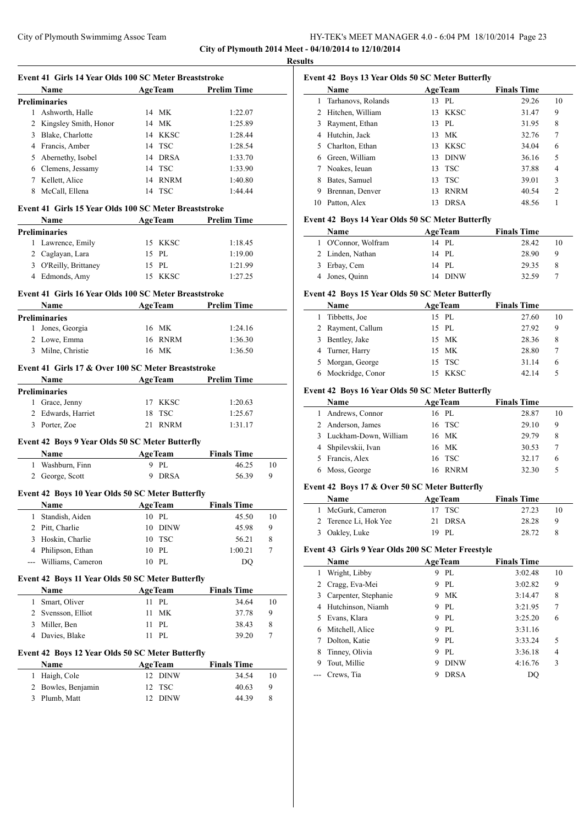**City of Plymouth 2014 Meet - 04/10/2014 to 12/10/2014 Results**

 $\overline{\phantom{a}}$ 

 $\sim$ 

|                | Event 41 Girls 14 Year Olds 100 SC Meter Breaststroke<br>Name     |    | <b>AgeTeam</b> | <b>Prelim Time</b> |    |
|----------------|-------------------------------------------------------------------|----|----------------|--------------------|----|
|                | <b>Preliminaries</b>                                              |    |                |                    |    |
|                | 1 Ashworth, Halle                                                 |    | 14 MK          | 1:22.07            |    |
|                | 2 Kingsley Smith, Honor                                           |    | 14 MK          | 1:25.89            |    |
|                | 3 Blake, Charlotte                                                |    | 14 KKSC        | 1:28.44            |    |
|                | 4 Francis, Amber                                                  |    | 14 TSC         | 1:28.54            |    |
|                | 5 Abernethy, Isobel                                               |    | 14 DRSA        | 1:33.70            |    |
|                | 6 Clemens, Jessamy                                                |    | 14 TSC         | 1:33.90            |    |
|                | 7 Kellett, Alice                                                  |    | 14 RNRM        | 1:40.80            |    |
|                | 8 McCall, Ellena                                                  |    | 14 TSC         | 1:44.44            |    |
|                |                                                                   |    |                |                    |    |
|                | Event 41 Girls 15 Year Olds 100 SC Meter Breaststroke             |    |                |                    |    |
|                | Name<br><u> 1980 - Johann Barbara, martxa a</u>                   |    | <b>AgeTeam</b> | <b>Prelim Time</b> |    |
|                | <b>Preliminaries</b>                                              |    |                |                    |    |
| 1              | Lawrence, Emily                                                   |    | 15 KKSC        | 1:18.45            |    |
|                | 2 Caglayan, Lara                                                  |    | 15 PL          | 1:19.00            |    |
|                | 3 O'Reilly, Brittaney                                             |    | 15 PL          | 1:21.99            |    |
|                | 4 Edmonds, Amy                                                    |    | 15 KKSC        | 1:27.25            |    |
|                | Event 41 Girls 16 Year Olds 100 SC Meter Breaststroke             |    |                |                    |    |
|                | Name<br><u> 1990 - Jan James Barnett, politik e</u> ta industrial |    | <b>AgeTeam</b> | <b>Prelim Time</b> |    |
|                | <b>Preliminaries</b>                                              |    |                |                    |    |
|                | 1 Jones, Georgia                                                  |    | 16 MK          | 1:24.16            |    |
|                | 2 Lowe, Emma                                                      |    | 16 RNRM        | 1:36.30            |    |
|                | 3 Milne, Christie                                                 |    | 16 MK          | 1:36.50            |    |
|                | Event 41 Girls 17 & Over 100 SC Meter Breaststroke                |    |                |                    |    |
|                | <b>Example 2.1 Age Team</b><br>Name                               |    |                | <b>Prelim Time</b> |    |
|                | <b>Preliminaries</b>                                              |    |                |                    |    |
|                | 1 Grace, Jenny                                                    |    | 17 KKSC        | 1:20.63            |    |
|                | 2 Edwards, Harriet                                                | 18 | <b>TSC</b>     | 1:25.67            |    |
|                | 3 Porter, Zoe                                                     | 21 | <b>RNRM</b>    | 1:31.17            |    |
|                |                                                                   |    |                |                    |    |
|                | Event 42 Boys 9 Year Olds 50 SC Meter Butterfly                   |    |                |                    |    |
|                | Name                                                              |    | <b>AgeTeam</b> | <b>Finals Time</b> |    |
|                | 1 Washburn, Finn                                                  |    | 9 PL           | 46.25              | 10 |
|                | 2 George, Scott                                                   | 9  | DRSA           | 56.39              | 9  |
|                | Event 42 Boys 10 Year Olds 50 SC Meter Butterfly                  |    |                |                    |    |
|                | <b>Name AgeTeam</b> Finals Time                                   |    |                |                    |    |
| 1              | Standish, Aiden                                                   |    | 10 PL          | 45.50              | 10 |
| 2              | Pitt, Charlie                                                     |    | 10 DINW        | 45.98              | 9  |
| 3              | Hoskin, Charlie                                                   | 10 | TSC            | 56.21              | 8  |
| 4              | Philipson, Ethan                                                  | 10 | PL             | 1:00.21            | 7  |
| ---            | Williams, Cameron                                                 |    | 10 PL          | DO                 |    |
|                |                                                                   |    |                |                    |    |
|                | Event 42 Boys 11 Year Olds 50 SC Meter Butterfly                  |    |                |                    |    |
|                | Name                                                              |    | <b>AgeTeam</b> | <b>Finals Time</b> |    |
| 1              | Smart, Oliver                                                     | 11 | PL             | 34.64              | 10 |
| $\overline{c}$ | Svensson, Elliot                                                  | 11 | MK             | 37.78              | 9  |
| 3              | Miller, Ben                                                       | 11 | PL             | 38.43              | 8  |
| 4              | Davies, Blake                                                     | 11 | PL             | 39.20              | 7  |
|                | Event 42 Boys 12 Year Olds 50 SC Meter Butterfly                  |    |                |                    |    |
|                | Name                                                              |    | <b>AgeTeam</b> | <b>Finals Time</b> |    |
| 1              | Haigh, Cole                                                       | 12 | <b>DINW</b>    | 34.54              | 10 |
| 2              | Bowles, Benjamin                                                  | 12 | TSC            | 40.63              | 9  |
| 3              | Plumb, Matt                                                       | 12 | <b>DINW</b>    | 44.39              | 8  |
|                |                                                                   |    |                |                    |    |

| Event 42 Boys 13 Year Olds 50 SC Meter Butterfly |                    |     |                |                    |                |
|--------------------------------------------------|--------------------|-----|----------------|--------------------|----------------|
|                                                  | Name               |     | <b>AgeTeam</b> | <b>Finals Time</b> |                |
| 1.                                               | Tarhanovs, Rolands |     | 13 PL          | 29.26              | 10             |
|                                                  | 2 Hitchen, William |     | 13 KKSC        | 31.47              | 9              |
| 3                                                | Rayment, Ethan     |     | 13 PL          | 31.95              | 8              |
| 4                                                | Hutchin, Jack      | 13. | МK             | 32.76              | 7              |
| 5.                                               | Charlton, Ethan    |     | 13 KKSC        | 34.04              | 6              |
| 6                                                | Green, William     | 13  | <b>DINW</b>    | 36.16              | 5              |
|                                                  | Noakes, Ieuan      |     | 13 TSC         | 37.88              | $\overline{4}$ |
| 8                                                | Bates, Samuel      | 13  | <b>TSC</b>     | 39.01              | 3              |
| 9                                                | Brennan, Denver    | 13  | <b>RNRM</b>    | 40.54              | $\overline{c}$ |
| 10                                               | Patton, Alex       | 13  | <b>DRSA</b>    | 48.56              |                |

#### **Event 42 Boys 14 Year Olds 50 SC Meter Butterfly**

| <b>Name</b>         | <b>AgeTeam</b> | <b>Finals Time</b> |    |
|---------------------|----------------|--------------------|----|
| 1 O'Connor, Wolfram | 14 PL          | 28.42              | 10 |
| 2 Linden, Nathan    | 14 PL          | 28.90              | 9  |
| 3 Erbay, Cem        | 14 PL          | 29.35              | 8  |
| 4 Jones, Quinn      | 14 DINW        | 32.59              |    |

#### **Event 42 Boys 15 Year Olds 50 SC Meter Butterfly**

| <b>Name</b>        |     | <b>AgeTeam</b> | <b>Finals Time</b> |    |
|--------------------|-----|----------------|--------------------|----|
| 1 Tibbetts, Joe    |     | 15 PL          | 27.60              | 10 |
| 2 Rayment, Callum  |     | 15 PL          | 27.92              | 9  |
| 3 Bentley, Jake    |     | 15 MK          | 28.36              | 8  |
| 4 Turner, Harry    |     | 15 MK          | 28.80              |    |
| 5 Morgan, George   |     | 15 TSC         | 31.14              | 6  |
| 6 Mockridge, Conor | 15. | <b>KKSC</b>    | 42.14              |    |

#### **Event 42 Boys 16 Year Olds 50 SC Meter Butterfly**

| Name                    | <b>AgeTeam</b> |             | <b>Finals Time</b> |    |
|-------------------------|----------------|-------------|--------------------|----|
| 1 Andrews, Connor       |                | 16 PL       | 28.87              | 10 |
| 2 Anderson, James       |                | 16 TSC      | 29.10              | 9  |
| 3 Luckham-Down, William |                | 16 MK       | 29.79              | 8  |
| 4 Shpilevskii, Ivan     |                | 16 MK       | 30.53              |    |
| 5 Francis, Alex         |                | 16 TSC      | 32.17              | 6  |
| 6 Moss, George          | 16             | <b>RNRM</b> | 32.30              | 5  |

#### **Event 42 Boys 17 & Over 50 SC Meter Butterfly**

| Name                  | <b>AgeTeam</b> | <b>Finals Time</b> |    |
|-----------------------|----------------|--------------------|----|
| 1 McGurk, Cameron     | 17 TSC         | 27.23              | 10 |
| 2 Terence Li, Hok Yee | 21 DRSA        | 28.28              | Q  |
| 3 Oakley, Luke        | 19 PL          | 28.72              |    |

## **Event 43 Girls 9 Year Olds 200 SC Meter Freestyle**

|   | <b>Name</b>          |   | <b>AgeTeam</b> | <b>Finals Time</b> |                |
|---|----------------------|---|----------------|--------------------|----------------|
| 1 | Wright, Libby        | 9 | PI.            | 3:02.48            | 10             |
| 2 | Cragg, Eva-Mei       | 9 | PL             | 3:02.82            | 9              |
| 3 | Carpenter, Stephanie | 9 | MK             | 3:14.47            | 8              |
| 4 | Hutchinson, Niamh    | 9 | PL.            | 3:21.95            | 7              |
| 5 | Evans, Klara         | 9 | PL             | 3:25.20            | 6              |
| 6 | Mitchell, Alice      | 9 | PI.            | 3:31.16            |                |
|   | Dolton, Katie        | 9 | PL             | 3:33.24            | 5              |
| 8 | Tinney, Olivia       | 9 | PL.            | 3:36.18            | $\overline{4}$ |
| 9 | Tout, Millie         | 9 | <b>DINW</b>    | 4:16.76            | 3              |
|   | Crews, Tia           | 9 | <b>DRSA</b>    | DO                 |                |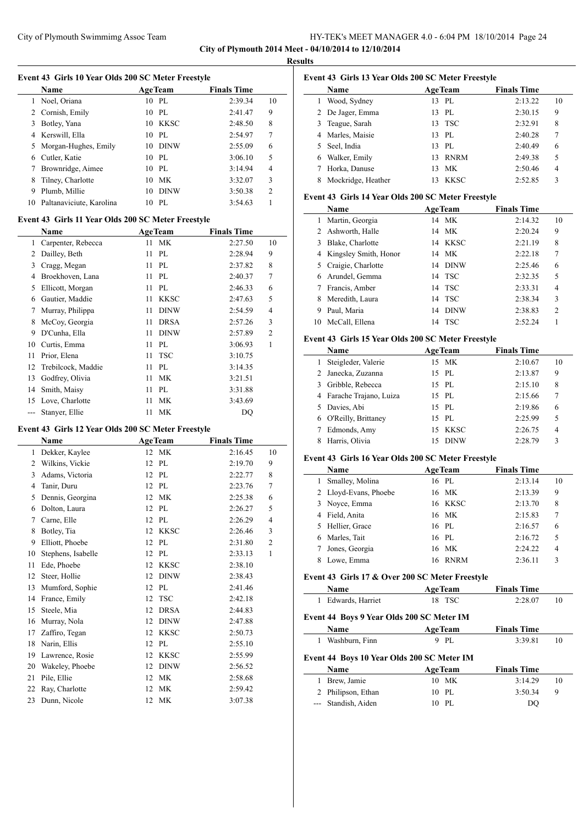### City of Plymouth Swimmimg Assoc Team HY-TEK's MEET MANAGER 4.0 - 6:04 PM 18/10/2014 Page 24 **City of Plymouth 2014 Meet - 04/10/2014 to 12/10/2014**

**Results**

 $\overline{\phantom{0}}$ 

|  | Event 43 Girls 10 Year Olds 200 SC Meter Freestyle |
|--|----------------------------------------------------|
|  |                                                    |

|    | <b>Name</b>              | <b>AgeTeam</b> | <b>Finals Time</b> |                |
|----|--------------------------|----------------|--------------------|----------------|
|    | Noel, Oriana             | 10 PL          | 2:39.34            | 10             |
|    | 2 Cornish, Emily         | $10$ PL        | 2:41.47            | 9              |
| 3  | Botley, Yana             | 10 KKSC        | 2:48.50            | 8              |
| 4  | Kerswill, Ella           | $10$ PL        | 2:54.97            | 7              |
| 5. | Morgan-Hughes, Emily     | 10 DINW        | 2:55.09            | 6              |
| 6  | Cutler, Katie            | $10$ PL        | 3:06.10            | 5              |
|    | Brownridge, Aimee        | $10$ PL        | 3:14.94            | $\overline{4}$ |
| 8  | Tilney, Charlotte        | 10 MK          | 3:32.07            | 3              |
| 9  | Plumb, Millie            | 10 DINW        | 3:50.38            | $\overline{c}$ |
| 10 | Paltanaviciute, Karolina | PL.<br>10      | 3:54.63            |                |
|    |                          |                |                    |                |

#### **Event 43 Girls 11 Year Olds 200 SC Meter Freestyle**

|    | Name               |    | <b>AgeTeam</b> | <b>Finals Time</b> |                |
|----|--------------------|----|----------------|--------------------|----------------|
| 1  | Carpenter, Rebecca | 11 | МK             | 2:27.50            | 10             |
| 2  | Dailley, Beth      | 11 | PL             | 2:28.94            | 9              |
| 3  | Cragg, Megan       | 11 | PI.            | 2:37.82            | 8              |
| 4  | Broekhoven, Lana   | 11 | PL             | 2:40.37            | 7              |
| 5  | Ellicott, Morgan   | 11 | PL             | 2:46.33            | 6              |
| 6  | Gautier, Maddie    | 11 | <b>KKSC</b>    | 2:47.63            | 5              |
| 7  | Murray, Philippa   | 11 | <b>DINW</b>    | 2:54.59            | 4              |
| 8  | McCoy, Georgia     | 11 | <b>DRSA</b>    | 2:57.26            | 3              |
| 9  | D'Cunha, Ella      | 11 | <b>DINW</b>    | 2:57.89            | $\overline{2}$ |
| 10 | Curtis, Emma       | 11 | PL             | 3:06.93            | 1              |
| 11 | Prior, Elena       | 11 | <b>TSC</b>     | 3:10.75            |                |
| 12 | Trebilcock, Maddie | 11 | PL             | 3:14.35            |                |
| 13 | Godfrey, Olivia    | 11 | <b>MK</b>      | 3:21.51            |                |
| 14 | Smith, Maisy       | 11 | PL             | 3:31.88            |                |
| 15 | Love, Charlotte    | 11 | МK             | 3:43.69            |                |
|    | Stanyer, Ellie     | 11 | <b>MK</b>      | DO                 |                |

#### **Event 43 Girls 12 Year Olds 200 SC Meter Freestyle**

|    | <b>Name</b>        |    | <b>AgeTeam</b> | <b>Finals Time</b> |                |
|----|--------------------|----|----------------|--------------------|----------------|
| 1  | Dekker, Kaylee     | 12 | <b>MK</b>      | 2:16.45            | 10             |
| 2  | Wilkins, Vickie    | 12 | PL             | 2:19.70            | 9              |
| 3  | Adams, Victoria    | 12 | PL             | 2:22.77            | 8              |
| 4  | Tanir, Duru        | 12 | PL             | 2:23.76            | 7              |
| 5  | Dennis, Georgina   | 12 | <b>MK</b>      | 2:25.38            | 6              |
| 6  | Dolton, Laura      | 12 | PL             | 2:26.27            | 5              |
| 7  | Carne, Elle        | 12 | PL             | 2:26.29            | $\overline{4}$ |
| 8  | Botley, Tia        | 12 | <b>KKSC</b>    | 2:26.46            | 3              |
| 9  | Elliott, Phoebe    | 12 | PL             | 2:31.80            | $\overline{2}$ |
| 10 | Stephens, Isabelle | 12 | PL             | 2:33.13            | 1              |
| 11 | Ede, Phoebe        | 12 | <b>KKSC</b>    | 2:38.10            |                |
| 12 | Steer, Hollie      | 12 | <b>DINW</b>    | 2:38.43            |                |
| 13 | Mumford, Sophie    | 12 | PL             | 2:41.46            |                |
| 14 | France, Emily      | 12 | <b>TSC</b>     | 2:42.18            |                |
| 15 | Steele, Mia        | 12 | <b>DRSA</b>    | 2:44.83            |                |
| 16 | Murray, Nola       | 12 | <b>DINW</b>    | 2:47.88            |                |
| 17 | Zaffiro, Tegan     | 12 | <b>KKSC</b>    | 2:50.73            |                |
| 18 | Narin, Ellis       | 12 | PL             | 2:55.10            |                |
| 19 | Lawrence, Rosie    | 12 | <b>KKSC</b>    | 2:55.99            |                |
| 20 | Wakeley, Phoebe    | 12 | <b>DINW</b>    | 2:56.52            |                |
| 21 | Pile, Ellie        | 12 | <b>MK</b>      | 2:58.68            |                |
| 22 | Ray, Charlotte     | 12 | <b>MK</b>      | 2:59.42            |                |
| 23 | Dunn, Nicole       | 12 | МK             | 3:07.38            |                |

| Event 43 Girls 13 Year Olds 200 SC Meter Freestyle |                    |    |                |                    |                |
|----------------------------------------------------|--------------------|----|----------------|--------------------|----------------|
|                                                    | Name               |    | <b>AgeTeam</b> | <b>Finals Time</b> |                |
| 1                                                  | Wood, Sydney       | 13 | PL             | 2:13.22            | 10             |
|                                                    | 2 De Jager, Emma   | 13 | PL             | 2:30.15            | 9              |
|                                                    | 3 Teague, Sarah    |    | 13 TSC         | 2:32.91            | 8              |
|                                                    | 4 Marles, Maisie   | 13 | PL             | 2:40.28            | 7              |
|                                                    | 5 Seel, India      | 13 | PL             | 2:40.49            | 6              |
| 6                                                  | Walker, Emily      | 13 | <b>RNRM</b>    | 2:49.38            | 5              |
|                                                    | Horka, Danuse      | 13 | МK             | 2:50.46            | $\overline{4}$ |
| 8                                                  | Mockridge, Heather | 13 | <b>KKSC</b>    | 2:52.85            | 3              |

#### **Event 43 Girls 14 Year Olds 200 SC Meter Freestyle**

|    | Name                    | <b>AgeTeam</b>    | <b>Finals Time</b> |                |
|----|-------------------------|-------------------|--------------------|----------------|
| 1  | Martin, Georgia         | 14 MK             | 2:14.32            | 10             |
|    | 2 Ashworth, Halle       | 14 MK             | 2:20.24            | 9              |
| 3  | Blake, Charlotte        | 14 KKSC           | 2:21.19            | 8              |
|    | 4 Kingsley Smith, Honor | 14 MK             | 2:22.18            | 7              |
|    | 5 Craigie, Charlotte    | 14 DINW           | 2:25.46            | 6              |
| 6. | Arundel, Gemma          | 14 TSC            | 2:32.35            | 5              |
|    | Francis, Amber          | 14 TSC            | 2:33.31            | 4              |
|    | Meredith, Laura         | 14 TSC            | 2:38.34            | 3              |
| 9  | Paul, Maria             | <b>DINW</b><br>14 | 2:38.83            | $\mathfrak{D}$ |
| 10 | McCall, Ellena          | TSC<br>14         | 2:52.24            |                |

#### **Event 43 Girls 15 Year Olds 200 SC Meter Freestyle**

| <b>Name</b>              | <b>AgeTeam</b>    | <b>Finals Time</b> |                |
|--------------------------|-------------------|--------------------|----------------|
| Steigleder, Valerie      | 15 MK             | 2:10.67            | 10             |
| Janecka, Zuzanna<br>2    | 15 PL             | 2:13.87            | 9              |
| Gribble, Rebecca         | 15 PL             | 2:15.10            | 8              |
| 4 Farache Trajano, Luiza | 15 PL             | 2:15.66            | 7              |
| Davies, Abi              | 15 PL             | 2:19.86            | 6              |
| O'Reilly, Brittaney      | 15 PL             | 2:25.99            | 5              |
| Edmonds, Amy             | 15 KKSC           | 2:26.75            | $\overline{4}$ |
| Harris, Olivia           | <b>DINW</b><br>15 | 2:28.79            | 3              |
|                          |                   |                    |                |

#### **Event 43 Girls 16 Year Olds 200 SC Meter Freestyle**

| <b>Name</b>     | <b>AgeTeam</b>                                                                          | <b>Finals Time</b> |                |
|-----------------|-----------------------------------------------------------------------------------------|--------------------|----------------|
| Smalley, Molina | 16 PL                                                                                   | 2:13.14            | 10             |
|                 | 16 MK                                                                                   | 2:13.39            | 9              |
|                 | 16 KKSC                                                                                 | 2:13.70            | 8              |
|                 | 16 MK                                                                                   | 2:15.83            | 7              |
|                 | 16 PL                                                                                   | 2:16.57            | 6              |
| Marles, Tait    | 16 PL                                                                                   | 2:16.72            | 5              |
| Jones, Georgia  | 16 MK                                                                                   | 2:24.22            | $\overline{4}$ |
| Lowe, Emma      | <b>RNRM</b><br>16                                                                       | 2:36.11            | 3              |
|                 | 1<br>2 Lloyd-Evans, Phoebe<br>3 Noyce, Emma<br>4 Field, Anita<br>5 Hellier, Grace<br>6. |                    |                |

#### **Event 43 Girls 17 & Over 200 SC Meter Freestyle**

|   | Name                                       | <b>AgeTeam</b> | <b>Finals Time</b> |    |
|---|--------------------------------------------|----------------|--------------------|----|
| 1 | Edwards, Harriet                           | 18 TSC         | 2:28.07            | 10 |
|   | Event 44 Boys 9 Year Olds 200 SC Meter IM  |                |                    |    |
|   | Name                                       | <b>AgeTeam</b> | <b>Finals Time</b> |    |
| 1 | Washburn, Finn                             | PL<br>9        | 3:39.81            | 10 |
|   | Event 44 Boys 10 Year Olds 200 SC Meter IM |                |                    |    |
|   | Name                                       | <b>AgeTeam</b> | <b>Finals Time</b> |    |
| 1 | Brew, Jamie                                | 10 MK          | 3:14.29            | 10 |
| 2 | Philipson, Ethan                           | $10$ PL        | 3:50.34            | 9  |
|   | Standish, Aiden                            | 10 PL          | DO                 |    |